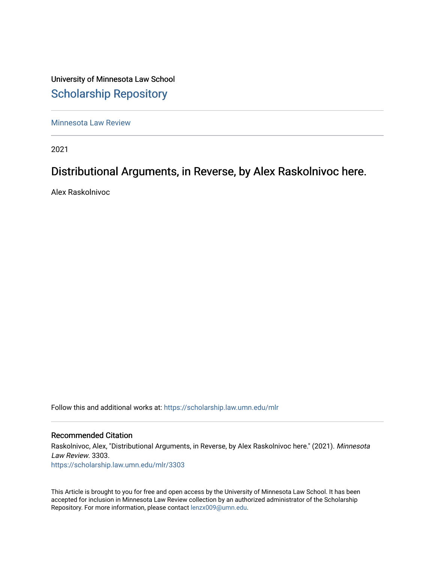University of Minnesota Law School [Scholarship Repository](https://scholarship.law.umn.edu/) 

[Minnesota Law Review](https://scholarship.law.umn.edu/mlr) 

2021

# Distributional Arguments, in Reverse, by Alex Raskolnivoc here.

Alex Raskolnivoc

Follow this and additional works at: [https://scholarship.law.umn.edu/mlr](https://scholarship.law.umn.edu/mlr?utm_source=scholarship.law.umn.edu%2Fmlr%2F3303&utm_medium=PDF&utm_campaign=PDFCoverPages)

# Recommended Citation

Raskolnivoc, Alex, "Distributional Arguments, in Reverse, by Alex Raskolnivoc here." (2021). Minnesota Law Review. 3303. [https://scholarship.law.umn.edu/mlr/3303](https://scholarship.law.umn.edu/mlr/3303?utm_source=scholarship.law.umn.edu%2Fmlr%2F3303&utm_medium=PDF&utm_campaign=PDFCoverPages)

This Article is brought to you for free and open access by the University of Minnesota Law School. It has been accepted for inclusion in Minnesota Law Review collection by an authorized administrator of the Scholarship Repository. For more information, please contact [lenzx009@umn.edu.](mailto:lenzx009@umn.edu)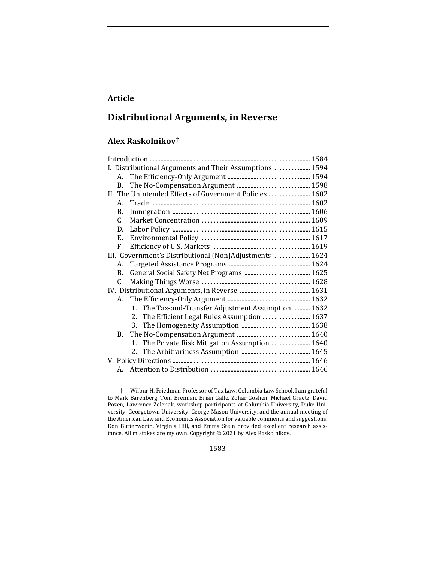# **Article**

# **Distributional Arguments, in Reverse**

# **Alex Raskolnikov†**

|                                                         |    | I. Distributional Arguments and Their Assumptions  1594 |  |  |
|---------------------------------------------------------|----|---------------------------------------------------------|--|--|
|                                                         |    |                                                         |  |  |
|                                                         | B. |                                                         |  |  |
|                                                         |    | II. The Unintended Effects of Government Policies  1602 |  |  |
|                                                         | A. |                                                         |  |  |
|                                                         | В. |                                                         |  |  |
|                                                         | C. |                                                         |  |  |
|                                                         | D. |                                                         |  |  |
|                                                         | E. |                                                         |  |  |
|                                                         | F. |                                                         |  |  |
| III. Government's Distributional (Non)Adjustments  1624 |    |                                                         |  |  |
|                                                         | А. |                                                         |  |  |
|                                                         | B. |                                                         |  |  |
|                                                         | C. |                                                         |  |  |
|                                                         |    |                                                         |  |  |
|                                                         | A. |                                                         |  |  |
|                                                         |    | 1. The Tax-and-Transfer Adjustment Assumption  1632     |  |  |
|                                                         |    | 2. The Efficient Legal Rules Assumption  1637           |  |  |
|                                                         |    |                                                         |  |  |
|                                                         | B. |                                                         |  |  |
|                                                         |    | 1. The Private Risk Mitigation Assumption  1640         |  |  |
|                                                         |    |                                                         |  |  |
|                                                         |    |                                                         |  |  |
|                                                         |    |                                                         |  |  |
|                                                         |    |                                                         |  |  |

1583

<sup>†</sup> Wilbur H. Friedman Professor of Tax Law, Columbia Law School. I am grateful to Mark Barenberg, Tom Brennan, Brian Galle, Zohar Goshen, Michael Graetz, David Pozen, Lawrence Zelenak, workshop participants at Columbia University, Duke University, Georgetown University, George Mason University, and the annual meeting of the American Law and Economics Association for valuable comments and suggestions. Don Butterworth, Virginia Hill, and Emma Stein provided excellent research assistance. All mistakes are my own. Copyright  $©$  2021 by Alex Raskolnikov.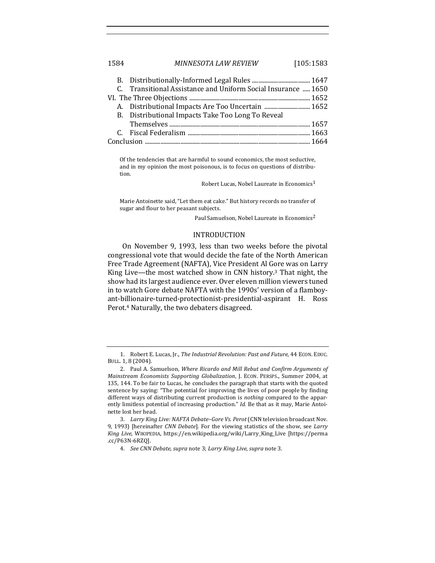| 1584 | MINNESOTA LAW REVIEW | [105:1583] |
|------|----------------------|------------|
|      |                      |            |

|  | C. Transitional Assistance and Uniform Social Insurance  1650 |  |  |
|--|---------------------------------------------------------------|--|--|
|  |                                                               |  |  |
|  |                                                               |  |  |
|  | B. Distributional Impacts Take Too Long To Reveal             |  |  |
|  |                                                               |  |  |
|  |                                                               |  |  |
|  |                                                               |  |  |

Of the tendencies that are harmful to sound economics, the most seductive, and in my opinion the most poisonous, is to focus on questions of distribution.

Robert Lucas, Nobel Laureate in Economics<sup>1</sup>

Marie Antoinette said, "Let them eat cake." But history records no transfer of sugar and flour to her peasant subjects.

Paul Samuelson, Nobel Laureate in Economics<sup>2</sup>

### INTRODUCTION

On November 9, 1993, less than two weeks before the pivotal congressional vote that would decide the fate of the North American Free Trade Agreement (NAFTA), Vice President Al Gore was on Larry King Live—the most watched show in CNN history.<sup>3</sup> That night, the show had its largest audience ever. Over eleven million viewers tuned in to watch Gore debate NAFTA with the 1990s' version of a flamboyant-billionaire-turned-protectionist-presidential-aspirant H. Ross Perot.<sup>4</sup> Naturally, the two debaters disagreed.

<sup>1.</sup> Robert E. Lucas, Jr., *The Industrial Revolution: Past and Future*, 44 ECON. EDUC. BULL. 1, 8 (2004).

<sup>2.</sup> Paul A. Samuelson, *Where Ricardo and Mill Rebut and Confirm Arguments of Mainstream Economists Supporting Globalization*, J. ECON. PERSPS., Summer 2004, at 135, 144. To be fair to Lucas, he concludes the paragraph that starts with the quoted sentence by saying: "The potential for improving the lives of poor people by finding different ways of distributing current production is *nothing* compared to the apparently limitless potential of increasing production." *Id.* Be that as it may, Marie Antoinette lost her head.

<sup>3.</sup> Larry King Live: NAFTA Debate-Gore Vs. Perot (CNN television broadcast Nov. 9, 1993) [hereinafter *CNN Debate*]. For the viewing statistics of the show, see *Larry* King Live, WIKIPEDIA, https://en.wikipedia.org/wiki/Larry\_King\_Live [https://perma .cc/P63N-6RZQ].

<sup>4.</sup> *See CNN Debate*, *supra* note 3; *Larry King Live*, *supra* note 3.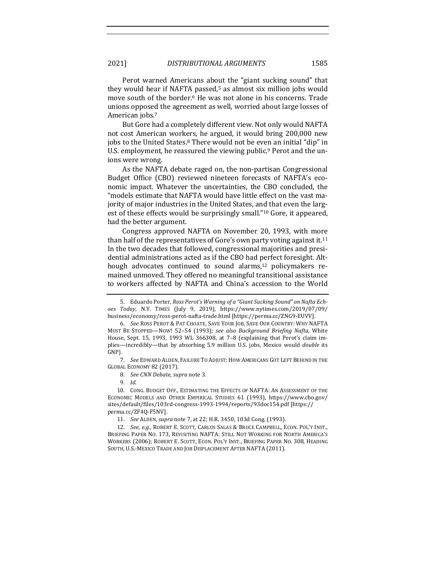Perot warned Americans about the "giant sucking sound" that they would hear if NAFTA passed, $5$  as almost six million jobs would move south of the border.<sup>6</sup> He was not alone in his concerns. Trade unions opposed the agreement as well, worried about large losses of American jobs.<sup>7</sup>

But Gore had a completely different view. Not only would NAFTA not cost American workers, he argued, it would bring 200,000 new jobs to the United States.<sup>8</sup> There would not be even an initial "dip" in U.S. employment, he reassured the viewing public.<sup>9</sup> Perot and the unions were wrong.

As the NAFTA debate raged on, the non-partisan Congressional Budget Office (CBO) reviewed nineteen forecasts of NAFTA's economic impact. Whatever the uncertainties, the CBO concluded, the "models estimate that NAFTA would have little effect on the vast majority of major industries in the United States, and that even the largest of these effects would be surprisingly small."<sup>10</sup> Gore, it appeared, had the better argument.

Congress approved NAFTA on November 20, 1993, with more than half of the representatives of Gore's own party voting against it.<sup>11</sup> In the two decades that followed, congressional majorities and presidential administrations acted as if the CBO had perfect foresight. Although advocates continued to sound alarms, $12$  policymakers remained unmoved. They offered no meaningful transitional assistance to workers affected by NAFTA and China's accession to the World

7. *See* EDWARD ALDEN, FAILURE TO ADJUST: HOW AMERICANS GOT LEFT BEHIND IN THE GLOBAL ECONOMY 82 (2017).

8. *See CNN Debate, supra* note 3.

9. *Id.*

10. CONG. BUDGET OFF., ESTIMATING THE EFFECTS OF NAFTA: AN ASSESSMENT OF THE ECONOMIC MODELS AND OTHER EMPIRICAL STUDIES 61 (1993), https://www.cbo.gov/ sites/default/files/103rd-congress-1993-1994/reports/93doc154.pdf [https:// perma.cc/ZF4Q-F5NV].

11. *See* ALDEN, *supra* note 7, at 22; H.R. 3450, 103d Cong. (1993).

12. *See, e.g.*, ROBERT E. SCOTT, CARLOS SALAS & BRUCE CAMPBELL, ECON. POL'Y INST., BRIEFING PAPER NO. 173, REVISITING NAFTA: STILL NOT WORKING FOR NORTH AMERICA'S WORKERS (2006); ROBERT E. SCOTT, ECON. POL'Y INST., BRIEFING PAPER NO. 308, HEADING SOUTH, U.S.-MEXICO TRADE AND JOB DISPLACEMENT AFTER NAFTA (2011).

<sup>5.</sup> Eduardo Porter, Ross Perot's Warning of a "Giant Sucking Sound" on Nafta Ech*oes Today*, N.Y. TIMES (July 9, 2019), https://www.nytimes.com/2019/07/09/ business/economy/ross-perot-nafta-trade.html [https://perma.cc/ZNG9-EUVV].

<sup>6.</sup> *See* Ross PEROT & PAT CHOATE, SAVE YOUR JOB, SAVE OUR COUNTRY: WHY NAFTA MUST BE STOPPED—NOW! 52–54 (1993); *see also Background Briefing Nafta*, White House, Sept. 15, 1993, 1993 WL 366308, at  $7-8$  (explaining that Perot's claim implies—incredibly—that by absorbing 5.9 million U.S. jobs, Mexico would *double* its GNP).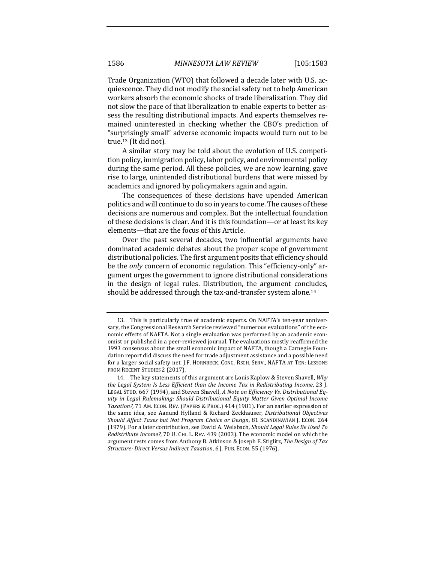Trade Organization (WTO) that followed a decade later with U.S. acquiescence. They did not modify the social safety net to help American workers absorb the economic shocks of trade liberalization. They did not slow the pace of that liberalization to enable experts to better assess the resulting distributional impacts. And experts themselves remained uninterested in checking whether the CBO's prediction of "surprisingly small" adverse economic impacts would turn out to be true.<sup>13</sup> (It did not).

A similar story may be told about the evolution of U.S. competition policy, immigration policy, labor policy, and environmental policy during the same period. All these policies, we are now learning, gave rise to large, unintended distributional burdens that were missed by academics and ignored by policymakers again and again.

The consequences of these decisions have upended American politics and will continue to do so in years to come. The causes of these decisions are numerous and complex. But the intellectual foundation of these decisions is clear. And it is this foundation—or at least its key elements—that are the focus of this Article.

Over the past several decades, two influential arguments have dominated academic debates about the proper scope of government distributional policies. The first argument posits that efficiency should be the *only* concern of economic regulation. This "efficiency-only" argument urges the government to ignore distributional considerations in the design of legal rules. Distribution, the argument concludes, should be addressed through the tax-and-transfer system alone.<sup>14</sup>

<sup>13.</sup> This is particularly true of academic experts. On NAFTA's ten-year anniversary, the Congressional Research Service reviewed "numerous evaluations" of the economic effects of NAFTA. Not a single evaluation was performed by an academic economist or published in a peer-reviewed journal. The evaluations mostly reaffirmed the 1993 consensus about the small economic impact of NAFTA, though a Carnegie Foundation report did discuss the need for trade adjustment assistance and a possible need for a larger social safety net. J.F. HORNBECK, CONG. RSCH. SERV., NAFTA AT TEN: LESSONS FROM RECENT STUDIES 2 (2017).

<sup>14.</sup> The key statements of this argument are Louis Kaplow & Steven Shavell, *Why the Legal System Is Less Efficient than the Income Tax in Redistributing Income, 23 I.* LEGAL STUD. 667 (1994), and Steven Shavell, *A Note on Efficiency Vs. Distributional Eq*uity in Legal Rulemaking: Should Distributional *Equity Matter Given Optimal Income* Taxation?, 71 AM. ECON. REV. (PAPERS & PROC.) 414 (1981). For an earlier expression of the same idea, see Aanund Hylland & Richard Zeckhauser, *Distributional Objectives Should Affect Taxes but Not Program Choice or Design,* 81 SCANDINAVIAN J. ECON. 264 (1979). For a later contribution, see David A. Weisbach, *Should Legal Rules Be Used To Redistribute Income?*, 70 U. CHI. L. REV. 439 (2003). The economic model on which the argument rests comes from Anthony B. Atkinson & Joseph E. Stiglitz, *The Design of Tax Structure: Direct Versus Indirect Taxation*, 6 J. PUB. ECON. 55 (1976).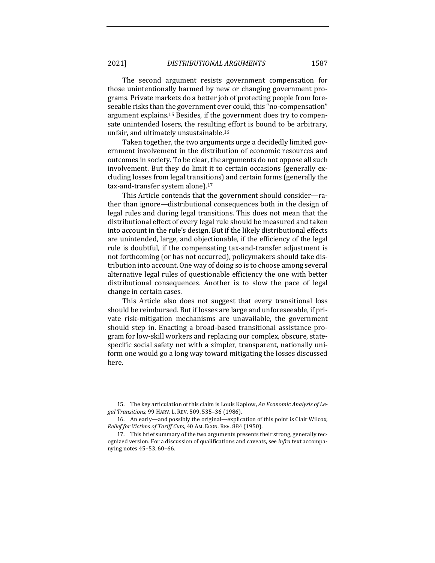The second argument resists government compensation for those unintentionally harmed by new or changing government programs. Private markets do a better job of protecting people from foreseeable risks than the government ever could, this "no-compensation" argument explains.<sup>15</sup> Besides, if the government does try to compensate unintended losers, the resulting effort is bound to be arbitrary, unfair, and ultimately unsustainable.<sup>16</sup>

Taken together, the two arguments urge a decidedly limited government involvement in the distribution of economic resources and outcomes in society. To be clear, the arguments do not oppose all such involvement. But they do limit it to certain occasions (generally excluding losses from legal transitions) and certain forms (generally the tax-and-transfer system alone).<sup>17</sup>

This Article contends that the government should consider-rather than ignore—distributional consequences both in the design of legal rules and during legal transitions. This does not mean that the distributional effect of every legal rule should be measured and taken into account in the rule's design. But if the likely distributional effects are unintended, large, and objectionable, if the efficiency of the legal rule is doubtful, if the compensating tax-and-transfer adjustment is not forthcoming (or has not occurred), policymakers should take distribution into account. One way of doing so is to choose among several alternative legal rules of questionable efficiency the one with better distributional consequences. Another is to slow the pace of legal change in certain cases.

This Article also does not suggest that every transitional loss should be reimbursed. But if losses are large and unforeseeable, if private risk-mitigation mechanisms are unavailable, the government should step in. Enacting a broad-based transitional assistance program for low-skill workers and replacing our complex, obscure, statespecific social safety net with a simpler, transparent, nationally uniform one would go a long way toward mitigating the losses discussed here.

<sup>15.</sup> The key articulation of this claim is Louis Kaplow, An Economic Analysis of Le*gal Transitions*, 99 HARV. L. REV. 509, 535–36 (1986).

<sup>16.</sup> An early—and possibly the original—explication of this point is Clair Wilcox, *Relief for Victims of Tariff Cuts, 40 AM. ECON. REV. 884 (1950).* 

<sup>17.</sup> This brief summary of the two arguments presents their strong, generally recognized version. For a discussion of qualifications and caveats, see *infra* text accompanying notes 45-53, 60-66.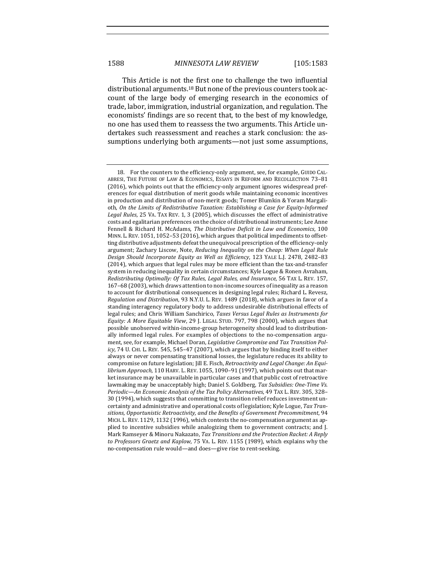This Article is not the first one to challenge the two influential distributional arguments.<sup>18</sup> But none of the previous counters took account of the large body of emerging research in the economics of trade, labor, immigration, industrial organization, and regulation. The economists' findings are so recent that, to the best of my knowledge, no one has used them to reassess the two arguments. This Article undertakes such reassessment and reaches a stark conclusion: the assumptions underlying both arguments—not just some assumptions,

<sup>18.</sup> For the counters to the efficiency-only argument, see, for example, GUIDO CAL-ABRESI, THE FUTURE OF LAW & ECONOMICS, ESSAYS IN REFORM AND RECOLLECTION 73-81 (2016), which points out that the efficiency-only argument ignores widespread preferences for equal distribution of merit goods while maintaining economic incentives in production and distribution of non-merit goods; Tomer Blumkin & Yoram Margalioth, On the Limits of Redistributive Taxation: Establishing a Case for Equity-Informed Legal Rules, 25 VA. TAX REV. 1, 3 (2005), which discusses the effect of administrative costs and egalitarian preferences on the choice of distributional instruments; Lee Anne Fennell & Richard H. McAdams, *The Distributive Deficit in Law and Economics*, 100 MINN. L. REV. 1051, 1052-53 (2016), which argues that political impediments to offsetting distributive adjustments defeat the unequivocal prescription of the efficiency-only argument; Zachary Liscow, Note, *Reducing Inequality on the Cheap: When Legal Rule Design Should Incorporate Equity as Well as Efficiency*, 123 YALE L.J. 2478, 2482-83 (2014), which argues that legal rules may be more efficient than the tax-and-transfer system in reducing inequality in certain circumstances; Kyle Logue & Ronen Avraham, *Redistributing Optimally: Of Tax Rules, Legal Rules, and Insurance*, 56 TAX L. REV. 157, 167–68 (2003), which draws attention to non-income sources of inequality as a reason to account for distributional consequences in designing legal rules; Richard L. Revesz, *Regulation and Distribution,* 93 N.Y.U. L. REV. 1489 (2018), which argues in favor of a standing interagency regulatory body to address undesirable distributional effects of legal rules; and Chris William Sanchirico, *Taxes Versus Legal Rules as Instruments for Equity: A More Equitable View, 29 J. LEGAL STUD. 797, 798 (2000), which argues that* possible unobserved within-income-group heterogeneity should lead to distributionally informed legal rules. For examples of objections to the no-compensation argument, see, for example, Michael Doran, *Legislative Compromise and Tax Transition Policy*, 74 U. CHI. L. REV. 545, 545–47 (2007), which argues that by binding itself to either always or never compensating transitional losses, the legislature reduces its ability to compromise on future legislation; Jill E. Fisch, Retroactivity and Legal Change: An Equi*librium Approach*, 110 HARV. L. REV. 1055, 1090-91 (1997), which points out that market insurance may be unavailable in particular cases and that public cost of retroactive lawmaking may be unacceptably high; Daniel S. Goldberg, Tax Subsidies: One-Time Vs. *Periodic—An Economic Analysis of the Tax Policy Alternatives*, 49 TAX L. REV. 305, 328– 30 (1994), which suggests that committing to transition relief reduces investment uncertainty and administrative and operational costs of legislation; Kyle Logue, Tax Tran*sitions, Opportunistic Retroactivity, and the Benefits of Government Precommitment*, 94 MICH. L. REV. 1129, 1132 (1996), which contests the no-compensation argument as applied to incentive subsidies while analogizing them to government contracts; and [. Mark Ramseyer & Minoru Nakazato, *Tax Transitions and the Protection Racket: A Reply* to Professors Graetz and Kaplow, 75 VA. L. REV. 1155 (1989), which explains why the no-compensation rule would—and does—give rise to rent-seeking.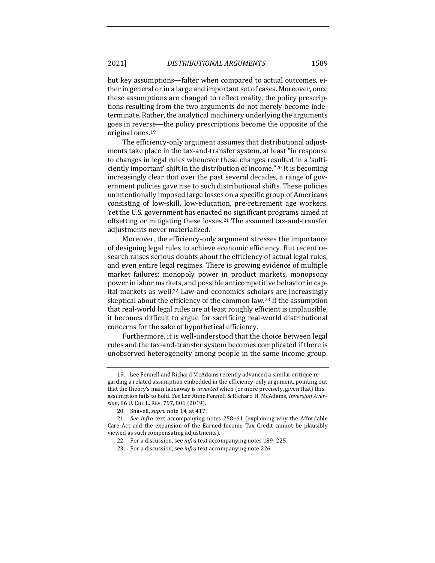but key assumptions—falter when compared to actual outcomes, either in general or in a large and important set of cases. Moreover, once these assumptions are changed to reflect reality, the policy prescriptions resulting from the two arguments do not merely become indeterminate. Rather, the analytical machinery underlying the arguments goes in reverse—the policy prescriptions become the opposite of the original ones.<sup>19</sup>

The efficiency-only argument assumes that distributional adjustments take place in the tax-and-transfer system, at least "in response" to changes in legal rules whenever these changes resulted in a 'sufficiently important' shift in the distribution of income."<sup>20</sup> It is becoming increasingly clear that over the past several decades, a range of government policies gave rise to such distributional shifts. These policies unintentionally imposed large losses on a specific group of Americans consisting of low-skill, low-education, pre-retirement age workers. Yet the U.S. government has enacted no significant programs aimed at offsetting or mitigating these  $losses<sup>21</sup>$  The assumed tax-and-transfer adjustments never materialized.

Moreover, the efficiency-only argument stresses the importance of designing legal rules to achieve economic efficiency. But recent research raises serious doubts about the efficiency of actual legal rules, and even entire legal regimes. There is growing evidence of multiple market failures: monopoly power in product markets, monopsony power in labor markets, and possible anticompetitive behavior in capital markets as well.<sup>22</sup> Law-and-economics scholars are increasingly skeptical about the efficiency of the common law.<sup>23</sup> If the assumption that real-world legal rules are at least roughly efficient is implausible, it becomes difficult to argue for sacrificing real-world distributional concerns for the sake of hypothetical efficiency.

Furthermore, it is well-understood that the choice between legal rules and the tax-and-transfer system becomes complicated if there is unobserved heterogeneity among people in the same income group.

<sup>19.</sup> Lee Fennell and Richard McAdams recently advanced a similar critique regarding a related assumption embedded in the efficiency-only argument, pointing out that the theory's main takeaway is *inverted* when (or more precisely, given that) this assumption fails to hold. See Lee Anne Fennell & Richard H. McAdams, Inversion Aver*sion*, 86 U. CHI. L. REV. 797, 806 (2019).

<sup>20.</sup> Shavell, *supra* note 14, at 417.

<sup>21.</sup> *See infra* text accompanying notes 258–61 (explaining why the Affordable Care Act and the expansion of the Earned Income Tax Credit cannot be plausibly viewed as such compensating adjustments).

<sup>22.</sup> For a discussion, see *infra* text accompanying notes 189-225.

<sup>23.</sup> For a discussion, see *infra* text accompanying note 226.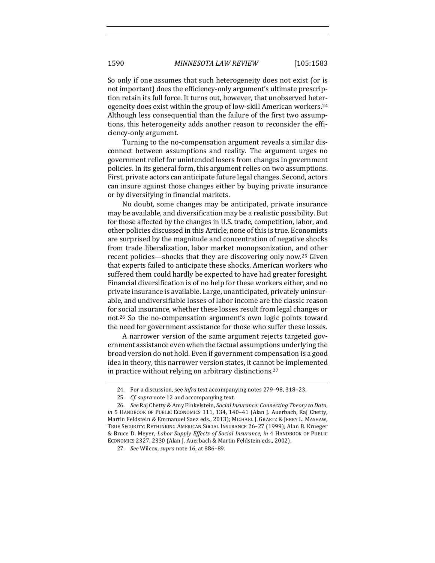So only if one assumes that such heterogeneity does not exist (or is not important) does the efficiency-only argument's ultimate prescription retain its full force. It turns out, however, that unobserved heterogeneity does exist within the group of low-skill American workers.<sup>24</sup> Although less consequential than the failure of the first two assumptions, this heterogeneity adds another reason to reconsider the efficiency-only argument.

Turning to the no-compensation argument reveals a similar disconnect between assumptions and reality. The argument urges no government relief for unintended losers from changes in government policies. In its general form, this argument relies on two assumptions. First, private actors can anticipate future legal changes. Second, actors can insure against those changes either by buying private insurance or by diversifying in financial markets.

No doubt, some changes may be anticipated, private insurance may be available, and diversification may be a realistic possibility. But for those affected by the changes in U.S. trade, competition, labor, and other policies discussed in this Article, none of this is true. Economists are surprised by the magnitude and concentration of negative shocks from trade liberalization, labor market monopsonization, and other recent policies—shocks that they are discovering only now.<sup>25</sup> Given that experts failed to anticipate these shocks, American workers who suffered them could hardly be expected to have had greater foresight. Financial diversification is of no help for these workers either, and no private insurance is available. Large, unanticipated, privately uninsurable, and undiversifiable losses of labor income are the classic reason for social insurance, whether these losses result from legal changes or not.<sup>26</sup> So the no-compensation argument's own logic points toward the need for government assistance for those who suffer these losses.

A narrower version of the same argument rejects targeted government assistance even when the factual assumptions underlying the broad version do not hold. Even if government compensation is a good idea in theory, this narrower version states, it cannot be implemented in practice without relying on arbitrary distinctions.<sup>27</sup>

<sup>24.</sup> For a discussion, see *infra* text accompanying notes 279-98, 318-23.

<sup>25.</sup> *Cf. supra* note 12 and accompanying text.

<sup>26.</sup> *See* Raj Chetty & Amy Finkelstein, *Social Insurance: Connecting Theory to Data*, *in* 5 HANDBOOK OF PUBLIC ECONOMICS 111, 134, 140-41 (Alan J. Auerbach, Raj Chetty, Martin Feldstein & Emmanuel Saez eds., 2013); MICHAEL J. GRAETZ & JERRY L. MASHAW, TRUE SECURITY: RETHINKING AMERICAN SOCIAL INSURANCE 26-27 (1999); Alan B. Krueger & Bruce D. Meyer, *Labor Supply Effects of Social Insurance*, *in* 4 HANDBOOK OF PUBLIC ECONOMICS 2327, 2330 (Alan J. Auerbach & Martin Feldstein eds., 2002).

<sup>27.</sup> *See* Wilcox, *supra* note 16, at 886-89.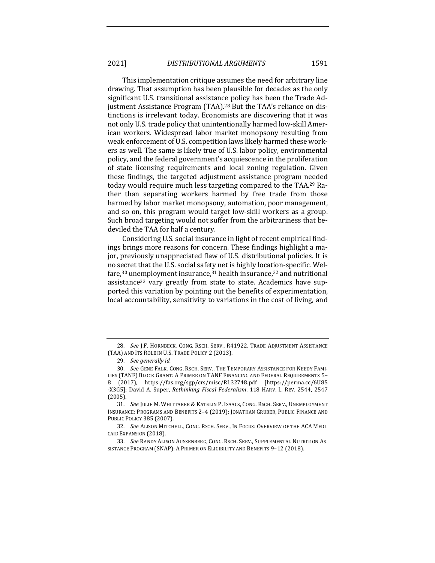This implementation critique assumes the need for arbitrary line drawing. That assumption has been plausible for decades as the only significant U.S. transitional assistance policy has been the Trade Adjustment Assistance Program (TAA).<sup>28</sup> But the TAA's reliance on distinctions is irrelevant today. Economists are discovering that it was not only U.S. trade policy that unintentionally harmed low-skill American workers. Widespread labor market monopsony resulting from weak enforcement of U.S. competition laws likely harmed these workers as well. The same is likely true of U.S. labor policy, environmental policy, and the federal government's acquiescence in the proliferation of state licensing requirements and local zoning regulation. Given these findings, the targeted adjustment assistance program needed today would require much less targeting compared to the TAA.<sup>29</sup> Rather than separating workers harmed by free trade from those harmed by labor market monopsony, automation, poor management, and so on, this program would target low-skill workers as a group. Such broad targeting would not suffer from the arbitrariness that bedeviled the TAA for half a century.

Considering U.S. social insurance in light of recent empirical findings brings more reasons for concern. These findings highlight a major, previously unappreciated flaw of U.S. distributional policies. It is no secret that the U.S. social safety net is highly location-specific. Welfare,<sup>30</sup> unemployment insurance,<sup>31</sup> health insurance,<sup>32</sup> and nutritional assistance<sup>33</sup> vary greatly from state to state. Academics have supported this variation by pointing out the benefits of experimentation, local accountability, sensitivity to variations in the cost of living, and

<sup>28.</sup> *See* J.F. HORNBECK, CONG. RSCH. SERV., R41922, TRADE ADJUSTMENT ASSISTANCE (TAA) AND ITS ROLE IN U.S. TRADE POLICY 2 (2013).

<sup>29.</sup> *See generally id.* 

<sup>30.</sup> See GENE FALK, CONG. RSCH. SERV., THE TEMPORARY ASSISTANCE FOR NEEDY FAMI-LIES (TANF) BLOCK GRANT: A PRIMER ON TANF FINANCING AND FEDERAL REQUIREMENTS 5-8 (2017), https://fas.org/sgp/crs/misc/RL32748.pdf [https://perma.cc/6U85 -X3G5]; David A. Super, *Rethinking Fiscal Federalism*, 118 HARV. L. REV. 2544, 2547 (2005).

<sup>31.</sup> See JULIE M. WHITTAKER & KATELIN P. ISAACS, CONG. RSCH. SERV., UNEMPLOYMENT INSURANCE: PROGRAMS AND BENEFITS 2-4 (2019); JONATHAN GRUBER, PUBLIC FINANCE AND PUBLIC POLICY 385 (2007).

<sup>32.</sup> See ALISON MITCHELL, CONG. RSCH. SERV., IN FOCUS: OVERVIEW OF THE ACA MEDI-CAID EXPANSION (2018).

<sup>33.</sup> See RANDY ALISON AUSSENBERG, CONG. RSCH. SERV., SUPPLEMENTAL NUTRITION AS-SISTANCE PROGRAM (SNAP): A PRIMER ON ELIGIBILITY AND BENEFITS 9-12 (2018).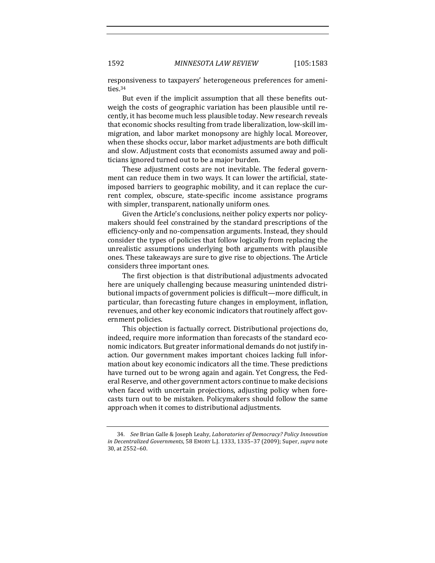responsiveness to taxpayers' heterogeneous preferences for amenities.34

But even if the implicit assumption that all these benefits outweigh the costs of geographic variation has been plausible until recently, it has become much less plausible today. New research reveals that economic shocks resulting from trade liberalization, low-skill immigration, and labor market monopsony are highly local. Moreover, when these shocks occur, labor market adjustments are both difficult and slow. Adjustment costs that economists assumed away and politicians ignored turned out to be a major burden.

These adjustment costs are not inevitable. The federal government can reduce them in two ways. It can lower the artificial, stateimposed barriers to geographic mobility, and it can replace the current complex, obscure, state-specific income assistance programs with simpler, transparent, nationally uniform ones.

Given the Article's conclusions, neither policy experts nor policymakers should feel constrained by the standard prescriptions of the efficiency-only and no-compensation arguments. Instead, they should consider the types of policies that follow logically from replacing the unrealistic assumptions underlying both arguments with plausible ones. These takeaways are sure to give rise to objections. The Article considers three important ones.

The first objection is that distributional adjustments advocated here are uniquely challenging because measuring unintended distributional impacts of government policies is difficult—more difficult, in particular, than forecasting future changes in employment, inflation, revenues, and other key economic indicators that routinely affect government policies.

This objection is factually correct. Distributional projections do, indeed, require more information than forecasts of the standard economic indicators. But greater informational demands do not justify inaction. Our government makes important choices lacking full information about key economic indicators all the time. These predictions have turned out to be wrong again and again. Yet Congress, the Federal Reserve, and other government actors continue to make decisions when faced with uncertain projections, adjusting policy when forecasts turn out to be mistaken. Policymakers should follow the same approach when it comes to distributional adjustments.

<sup>34.</sup> *See* Brian Galle & Joseph Leahy, *Laboratories of Democracy? Policy Innovation in Decentralized Governments*, 58 EMORY L.J. 1333, 1335-37 (2009); Super, *supra* note 30, at 2552-60.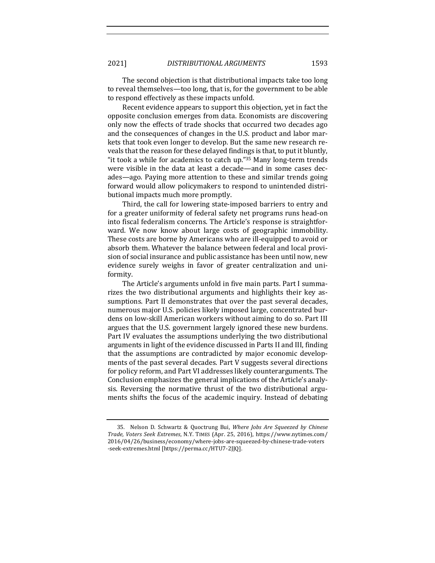The second objection is that distributional impacts take too long to reveal themselves—too long, that is, for the government to be able to respond effectively as these impacts unfold.

Recent evidence appears to support this objection, yet in fact the opposite conclusion emerges from data. Economists are discovering only now the effects of trade shocks that occurred two decades ago and the consequences of changes in the U.S. product and labor markets that took even longer to develop. But the same new research reveals that the reason for these delayed findings is that, to put it bluntly, "it took a while for academics to catch up." $35$  Many long-term trends were visible in the data at least a decade—and in some cases decades—ago. Paying more attention to these and similar trends going forward would allow policymakers to respond to unintended distributional impacts much more promptly.

Third, the call for lowering state-imposed barriers to entry and for a greater uniformity of federal safety net programs runs head-on into fiscal federalism concerns. The Article's response is straightforward. We now know about large costs of geographic immobility. These costs are borne by Americans who are ill-equipped to avoid or absorb them. Whatever the balance between federal and local provision of social insurance and public assistance has been until now, new evidence surely weighs in favor of greater centralization and uniformity.

The Article's arguments unfold in five main parts. Part I summarizes the two distributional arguments and highlights their key assumptions. Part II demonstrates that over the past several decades, numerous major U.S. policies likely imposed large, concentrated burdens on low-skill American workers without aiming to do so. Part III argues that the U.S. government largely ignored these new burdens. Part IV evaluates the assumptions underlying the two distributional arguments in light of the evidence discussed in Parts II and III, finding that the assumptions are contradicted by major economic developments of the past several decades. Part V suggests several directions for policy reform, and Part VI addresses likely counterarguments. The Conclusion emphasizes the general implications of the Article's analysis. Reversing the normative thrust of the two distributional arguments shifts the focus of the academic inquiry. Instead of debating

<sup>35.</sup> Nelson D. Schwartz & Quoctrung Bui, Where Jobs Are Squeezed by Chinese *Trade, Voters Seek Extremes*, N.Y. TIMES (Apr. 25, 2016), https://www.nytimes.com/ 2016/04/26/business/economy/where-jobs-are-squeezed-by-chinese-trade-voters -seek-extremes.html [https://perma.cc/HTU7-2JJQ].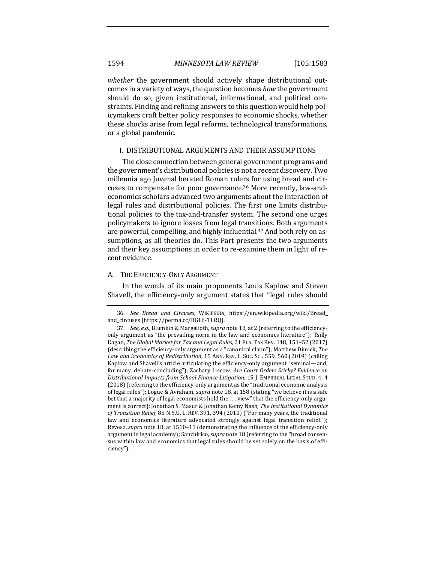*whether* the government should actively shape distributional outcomes in a variety of ways, the question becomes *how* the government should do so, given institutional, informational, and political constraints. Finding and refining answers to this question would help policymakers craft better policy responses to economic shocks, whether these shocks arise from legal reforms, technological transformations, or a global pandemic.

## I. DISTRIBUTIONAL ARGUMENTS AND THEIR ASSUMPTIONS

The close connection between general government programs and the government's distributional policies is not a recent discovery. Two millennia ago Juvenal berated Roman rulers for using bread and circuses to compensate for poor governance.<sup>36</sup> More recently, law-andeconomics scholars advanced two arguments about the interaction of legal rules and distributional policies. The first one limits distributional policies to the tax-and-transfer system. The second one urges policymakers to ignore losses from legal transitions. Both arguments are powerful, compelling, and highly influential.<sup>37</sup> And both rely on assumptions, as all theories do. This Part presents the two arguments and their key assumptions in order to re-examine them in light of recent evidence.

## A. THE EFFICIENCY-ONLY ARGUMENT

In the words of its main proponents Louis Kaplow and Steven Shavell, the efficiency-only argument states that "legal rules should

<sup>36.</sup> *See Bread and Circuses*, WIKIPEDIA, https://en.wikipedia.org/wiki/Bread\_ and\_circuses [https://perma.cc/BGL6-TLRQ].

<sup>37.</sup> *See, e.g.*, Blumkin & Margalioth, *supra* note 18, at 2 (referring to the efficiencyonly argument as "the prevailing norm in the law and economics literature"); Tsilly Dagan, *The Global Market for Tax and Legal Rules*, 21 FLA. TAX REV. 148, 151-52 (2017) (describing the efficiency-only argument as a "canonical claim"); Matthew Dimick, *The* Law and Economics of Redistribution, 15 ANN. REV. L. Soc. ScI. 559, 560 (2019) (calling Kaplow and Shavell's article articulating the efficiency-only argument "seminal—and, for many, debate-concluding"); Zachary Liscow, Are Court Orders Sticky? Evidence on *Distributional Impacts from School Finance Litigation*, 15 J. EMPIRICAL LEGAL STUD. 4, 4  $(2018)$  (referring to the efficiency-only argument as the "traditional economic analysis of legal rules"); Logue & Avraham, *supra* note 18, at 158 (stating "we believe it is a safe bet that a majority of legal economists hold the ... view" that the efficiency-only argument is correct); Jonathan S. Masur & Jonathan Remy Nash, *The Institutional Dynamics* of Transition Relief, 85 N.Y.U. L. REV. 391, 394 (2010) ("For many years, the traditional law and economics literature advocated strongly against legal transition relief."); Revesz, *supra* note 18, at 1510–11 (demonstrating the influence of the efficiency-only argument in legal academy); Sanchirico, *supra* note 18 (referring to the "broad consensus within law and economics that legal rules should be set solely on the basis of efficiency").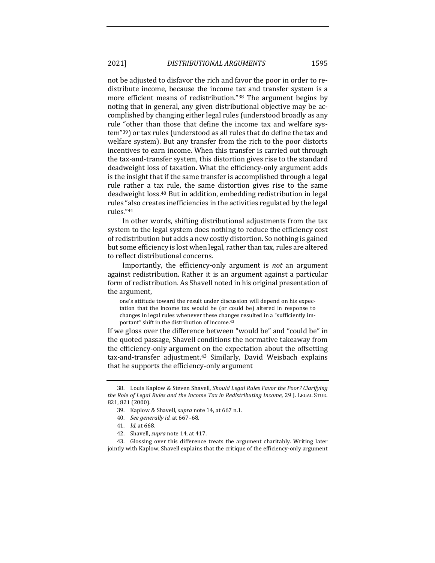not be adjusted to disfavor the rich and favor the poor in order to redistribute income, because the income tax and transfer system is a more efficient means of redistribution."38 The argument begins by noting that in general, any given distributional objective may be accomplished by changing either legal rules (understood broadly as any rule "other than those that define the income tax and welfare system"<sup>39</sup>) or tax rules (understood as all rules that do define the tax and welfare system). But any transfer from the rich to the poor distorts incentives to earn income. When this transfer is carried out through the tax-and-transfer system, this distortion gives rise to the standard deadweight loss of taxation. What the efficiency-only argument adds is the insight that if the same transfer is accomplished through a legal rule rather a tax rule, the same distortion gives rise to the same deadweight loss.<sup>40</sup> But in addition, embedding redistribution in legal rules "also creates inefficiencies in the activities regulated by the legal rules."41

In other words, shifting distributional adjustments from the tax system to the legal system does nothing to reduce the efficiency cost of redistribution but adds a new costly distortion. So nothing is gained but some efficiency is lost when legal, rather than tax, rules are altered to reflect distributional concerns.

Importantly, the efficiency-only argument is *not* an argument against redistribution. Rather it is an argument against a particular form of redistribution. As Shavell noted in his original presentation of the argument,

one's attitude toward the result under discussion will depend on his expectation that the income tax would be (or could be) altered in response to changes in legal rules whenever these changes resulted in a "sufficiently important" shift in the distribution of income.<sup>42</sup>

If we gloss over the difference between "would be" and "could be" in the quoted passage, Shavell conditions the normative takeaway from the efficiency-only argument on the expectation about the offsetting tax-and-transfer adjustment.<sup>43</sup> Similarly, David Weisbach explains that he supports the efficiency-only argument

43. Glossing over this difference treats the argument charitably. Writing later jointly with Kaplow, Shavell explains that the critique of the efficiency-only argument

<sup>38.</sup> Louis Kaplow & Steven Shavell, *Should Legal Rules Favor the Poor? Clarifying the Role of Legal Rules and the Income Tax in Redistributing Income,* 29 J. LEGAL STUD. 821, 821 (2000).

<sup>39.</sup> Kaplow & Shavell, *supra* note 14, at 667 n.1.

<sup>40.</sup> *See generally id.* at 667–68.

<sup>41.</sup> *Id.* at 668.

<sup>42.</sup> Shavell, *supra* note 14, at 417.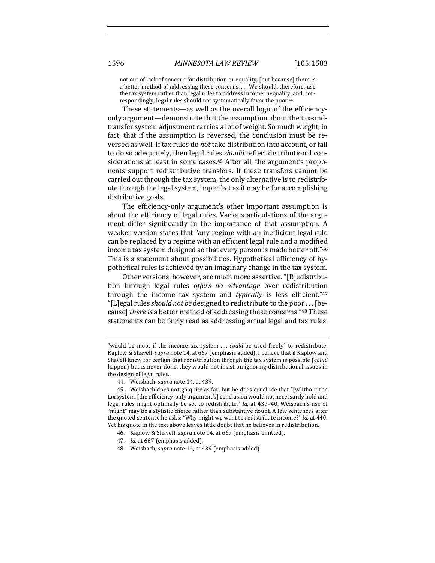not out of lack of concern for distribution or equality, [but because] there is a better method of addressing these concerns. . . . We should, therefore, use the tax system rather than legal rules to address income inequality, and, correspondingly, legal rules should not systematically favor the poor.<sup>44</sup>

These statements—as well as the overall logic of the efficiencyonly argument—demonstrate that the assumption about the tax-andtransfer system adjustment carries a lot of weight. So much weight, in fact, that if the assumption is reversed, the conclusion must be reversed as well. If tax rules do *not* take distribution into account, or fail to do so adequately, then legal rules *should* reflect distributional considerations at least in some cases.<sup>45</sup> After all, the argument's proponents support redistributive transfers. If these transfers cannot be carried out through the tax system, the only alternative is to redistribute through the legal system, imperfect as it may be for accomplishing distributive goals.

The efficiency-only argument's other important assumption is about the efficiency of legal rules. Various articulations of the argument differ significantly in the importance of that assumption. A weaker version states that "any regime with an inefficient legal rule can be replaced by a regime with an efficient legal rule and a modified income tax system designed so that every person is made better off."46 This is a statement about possibilities. Hypothetical efficiency of hypothetical rules is achieved by an imaginary change in the tax system.

Other versions, however, are much more assertive. "[R]edistribution through legal rules *offers no advantage* over redistribution through the income tax system and *typically* is less efficient."<sup>47</sup> "[L]egal rules *should not be* designed to redistribute to the poor . . . [because] *there is* a better method of addressing these concerns."<sup>48</sup> These statements can be fairly read as addressing actual legal and tax rules,

<sup>&</sup>quot;would be moot if the income tax system ... *could* be used freely" to redistribute. Kaplow & Shavell, *supra* note 14, at 667 (emphasis added). I believe that if Kaplow and Shavell knew for certain that redistribution through the tax system is possible (could happen) but is never done, they would not insist on ignoring distributional issues in the design of legal rules.

<sup>44.</sup> Weisbach, *supra* note 14, at 439.

<sup>45.</sup> Weisbach does not go quite as far, but he does conclude that "[w]ithout the tax system, [the efficiency-only argument's] conclusion would not necessarily hold and legal rules might optimally be set to redistribute." *Id.* at 439–40. Weisbach's use of "might" may be a stylistic choice rather than substantive doubt. A few sentences after the quoted sentence he asks: "Why might we want to redistribute income?" *Id.* at 440. Yet his quote in the text above leaves little doubt that he believes in redistribution.

<sup>46.</sup> Kaplow & Shavell, *supra* note 14, at 669 (emphasis omitted).

<sup>47.</sup> *Id.* at 667 (emphasis added).

<sup>48.</sup> Weisbach, *supra* note 14, at 439 (emphasis added).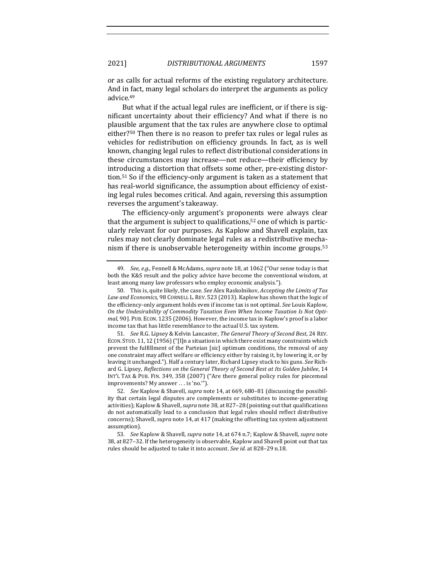or as calls for actual reforms of the existing regulatory architecture. And in fact, many legal scholars do interpret the arguments as policy advice.49

But what if the actual legal rules are inefficient, or if there is significant uncertainty about their efficiency? And what if there is no plausible argument that the tax rules are anywhere close to optimal either?<sup>50</sup> Then there is no reason to prefer tax rules or legal rules as vehicles for redistribution on efficiency grounds. In fact, as is well known, changing legal rules to reflect distributional considerations in these circumstances may increase—not reduce—their efficiency by introducing a distortion that offsets some other, pre-existing distortion.<sup>51</sup> So if the efficiency-only argument is taken as a statement that has real-world significance, the assumption about efficiency of existing legal rules becomes critical. And again, reversing this assumption reverses the argument's takeaway.

The efficiency-only argument's proponents were always clear that the argument is subject to qualifications, $52$  one of which is particularly relevant for our purposes. As Kaplow and Shavell explain, tax rules may not clearly dominate legal rules as a redistributive mechanism if there is unobservable heterogeneity within income groups.<sup>53</sup>

51. *See* R.G. Lipsey & Kelvin Lancaster, *The General Theory of Second Best*, 24 REV. ECON. STUD. 11, 12 (1956) ("[I]n a situation in which there exist many constraints which prevent the fulfillment of the Parteian [sic] optimum conditions, the removal of any one constraint may affect welfare or efficiency either by raising it, by lowering it, or by leaving it unchanged."). Half a century later, Richard Lipsey stuck to his guns. See Richard G. Lipsey, *Reflections on the General Theory of Second Best at Its Golden Jubilee*, 14 INT'L TAX & PUB. FIN. 349, 358 (2007) ("Are there general policy rules for piecemeal improvements? My answer . . . is 'no.'").

<sup>49.</sup> *See, e.g.*, Fennell & McAdams, *supra* note 18, at 1062 ("Our sense today is that both the K&S result and the policy advice have become the conventional wisdom, at least among many law professors who employ economic analysis.").

<sup>50.</sup> This is, quite likely, the case. See Alex Raskolnikov, *Accepting the Limits of Tax* Law and Economics, 98 CORNELL L. REV. 523 (2013). Kaplow has shown that the logic of the efficiency-only argument holds even if income tax is not optimal. See Louis Kaplow, On the Undesirability of Commodity Taxation Even When Income Taxation Is Not Opti*mal*, 90 J. PUB. ECON. 1235 (2006). However, the income tax in Kaplow's proof is a labor income tax that has little resemblance to the actual U.S. tax system.

<sup>52.</sup> *See* Kaplow & Shavell, *supra* note 14, at 669, 680-81 (discussing the possibility that certain legal disputes are complements or substitutes to income-generating activities); Kaplow & Shavell, *supra* note 38, at 827-28 (pointing out that qualifications do not automatically lead to a conclusion that legal rules should reflect distributive concerns); Shavell, *supra* note 14, at 417 (making the offsetting tax system adjustment assumption).

<sup>53.</sup> *See* Kaplow & Shavell, *supra* note 14, at 674 n.7; Kaplow & Shavell, *supra* note 38, at 827-32. If the heterogeneity is observable, Kaplow and Shavell point out that tax rules should be adjusted to take it into account. See id. at 828-29 n.18.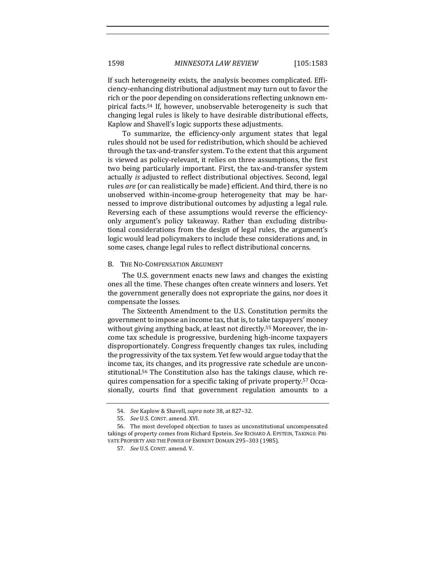If such heterogeneity exists, the analysis becomes complicated. Efficiency-enhancing distributional adjustment may turn out to favor the rich or the poor depending on considerations reflecting unknown empirical facts.<sup>54</sup> If, however, unobservable heterogeneity is such that changing legal rules is likely to have desirable distributional effects, Kaplow and Shavell's logic supports these adjustments.

To summarize, the efficiency-only argument states that legal rules should not be used for redistribution, which should be achieved through the tax-and-transfer system. To the extent that this argument is viewed as policy-relevant, it relies on three assumptions, the first two being particularly important. First, the tax-and-transfer system actually *is* adjusted to reflect distributional objectives. Second, legal rules *are* (or can realistically be made) efficient. And third, there is no unobserved within-income-group heterogeneity that may be harnessed to improve distributional outcomes by adjusting a legal rule. Reversing each of these assumptions would reverse the efficiencyonly argument's policy takeaway. Rather than excluding distributional considerations from the design of legal rules, the argument's logic would lead policymakers to include these considerations and, in some cases, change legal rules to reflect distributional concerns.

#### B. THE NO-COMPENSATION ARGUMENT

The U.S. government enacts new laws and changes the existing ones all the time. These changes often create winners and losers. Yet the government generally does not expropriate the gains, nor does it compensate the losses.

The Sixteenth Amendment to the U.S. Constitution permits the government to impose an income tax, that is, to take taxpayers' money without giving anything back, at least not directly.<sup>55</sup> Moreover, the income tax schedule is progressive, burdening high-income taxpayers disproportionately. Congress frequently changes tax rules, including the progressivity of the tax system. Yet few would argue today that the income tax, its changes, and its progressive rate schedule are unconstitutional.<sup>56</sup> The Constitution also has the takings clause, which requires compensation for a specific taking of private property.<sup>57</sup> Occasionally, courts find that government regulation amounts to a

<sup>54.</sup> *See* Kaplow & Shavell, *supra* note 38, at 827-32.

<sup>55.</sup> *See U.S. CONST. amend. XVI.* 

<sup>56.</sup> The most developed objection to taxes as unconstitutional uncompensated takings of property comes from Richard Epstein. See RICHARD A. EPSTEIN, TAKINGS: PRI-VATE PROPERTY AND THE POWER OF EMINENT DOMAIN 295-303 (1985).

<sup>57.</sup> *See U.S. CONST. amend. V.*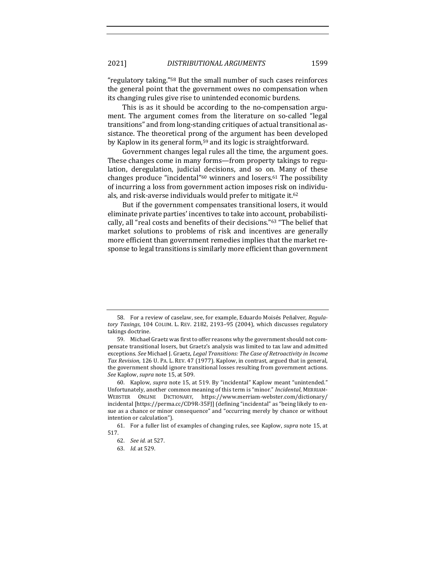"regulatory taking."<sup>58</sup> But the small number of such cases reinforces the general point that the government owes no compensation when its changing rules give rise to unintended economic burdens.

This is as it should be according to the no-compensation argument. The argument comes from the literature on so-called "legal transitions" and from long-standing critiques of actual transitional assistance. The theoretical prong of the argument has been developed by Kaplow in its general form,<sup>59</sup> and its logic is straightforward.

Government changes legal rules all the time, the argument goes. These changes come in many forms—from property takings to regulation, deregulation, judicial decisions, and so on. Many of these changes produce "incidental"<sup>60</sup> winners and losers.<sup>61</sup> The possibility of incurring a loss from government action imposes risk on individuals, and risk-averse individuals would prefer to mitigate it.<sup>62</sup>

But if the government compensates transitional losers, it would eliminate private parties' incentives to take into account, probabilistically, all "real costs and benefits of their decisions."<sup>63</sup> "The belief that market solutions to problems of risk and incentives are generally more efficient than government remedies implies that the market response to legal transitions is similarly more efficient than government

<sup>58.</sup> For a review of caselaw, see, for example, Eduardo Moisés Peñalver, Regulatory Taxings, 104 COLUM. L. REV. 2182, 2193-95 (2004), which discusses regulatory takings doctrine.

<sup>59.</sup> Michael Graetz was first to offer reasons why the government should not compensate transitional losers, but Graetz's analysis was limited to tax law and admitted exceptions. See Michael J. Graetz, *Legal Transitions: The Case of Retroactivity in Income* Tax Revision, 126 U. PA. L. REV. 47 (1977). Kaplow, in contrast, argued that in general, the government should ignore transitional losses resulting from government actions. See Kaplow, *supra* note 15, at 509.

<sup>60.</sup> Kaplow, *supra* note 15, at 519. By "incidental" Kaplow meant "unintended." Unfortunately, another common meaning of this term is "minor." *Incidental*, MERRIAM-WEBSTER ONLINE DICTIONARY, https://www.merriam-webster.com/dictionary/ incidental [https://perma.cc/CD9R-35F]] (defining "incidental" as "being likely to ensue as a chance or minor consequence" and "occurring merely by chance or without intention or calculation").

<sup>61.</sup> For a fuller list of examples of changing rules, see Kaplow, *supra* note 15, at 517.

<sup>62.</sup> *See id.* at 527.

<sup>63.</sup> *Id.* at 529.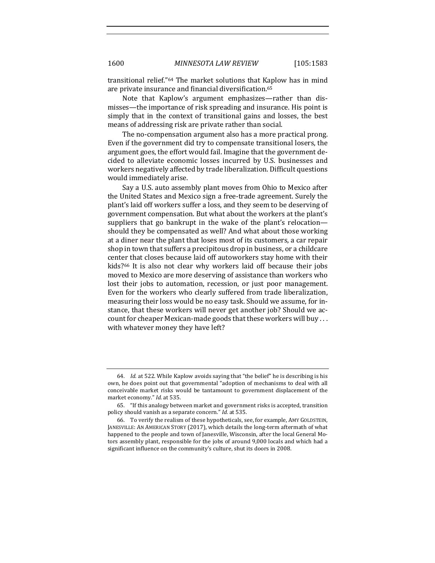transitional relief."<sup>64</sup> The market solutions that Kaplow has in mind are private insurance and financial diversification.<sup>65</sup>

Note that Kaplow's argument emphasizes—rather than dismisses—the importance of risk spreading and insurance. His point is simply that in the context of transitional gains and losses, the best means of addressing risk are private rather than social.

The no-compensation argument also has a more practical prong. Even if the government did try to compensate transitional losers, the argument goes, the effort would fail. Imagine that the government decided to alleviate economic losses incurred by U.S. businesses and workers negatively affected by trade liberalization. Difficult questions would immediately arise.

Say a U.S. auto assembly plant moves from Ohio to Mexico after the United States and Mexico sign a free-trade agreement. Surely the plant's laid off workers suffer a loss, and they seem to be deserving of government compensation. But what about the workers at the plant's suppliers that go bankrupt in the wake of the plant's relocationshould they be compensated as well? And what about those working at a diner near the plant that loses most of its customers, a car repair shop in town that suffers a precipitous drop in business, or a childcare center that closes because laid off autoworkers stay home with their kids?<sup>66</sup> It is also not clear why workers laid off because their jobs moved to Mexico are more deserving of assistance than workers who lost their jobs to automation, recession, or just poor management. Even for the workers who clearly suffered from trade liberalization, measuring their loss would be no easy task. Should we assume, for instance, that these workers will never get another job? Should we account for cheaper Mexican-made goods that these workers will buy ... with whatever money they have left?

<sup>64.</sup> *Id.* at 522. While Kaplow avoids saying that "the belief" he is describing is his own, he does point out that governmental "adoption of mechanisms to deal with all conceivable market risks would be tantamount to government displacement of the market economy." *Id.* at 535.

<sup>65. &</sup>quot;If this analogy between market and government risks is accepted, transition policy should vanish as a separate concern." *Id.* at 535.

<sup>66.</sup> To verify the realism of these hypotheticals, see, for example, AMY GOLDSTEIN, JANESVILLE: AN AMERICAN STORY (2017), which details the long-term aftermath of what happened to the people and town of Janesville, Wisconsin, after the local General Motors assembly plant, responsible for the jobs of around 9,000 locals and which had a significant influence on the community's culture, shut its doors in 2008.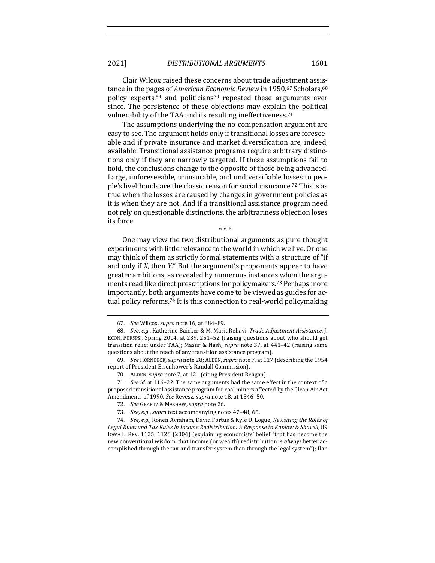Clair Wilcox raised these concerns about trade adjustment assistance in the pages of *American Economic Review* in 1950.<sup>67</sup> Scholars,<sup>68</sup> policy experts,<sup>69</sup> and politicians<sup>70</sup> repeated these arguments ever since. The persistence of these objections may explain the political vulnerability of the TAA and its resulting ineffectiveness.<sup>71</sup>

The assumptions underlying the no-compensation argument are easy to see. The argument holds only if transitional losses are foreseeable and if private insurance and market diversification are, indeed, available. Transitional assistance programs require arbitrary distinctions only if they are narrowly targeted. If these assumptions fail to hold, the conclusions change to the opposite of those being advanced. Large, unforeseeable, uninsurable, and undiversifiable losses to people's livelihoods are the classic reason for social insurance.<sup>72</sup> This is as true when the losses are caused by changes in government policies as it is when they are not. And if a transitional assistance program need not rely on questionable distinctions, the arbitrariness objection loses its force.

\* \* \*

One may view the two distributional arguments as pure thought experiments with little relevance to the world in which we live. Or one may think of them as strictly formal statements with a structure of "if and only if *X*, then *Y*." But the argument's proponents appear to have greater ambitions, as revealed by numerous instances when the arguments read like direct prescriptions for policymakers.<sup>73</sup> Perhaps more importantly, both arguments have come to be viewed as guides for actual policy reforms.<sup>74</sup> It is this connection to real-world policymaking

<sup>67.</sup> See Wilcox, *supra* note 16, at 884-89.

<sup>68.</sup> *See, e.g.*, Katherine Baicker & M. Marit Rehavi, *Trade Adjustment Assistance*, J. ECON. PERSPS., Spring 2004, at 239, 251-52 (raising questions about who should get transition relief under TAA); Masur & Nash, *supra* note 37, at 441–42 (raising same questions about the reach of any transition assistance program).

<sup>69.</sup> *See* HORNBECK, *supra* note 28; ALDEN, *supra* note 7, at 117 (describing the 1954 report of President Eisenhower's Randall Commission).

<sup>70.</sup> ALDEN, supra note 7, at 121 (citing President Reagan).

<sup>71.</sup> *See id.* at 116-22. The same arguments had the same effect in the context of a proposed transitional assistance program for coal miners affected by the Clean Air Act Amendments of 1990. See Revesz, *supra* note 18, at 1546-50.

<sup>72.</sup> *See* GRAETZ & MASHAW, *supra* note 26.

<sup>73.</sup> See, e.g., *supra* text accompanying notes 47-48, 65.

<sup>74.</sup> *See, e.g.*, Ronen Avraham, David Fortus & Kyle D. Logue, *Revisiting the Roles of* Legal Rules and Tax Rules in Income Redistribution: A Response to Kaplow & Shavell, 89 IOWA L. REV. 1125, 1126 (2004) (explaining economists' belief "that has become the new conventional wisdom: that income (or wealth) redistribution is *always* better accomplished through the tax-and-transfer system than through the legal system"); Ilan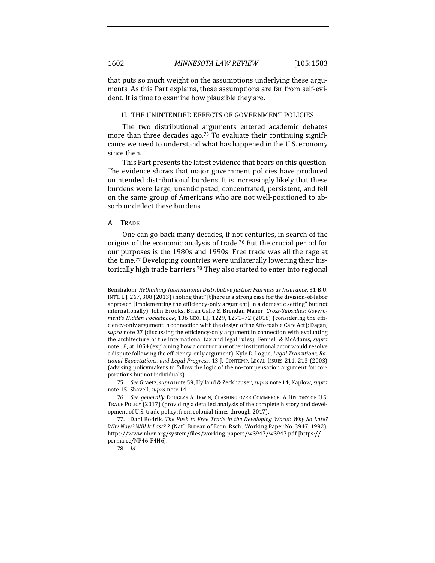that puts so much weight on the assumptions underlying these arguments. As this Part explains, these assumptions are far from self-evident. It is time to examine how plausible they are.

# II. THE UNINTENDED EFFECTS OF GOVERNMENT POLICIES

The two distributional arguments entered academic debates more than three decades ago.<sup>75</sup> To evaluate their continuing significance we need to understand what has happened in the U.S. economy since then.

This Part presents the latest evidence that bears on this question. The evidence shows that major government policies have produced unintended distributional burdens. It is increasingly likely that these burdens were large, unanticipated, concentrated, persistent, and fell on the same group of Americans who are not well-positioned to absorb or deflect these burdens.

### A. TRADE

One can go back many decades, if not centuries, in search of the origins of the economic analysis of trade.<sup>76</sup> But the crucial period for our purposes is the 1980s and 1990s. Free trade was all the rage at the time.<sup>77</sup> Developing countries were unilaterally lowering their historically high trade barriers.<sup>78</sup> They also started to enter into regional

75. *See* Graetz, *supra* note 59; Hylland & Zeckhauser, *supra* note 14; Kaplow, *supra* note 15; Shavell, *supra* note 14.

78. *Id.*

Benshalom, *Rethinking International Distributive Justice: Fairness as Insurance*, 31 B.U. INT'L L.J. 267, 308 (2013) (noting that "[t]here is a strong case for the division-of-labor approach [implementing the efficiency-only argument] in a domestic setting" but not internationally); John Brooks, Brian Galle & Brendan Maher, Cross-Subsidies: Govern*ment's Hidden Pocketbook*, 106 GEO. L.J. 1229, 1271–72 (2018) (considering the efficiency-only argument in connection with the design of the Affordable Care Act); Dagan, supra note 37 (discussing the efficiency-only argument in connection with evaluating the architecture of the international tax and legal rules); Fennell & McAdams, *supra* note 18, at 1054 (explaining how a court or any other institutional actor would resolve a dispute following the efficiency-only argument); Kyle D. Logue, *Legal Transitions*, Ra*tional Expectations, and Legal Progress*, 13 J. CONTEMP. LEGAL ISSUES 211, 213 (2003) (advising policymakers to follow the logic of the no-compensation argument for corporations but not individuals).

<sup>76.</sup> *See generally* DOUGLAS A. IRWIN, CLASHING OVER COMMERCE: A HISTORY OF U.S. TRADE POLICY (2017) (providing a detailed analysis of the complete history and development of U.S. trade policy, from colonial times through 2017).

<sup>77.</sup> Dani Rodrik, The Rush to Free Trade in the Developing World: Why So Late? *Why Now? Will It Last?* 2 (Nat'l Bureau of Econ. Rsch., Working Paper No. 3947, 1992), https://www.nber.org/system/files/working\_papers/w3947/w3947.pdf [https:// perma.cc/NP46-F4H6].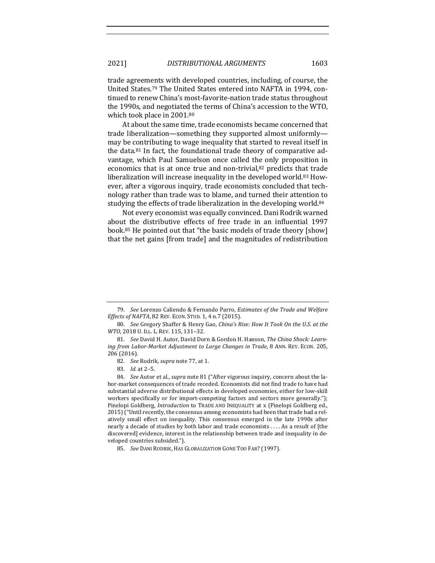trade agreements with developed countries, including, of course, the United States.<sup>79</sup> The United States entered into NAFTA in 1994, continued to renew China's most-favorite-nation trade status throughout the 1990s, and negotiated the terms of China's accession to the WTO, which took place in 2001.<sup>80</sup>

At about the same time, trade economists became concerned that trade liberalization—something they supported almost uniformly may be contributing to wage inequality that started to reveal itself in the data. $81$  In fact, the foundational trade theory of comparative advantage, which Paul Samuelson once called the only proposition in economics that is at once true and non-trivial, $82$  predicts that trade liberalization will increase inequality in the developed world.<sup>83</sup> However, after a vigorous inquiry, trade economists concluded that technology rather than trade was to blame, and turned their attention to studying the effects of trade liberalization in the developing world.<sup>84</sup>

Not every economist was equally convinced. Dani Rodrik warned about the distributive effects of free trade in an influential 1997 book.<sup>85</sup> He pointed out that "the basic models of trade theory [show] that the net gains [from trade] and the magnitudes of redistribution

<sup>79.</sup> *See* Lorenzo Caliendo & Fernando Parro, *Estimates of the Trade and Welfare Effects of NAFTA*, 82 REV. ECON. STUD. 1, 4 n.7 (2015).

<sup>80.</sup> *See* Gregory Shaffer & Henry Gao, *China's Rise: How It Took On the U.S. at the WTO*, 2018 U. ILL. L. REV. 115, 131-32.

<sup>81.</sup> *See David H. Autor, David Dorn & Gordon H. Hanson, The China Shock: Learn*ing from Labor-Market Adjustment to Large Changes in Trade, 8 ANN. REV. ECON. 205, 206 (2016).

<sup>82.</sup> *See* Rodrik, *supra* note 77, at 1.

<sup>83.</sup> *Id.* at 2–5.

<sup>84.</sup> *See* Autor et al., *supra* note 81 ("After vigorous inquiry, concern about the labor-market consequences of trade receded. Economists did not find trade to have had substantial adverse distributional effects in developed economies, either for low-skill workers specifically or for import-competing factors and sectors more generally."); Pinelopi Goldberg, *Introduction* to TRADE AND INEQUALITY at x (Pinelopi Goldberg ed., 2015) ("Until recently, the consensus among economists had been that trade had a relatively small effect on inequality. This consensus emerged in the late 1990s after nearly a decade of studies by both labor and trade economists . . . . As a result of [the discovered] evidence, interest in the relationship between trade and inequality in developed countries subsided.").

<sup>85.</sup> *See DANI RODRIK, HAS GLOBALIZATION GONE TOO FAR? (1997).*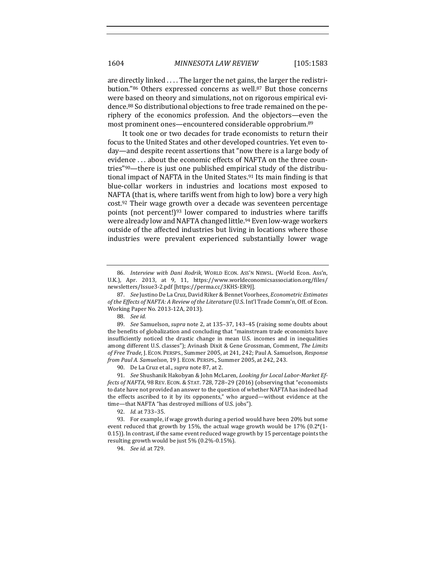are directly linked  $\dots$  The larger the net gains, the larger the redistribution."86 Others expressed concerns as well.87 But those concerns were based on theory and simulations, not on rigorous empirical evidence.<sup>88</sup> So distributional objections to free trade remained on the periphery of the economics profession. And the objectors—even the most prominent ones—encountered considerable opprobrium.<sup>89</sup>

It took one or two decades for trade economists to return their focus to the United States and other developed countries. Yet even today—and despite recent assertions that "now there is a large body of evidence ... about the economic effects of NAFTA on the three countries" $90$ —there is just one published empirical study of the distributional impact of NAFTA in the United States.<sup>91</sup> Its main finding is that blue-collar workers in industries and locations most exposed to NAFTA (that is, where tariffs went from high to low) bore a very high  $cost.^{92}$  Their wage growth over a decade was seventeen percentage points (not percent!)<sup>93</sup> lower compared to industries where tariffs were already low and NAFTA changed little.<sup>94</sup> Even low-wage workers outside of the affected industries but living in locations where those industries were prevalent experienced substantially lower wage

<sup>86.</sup> *Interview with Dani Rodrik*, WORLD ECON. Ass'N NEWSL. (World Econ. Ass'n, U.K.), Apr. 2013, at 9, 11, https://www.worldeconomicsassociation.org/files/ newsletters/Issue3-2.pdf [https://perma.cc/3KHS-ER9J]. 

<sup>87.</sup> *See* Justino De La Cruz, David Riker & Bennet Voorhees, *Econometric Estimates* of the Effects of NAFTA: A Review of the Literature (U.S. Int'l Trade Comm'n, Off. of Econ. Working Paper No. 2013-12A, 2013).

<sup>88.</sup> *See id.*

<sup>89.</sup> *See* Samuelson, *supra* note 2, at 135-37, 143-45 (raising some doubts about the benefits of globalization and concluding that "mainstream trade economists have insufficiently noticed the drastic change in mean U.S. incomes and in inequalities among different U.S. classes"); Avinash Dixit & Gene Grossman, Comment, The Limits of Free Trade, J. ECON. PERSPS., Summer 2005, at 241, 242; Paul A. Samuelson, *Response from Paul A. Samuelson,* 19 J. ECON. PERSPS., Summer 2005, at 242, 243.

<sup>90.</sup> De La Cruz et al., *supra* note 87, at 2.

<sup>91.</sup> *See* Shushanik Hakobyan & John McLaren, *Looking for Local Labor-Market Effects of NAFTA*, 98 REV. ECON. & STAT. 728, 728-29 (2016) (observing that "economists to date have not provided an answer to the question of whether NAFTA has indeed had the effects ascribed to it by its opponents," who argued—without evidence at the time—that NAFTA "has destroyed millions of U.S. jobs").

<sup>92.</sup> *Id.* at 733–35.

<sup>93.</sup> For example, if wage growth during a period would have been 20% but some event reduced that growth by 15%, the actual wage growth would be 17%  $(0.2*(1-t))$ 0.15)). In contrast, if the same event reduced wage growth by 15 percentage points the resulting growth would be just 5% (0.2%-0.15%).

<sup>94.</sup> *See id.* at 729.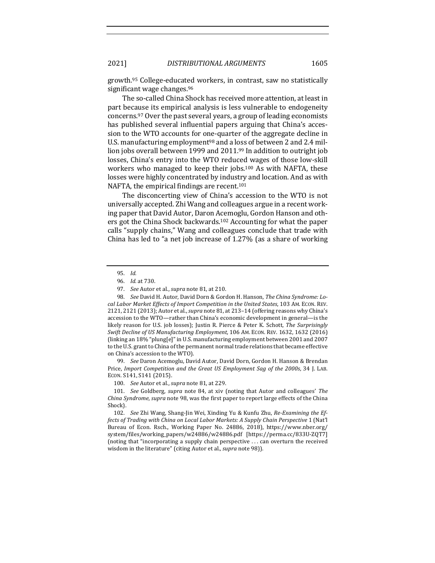growth.<sup>95</sup> College-educated workers, in contrast, saw no statistically significant wage changes.<sup>96</sup>

The so-called China Shock has received more attention, at least in part because its empirical analysis is less vulnerable to endogeneity concerns.<sup>97</sup> Over the past several years, a group of leading economists has published several influential papers arguing that China's accession to the WTO accounts for one-quarter of the aggregate decline in U.S. manufacturing employment<sup>98</sup> and a loss of between 2 and 2.4 million jobs overall between 1999 and  $2011.99$  In addition to outright job losses, China's entry into the WTO reduced wages of those low-skill workers who managed to keep their jobs.<sup>100</sup> As with NAFTA, these losses were highly concentrated by industry and location. And as with NAFTA, the empirical findings are recent.<sup>101</sup>

The disconcerting view of China's accession to the WTO is not universally accepted. Zhi Wang and colleagues argue in a recent working paper that David Autor, Daron Acemoglu, Gordon Hanson and others got the China Shock backwards.<sup>102</sup> Accounting for what the paper calls "supply chains," Wang and colleagues conclude that trade with China has led to "a net job increase of  $1.27\%$  (as a share of working

99. *See* Daron Acemoglu, David Autor, David Dorn, Gordon H. Hanson & Brendan Price, *Import Competition and the Great US Employment Sag of the 2000s*, 34 J. LAB. ECON. S141, S141 (2015).

100. *See* Autor et al., *supra* note 81, at 229.

101. *See* Goldberg, *supra* note 84, at xiv (noting that Autor and colleagues' The *China Syndrome, supra* note 98, was the first paper to report large effects of the China Shock).

102. *See* Zhi Wang, Shang-Jin Wei, Xinding Yu & Kunfu Zhu, *Re-Examining the Effects of Trading with China on Local Labor Markets: A Supply Chain Perspective* 1 (Nat'l Bureau of Econ. Rsch., Working Paper No. 24886, 2018), https://www.nber.org/ system/files/working\_papers/w24886/w24886.pdf [https://perma.cc/833U-ZQT7] (noting that "incorporating a supply chain perspective  $\dots$  can overturn the received wisdom in the literature" (citing Autor et al., *supra* note 98)).

<sup>95.</sup> *Id.*

<sup>96.</sup> *Id.* at 730.

<sup>97.</sup> *See* Autor et al., *supra* note 81, at 210.

<sup>98.</sup> See David H. Autor, David Dorn & Gordon H. Hanson, *The China Syndrome: Lo*cal Labor Market Effects of Import Competition in the United States, 103 AM. ECON. REV. 2121, 2121 (2013); Autor et al., *supra* note 81, at 213–14 (offering reasons why China's accession to the WTO—rather than China's economic development in general—is the likely reason for U.S. job losses); Justin R. Pierce & Peter K. Schott, *The Surprisingly Swift Decline of US Manufacturing Employment*, 106 AM. ECON. REV. 1632, 1632 (2016) (linking an 18% "plung[e]" in U.S. manufacturing employment between 2001 and 2007 to the U.S. grant to China of the permanent normal trade relations that became effective on China's accession to the WTO).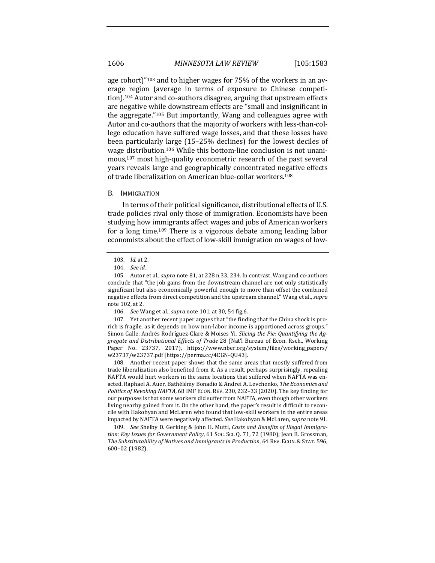age cohort) $"^{103}$  and to higher wages for 75% of the workers in an average region (average in terms of exposure to Chinese competition).<sup>104</sup> Autor and co-authors disagree, arguing that upstream effects are negative while downstream effects are "small and insignificant in the aggregate." $105$  But importantly, Wang and colleagues agree with Autor and co-authors that the majority of workers with less-than-college education have suffered wage losses, and that these losses have been particularly large (15–25% declines) for the lowest deciles of wage distribution.<sup>106</sup> While this bottom-line conclusion is not unanimous, $107$  most high-quality econometric research of the past several years reveals large and geographically concentrated negative effects of trade liberalization on American blue-collar workers.<sup>108</sup>

#### B. IMMIGRATION

In terms of their political significance, distributional effects of U.S. trade policies rival only those of immigration. Economists have been studying how immigrants affect wages and jobs of American workers for a long time.<sup>109</sup> There is a vigorous debate among leading labor economists about the effect of low-skill immigration on wages of low-

107. Yet another recent paper argues that "the finding that the China shock is prorich is fragile, as it depends on how non-labor income is apportioned across groups." Simon Galle, Andrés Rodríguez-Clare & Moises Yi, *Slicing the Pie: Quantifying the Aggregate and Distributional Effects of Trade* 28 (Nat'l Bureau of Econ. Rsch., Working Paper No. 23737, 2017), https://www.nber.org/system/files/working\_papers/ w23737/w23737.pdf [https://perma.cc/4EGN-QU43].

108. Another recent paper shows that the same areas that mostly suffered from trade liberalization also benefited from it. As a result, perhaps surprisingly, repealing NAFTA would hurt workers in the same locations that suffered when NAFTA was enacted. Raphael A. Auer, Bathélémy Bonadio & Andrei A. Levchenko, The Economics and *Politics of Revoking NAFTA*, 68 IMF ECON. REV. 230, 232-33 (2020). The key finding for our purposes is that some workers did suffer from NAFTA, even though other workers living nearby gained from it. On the other hand, the paper's result is difficult to reconcile with Hakobyan and McLaren who found that low-skill workers in the entire areas impacted by NAFTA were negatively affected. *See* Hakobyan & McLaren, *supra* note 91.

109. *See* Shelby D. Gerking & John H. Mutti, Costs and Benefits of Illegal Immigration: Key Issues for Government Policy, 61 Soc. Sci. Q. 71, 72 (1980); Jean B. Grossman, The Substitutability of Natives and Immigrants in Production, 64 REV. ECON. & STAT. 596, 600–02 (1982). 

<sup>103.</sup> *Id.* at 2.

<sup>104.</sup> *See id.*

<sup>105.</sup> Autor et al., *supra* note 81, at 228 n.33, 234. In contrast, Wang and co-authors conclude that "the job gains from the downstream channel are not only statistically significant but also economically powerful enough to more than offset the combined negative effects from direct competition and the upstream channel." Wang et al., *supra* note 102, at 2.

<sup>106.</sup> *See* Wang et al., *supra* note 101, at 30, 54 fig.6.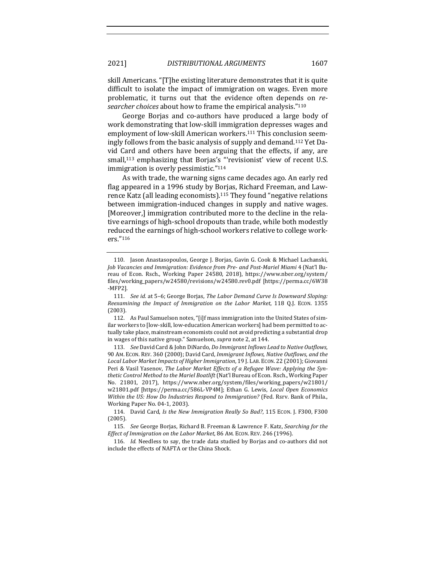2021] *DISTRIBUTIONAL ARGUMENTS* 1607

skill Americans. "[T]he existing literature demonstrates that it is quite difficult to isolate the impact of immigration on wages. Even more problematic, it turns out that the evidence often depends on *researcher choices* about how to frame the empirical analysis."<sup>110</sup>

George Borjas and co-authors have produced a large body of work demonstrating that low-skill immigration depresses wages and employment of low-skill American workers.<sup>111</sup> This conclusion seemingly follows from the basic analysis of supply and demand.<sup>112</sup> Yet David Card and others have been arguing that the effects, if any, are small,<sup>113</sup> emphasizing that Borjas's "'revisionist' view of recent U.S. immigration is overly pessimistic."<sup>114</sup>

As with trade, the warning signs came decades ago. An early red flag appeared in a 1996 study by Borjas, Richard Freeman, and Lawrence Katz (all leading economists).<sup>115</sup> They found "negative relations between immigration-induced changes in supply and native wages. [Moreover,] immigration contributed more to the decline in the relative earnings of high-school dropouts than trade, while both modestly reduced the earnings of high-school workers relative to college workers."116

113. *See* David Card & John DiNardo, *Do Immigrant Inflows Lead to Native Outflows*, 90 AM. ECON. REV. 360 (2000); David Card, *Immigrant Inflows, Native Outflows, and the* Local Labor Market Impacts of Higher Immigration, 19 J. LAB. ECON. 22 (2001); Giovanni Peri & Vasil Yasenov, *The Labor Market Effects of a Refugee Wave: Applying the Synthetic Control Method to the Mariel Boatlift* (Nat'l Bureau of Econ. Rsch., Working Paper No. 21801, 2017), https://www.nber.org/system/files/working\_papers/w21801/ w21801.pdf [https://perma.cc/586L-VP4M]; Ethan G. Lewis, *Local Open Economics Within the US: How Do Industries Respond to Immigration?* (Fed. Rsrv. Bank of Phila., Working Paper No. 04-1, 2003).

114. David Card, *Is the New Immigration Really So Bad?*, 115 ECON. J. F300, F300 (2005).

116. *Id.* Needless to say, the trade data studied by Borjas and co-authors did not include the effects of NAFTA or the China Shock.

<sup>110.</sup> Jason Anastasopoulos, George J. Borjas, Gavin G. Cook & Michael Lachanski, *Job Vacancies and Immigration: Evidence from Pre- and Post-Mariel Miami* 4 (Nat'l Bureau of Econ. Rsch., Working Paper 24580, 2018), https://www.nber.org/system/ files/working\_papers/w24580/revisions/w24580.rev0.pdf [https://perma.cc/6W38 -MFP2].

<sup>111.</sup> See id. at 5-6; George Borjas, *The Labor Demand Curve Is Downward Sloping: Reexamining the Impact of Immigration on the Labor Market,* 118 Q.J. ECON. 1355 (2003).

<sup>112.</sup> As Paul Samuelson notes, "[i]f mass immigration into the United States of similar workers to [low-skill, low-education American workers] had been permitted to actually take place, mainstream economists could not avoid predicting a substantial drop in wages of this native group." Samuelson, *supra* note 2, at 144.

<sup>115.</sup> *See* George Borjas, Richard B. Freeman & Lawrence F. Katz, *Searching for the* Effect of Immigration on the Labor Market, 86 AM. ECON. REV. 246 (1996).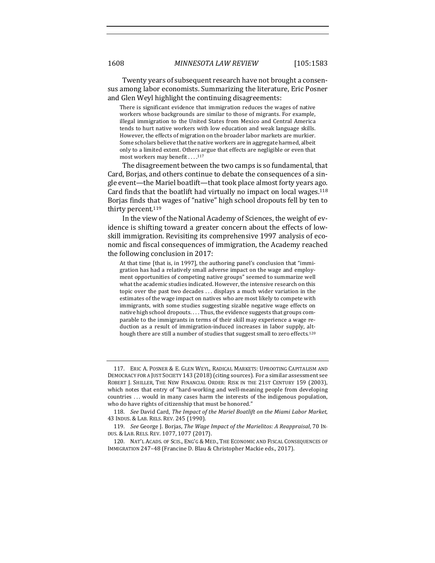Twenty years of subsequent research have not brought a consensus among labor economists. Summarizing the literature, Eric Posner and Glen Weyl highlight the continuing disagreements:

There is significant evidence that immigration reduces the wages of native workers whose backgrounds are similar to those of migrants. For example, illegal immigration to the United States from Mexico and Central America tends to hurt native workers with low education and weak language skills. However, the effects of migration on the broader labor markets are murkier. Some scholars believe that the native workers are in aggregate harmed, albeit only to a limited extent. Others argue that effects are negligible or even that most workers may benefit . . . . 117

The disagreement between the two camps is so fundamental, that Card, Borjas, and others continue to debate the consequences of a single event—the Mariel boatlift—that took place almost forty years ago. Card finds that the boatlift had virtually no impact on local wages. $118$ Borjas finds that wages of "native" high school dropouts fell by ten to thirty percent.<sup>119</sup>

In the view of the National Academy of Sciences, the weight of evidence is shifting toward a greater concern about the effects of lowskill immigration. Revisiting its comprehensive 1997 analysis of economic and fiscal consequences of immigration, the Academy reached the following conclusion in 2017:

At that time [that is, in 1997], the authoring panel's conclusion that "immigration has had a relatively small adverse impact on the wage and employment opportunities of competing native groups" seemed to summarize well what the academic studies indicated. However, the intensive research on this topic over the past two decades  $\dots$  displays a much wider variation in the estimates of the wage impact on natives who are most likely to compete with immigrants, with some studies suggesting sizable negative wage effects on native high school dropouts. . . . Thus, the evidence suggests that groups comparable to the immigrants in terms of their skill may experience a wage reduction as a result of immigration-induced increases in labor supply, although there are still a number of studies that suggest small to zero effects.<sup>120</sup>

<sup>117.</sup> ERIC A. POSNER & E. GLEN WEYL, RADICAL MARKETS: UPROOTING CAPITALISM AND DEMOCRACY FOR A JUST SOCIETY 143 (2018) (citing sources). For a similar assessment see ROBERT J. SHILLER, THE NEW FINANCIAL ORDER: RISK IN THE 21ST CENTURY 159 (2003), which notes that entry of "hard-working and well-meaning people from developing countries ... would in many cases harm the interests of the indigenous population, who do have rights of citizenship that must be honored."

<sup>118.</sup> *See* David Card, *The Impact of the Mariel Boatlift on the Miami Labor Market,* 43 INDUS. & LAB. RELS. REV. 245 (1990).

<sup>119.</sup> *See* George J. Borjas, *The Wage Impact of the Marielitos: A Reappraisal*, 70 IN-DUS. & LAB. RELS. REV. 1077, 1077 (2017).

<sup>120.</sup> NAT'L ACADS. OF SCIS., ENG'G & MED., THE ECONOMIC AND FISCAL CONSEQUENCES OF IMMIGRATION 247-48 (Francine D. Blau & Christopher Mackie eds., 2017).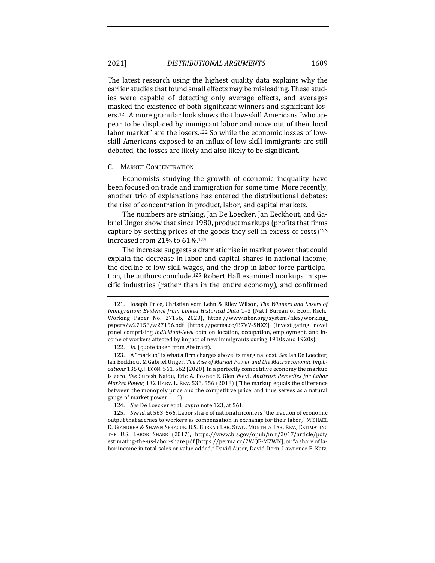The latest research using the highest quality data explains why the earlier studies that found small effects may be misleading. These studies were capable of detecting only average effects, and averages masked the existence of both significant winners and significant losers.<sup>121</sup> A more granular look shows that low-skill Americans "who appear to be displaced by immigrant labor and move out of their local labor market" are the losers.<sup>122</sup> So while the economic losses of lowskill Americans exposed to an influx of low-skill immigrants are still debated, the losses are likely and also likely to be significant.

#### C. MARKET CONCENTRATION

Economists studying the growth of economic inequality have been focused on trade and immigration for some time. More recently, another trio of explanations has entered the distributional debates: the rise of concentration in product, labor, and capital markets.

The numbers are striking. Jan De Loecker, Jan Eeckhout, and Gabriel Unger show that since 1980, product markups (profits that firms capture by setting prices of the goods they sell in excess of costs) $123$ increased from  $21\%$  to  $61\%$ .<sup>124</sup>

The increase suggests a dramatic rise in market power that could explain the decrease in labor and capital shares in national income, the decline of low-skill wages, and the drop in labor force participation, the authors conclude.<sup>125</sup> Robert Hall examined markups in specific industries (rather than in the entire economy), and confirmed

<sup>121.</sup> Joseph Price, Christian vom Lehn & Riley Wilson, *The Winners and Losers of Immigration: Evidence from Linked Historical Data* 1-3 (Nat'l Bureau of Econ. Rsch., Working Paper No. 27156, 2020), https://www.nber.org/system/files/working papers/w27156/w27156.pdf [https://perma.cc/B7VV-SNXZ] (investigating novel panel comprising *individual-level* data on location, occupation, employment, and income of workers affected by impact of new immigrants during 1910s and 1920s).

<sup>122.</sup> *Id.* (quote taken from Abstract).

<sup>123.</sup> A "markup" is what a firm charges above its marginal cost. See Jan De Loecker, Jan Eeckhout & Gabriel Unger, *The Rise of Market Power and the Macroeconomic Implications* 135 Q.J. Econ. 561, 562 (2020). In a perfectly competitive economy the markup is zero. See Suresh Naidu, Eric A. Posner & Glen Weyl, *Antitrust Remedies for Labor Market Power*, 132 HARV. L. REV. 536, 556 (2018) ("The markup equals the difference between the monopoly price and the competitive price, and thus serves as a natural gauge of market power . . . .").

<sup>124.</sup> *See* De Loecker et al., *supra* note 123, at 561.

<sup>125.</sup> *See id.* at 563, 566. Labor share of national income is "the fraction of economic output that accrues to workers as compensation in exchange for their labor," MICHAEL D. GIANDREA & SHAWN SPRAGUE, U.S. BUREAU LAB. STAT., MONTHLY LAB. REV., ESTIMATING THE U.S. LABOR SHARE (2017), https://www.bls.gov/opub/mlr/2017/article/pdf/ estimating-the-us-labor-share.pdf [https://perma.cc/7WQF-M7WN], or "a share of labor income in total sales or value added," David Autor, David Dorn, Lawrence F. Katz,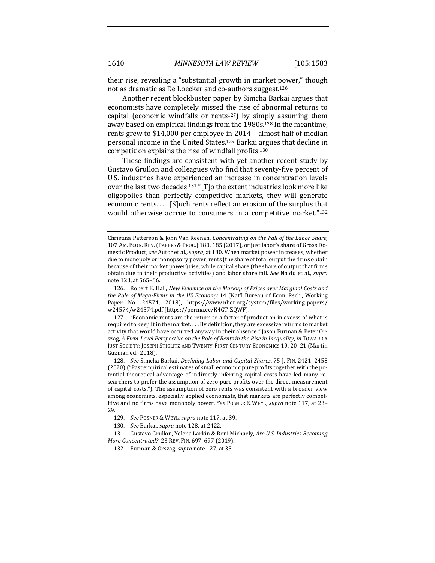their rise, revealing a "substantial growth in market power," though not as dramatic as De Loecker and co-authors suggest.<sup>126</sup>

Another recent blockbuster paper by Simcha Barkai argues that economists have completely missed the rise of abnormal returns to capital (economic windfalls or rents<sup>127</sup>) by simply assuming them away based on empirical findings from the 1980s.<sup>128</sup> In the meantime, rents grew to \$14,000 per employee in 2014—almost half of median personal income in the United States.<sup>129</sup> Barkai argues that decline in competition explains the rise of windfall profits.<sup>130</sup>

These findings are consistent with yet another recent study by Gustavo Grullon and colleagues who find that seventy-five percent of U.S. industries have experienced an increase in concentration levels over the last two decades.<sup>131</sup> "[T]o the extent industries look more like oligopolies than perfectly competitive markets, they will generate economic rents. . . . [S]uch rents reflect an erosion of the surplus that would otherwise accrue to consumers in a competitive market."<sup>132</sup>

Christina Patterson & John Van Reenan, *Concentrating on the Fall of the Labor Share*, 107 AM. ECON. REV. (PAPERS & PROC.) 180, 185 (2017), or just labor's share of Gross Domestic Product, see Autor et al., supra, at 180. When market power increases, whether due to monopoly or monopsony power, rents (the share of total output the firms obtain because of their market power) rise, while capital share (the share of output that firms obtain due to their productive activities) and labor share fall. See Naidu et al., supra note 123, at 565-66.

<sup>126.</sup> Robert E. Hall, *New Evidence on the Markup of Prices over Marginal Costs and the Role of Mega-Firms in the US Economy* 14 (Nat'l Bureau of Econ. Rsch., Working Paper No. 24574, 2018), https://www.nber.org/system/files/working\_papers/ w24574/w24574.pdf [https://perma.cc/K4GT-ZQWF].

<sup>127. &</sup>quot;Economic rents are the return to a factor of production in excess of what is required to keep it in the market. . . . By definition, they are excessive returns to market activity that would have occurred anyway in their absence." Jason Furman & Peter Orszag, A Firm-Level Perspective on the Role of Rents in the Rise in Inequality, in TOWARD A JUST SOCIETY: JOSEPH STIGLITZ AND TWENTY-FIRST CENTURY ECONOMICS 19, 20-21 (Martin Guzman ed., 2018).

<sup>128.</sup> *See* Simcha Barkai, *Declining Labor and Capital Shares*, 75 J. FIN. 2421, 2458 (2020) ("Past empirical estimates of small economic pure profits together with the potential theoretical advantage of indirectly inferring capital costs have led many researchers to prefer the assumption of zero pure profits over the direct measurement of capital costs."). The assumption of zero rents was consistent with a broader view among economists, especially applied economists, that markets are perfectly competitive and no firms have monopoly power. See POSNER & WEYL, supra note 117, at 23-29.

<sup>129.</sup> *See POSNER & WEYL, supra note* 117, at 39.

<sup>130.</sup> *See Barkai, supra* note 128, at 2422.

<sup>131.</sup> Gustavo Grullon, Yelena Larkin & Roni Michaely, *Are U.S. Industries Becoming More Concentrated?, 23 REV. FIN. 697, 697 (2019).* 

<sup>132.</sup> Furman & Orszag, *supra* note 127, at 35.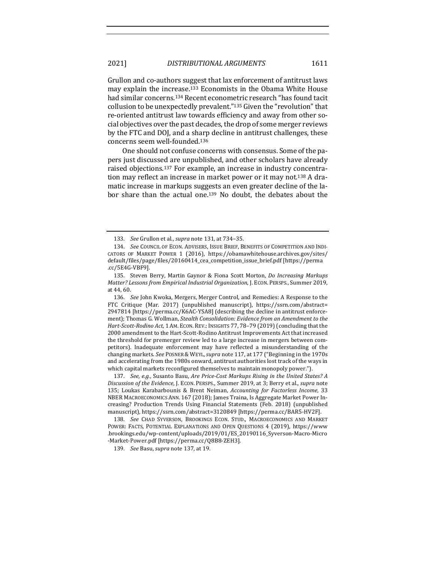Grullon and co-authors suggest that lax enforcement of antitrust laws may explain the increase.<sup>133</sup> Economists in the Obama White House had similar concerns.<sup>134</sup> Recent econometric research "has found tacit collusion to be unexpectedly prevalent."<sup>135</sup> Given the "revolution" that re-oriented antitrust law towards efficiency and away from other social objectives over the past decades, the drop of some merger reviews by the FTC and DOJ, and a sharp decline in antitrust challenges, these concerns seem well-founded.<sup>136</sup>

One should not confuse concerns with consensus. Some of the papers just discussed are unpublished, and other scholars have already raised objections.<sup>137</sup> For example, an increase in industry concentration may reflect an increase in market power or it may not.<sup>138</sup> A dramatic increase in markups suggests an even greater decline of the labor share than the actual one.<sup>139</sup> No doubt, the debates about the

136. *See John Kwoka, Mergers, Merger Control, and Remedies: A Response to the* FTC Critique (Mar. 2017) (unpublished manuscript), https://ssrn.com/abstract= 2947814 [https://perma.cc/K6AC-YSA8] (describing the decline in antitrust enforcement); Thomas G. Wollman, *Stealth Consolidation: Evidence from an Amendment to the Hart-Scott-Rodino Act*, 1 AM. ECON. REV.: INSIGHTS 77, 78-79 (2019) (concluding that the 2000 amendment to the Hart-Scott-Rodino Antitrust Improvements Act that increased the threshold for premerger review led to a large increase in mergers between competitors). Inadequate enforcement may have reflected a misunderstanding of the changing markets. See POSNER & WEYL, supra note 117, at 177 ("Beginning in the 1970s and accelerating from the 1980s onward, antitrust authorities lost track of the ways in which capital markets reconfigured themselves to maintain monopoly power.").

137. *See, e.g.*, Susanto Basu, Are Price-Cost Markups Rising in the United States? A *Discussion of the Evidence*, J. ECON. PERSPS., Summer 2019, at 3; Berry et al., *supra* note 135; Loukas Karabarbounis & Brent Neiman, *Accounting for Factorless Income*, 33 NBER MACROECONOMICS ANN. 167 (2018); James Traina, Is Aggregate Market Power Increasing? Production Trends Using Financial Statements (Feb. 2018) (unpublished manuscript), https://ssrn.com/abstract=3120849 [https://perma.cc/BAR5-HV2F].

138. See CHAD SYVERSON, BROOKINGS ECON. STUD., MACROECONOMICS AND MARKET POWER: FACTS, POTENTIAL EXPLANATIONS AND OPEN QUESTIONS 4 (2019), https://www .brookings.edu/wp-content/uploads/2019/01/ES\_20190116\_Syverson-Macro-Micro -Market-Power.pdf [https://perma.cc/Q8B8-ZEH3]. 

139. *See Basu, supra note* 137, at 19.

<sup>133.</sup> *See* Grullon et al., *supra* note 131, at 734-35.

<sup>134.</sup> *See* COUNCIL OF ECON. ADVISERS, ISSUE BRIEF, BENEFITS OF COMPETITION AND INDI-CATORS OF MARKET POWER 1 (2016), https://obamawhitehouse.archives.gov/sites/ default/files/page/files/20160414\_cea\_competition\_issue\_brief.pdf [https://perma .cc/5E4G-VBF9].

<sup>135.</sup> Steven Berry, Martin Gaynor & Fiona Scott Morton, *Do Increasing Markups Matter? Lessons from Empirical Industrial Organization, J. ECON. PERSPS., Summer 2019,* at 44, 60.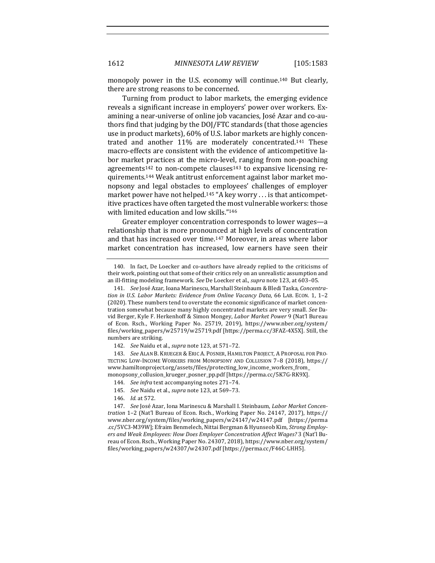monopoly power in the U.S. economy will continue.<sup>140</sup> But clearly, there are strong reasons to be concerned.

Turning from product to labor markets, the emerging evidence reveals a significant increase in employers' power over workers. Examining a near-universe of online job vacancies, José Azar and co-authors find that judging by the DOJ/FTC standards (that those agencies use in product markets), 60% of U.S. labor markets are highly concentrated and another 11% are moderately concentrated.<sup>141</sup> These macro-effects are consistent with the evidence of anticompetitive labor market practices at the micro-level, ranging from non-poaching agreements<sup>142</sup> to non-compete clauses<sup>143</sup> to expansive licensing requirements.<sup>144</sup> Weak antitrust enforcement against labor market monopsony and legal obstacles to employees' challenges of employer market power have not helped.<sup>145</sup> "A key worry . . . is that anticompetitive practices have often targeted the most vulnerable workers: those with limited education and low skills."<sup>146</sup>

Greater employer concentration corresponds to lower wages-a relationship that is more pronounced at high levels of concentration and that has increased over time.<sup>147</sup> Moreover, in areas where labor market concentration has increased, low earners have seen their

<sup>140.</sup> In fact, De Loecker and co-authors have already replied to the criticisms of their work, pointing out that some of their critics rely on an unrealistic assumption and an ill-fitting modeling framework. See De Loecker et al., *supra* note 123, at 603-05.

<sup>141.</sup> See José Azar, Ioana Marinescu, Marshall Steinbaum & Bledi Taska, Concentra*tion in U.S. Labor Markets: Evidence from Online Vacancy Data*, 66 LAB. ECON. 1, 1-2 (2020). These numbers tend to overstate the economic significance of market concentration somewhat because many highly concentrated markets are very small. See David Berger, Kyle F. Herkenhoff & Simon Mongey, *Labor Market Power* 9 (Nat'l Bureau of Econ. Rsch., Working Paper No. 25719, 2019), https://www.nber.org/system/ files/working\_papers/w25719/w25719.pdf [https://perma.cc/3FAZ-4X5X]. Still, the numbers are striking.

<sup>142.</sup> *See* Naidu et al., *supra* note 123, at 571-72.

<sup>143.</sup> *See* ALAN B. KRUEGER & ERIC A. POSNER, HAMILTON PROJECT, A PROPOSAL FOR PRO-TECTING LOW-INCOME WORKERS FROM MONOPSONY AND COLLUSION 7-8 (2018), https:// www.hamiltonproject.org/assets/files/protecting\_low\_income\_workers\_from\_ monopsony\_collusion\_krueger\_posner\_pp.pdf [https://perma.cc/5K7G-RK9X].

<sup>144.</sup> *See infra* text accompanying notes 271-74.

<sup>145.</sup> *See* Naidu et al., *supra* note 123, at 569-73.

<sup>146.</sup> *Id.* at 572.

<sup>147.</sup> See José Azar, Iona Marinescu & Marshall I. Steinbaum, *Labor Market Concentration* 1–2 (Nat'l Bureau of Econ. Rsch., Working Paper No. 24147, 2017), https:// www.nber.org/system/files/working\_papers/w24147/w24147.pdf [https://perma .cc/5VC3-M39W]; Efraim Benmelech, Nittai Bergman & Hyunseob Kim, *Strong Employ*ers and Weak Employees: How Does Employer Concentration Affect Wages? 3 (Nat'l Bureau of Econ. Rsch., Working Paper No. 24307, 2018), https://www.nber.org/system/ files/working\_papers/w24307/w24307.pdf [https://perma.cc/F46C-LHH5].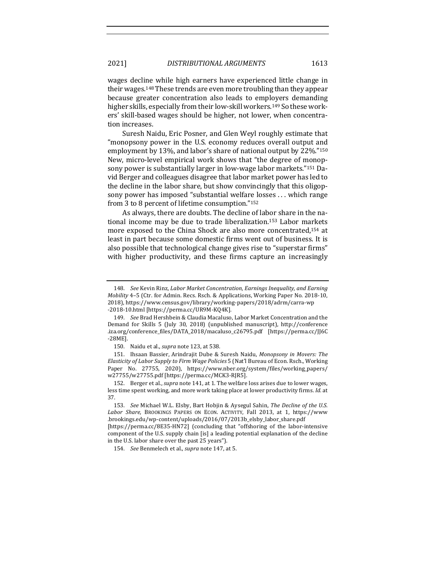wages decline while high earners have experienced little change in their wages.<sup>148</sup> These trends are even more troubling than they appear because greater concentration also leads to employers demanding higher skills, especially from their low-skill workers.<sup>149</sup> So these workers' skill-based wages should be higher, not lower, when concentration increases.

Suresh Naidu, Eric Posner, and Glen Weyl roughly estimate that "monopsony power in the U.S. economy reduces overall output and employment by 13%, and labor's share of national output by  $22\%$ ."<sup>150</sup> New, micro-level empirical work shows that "the degree of monopsony power is substantially larger in low-wage labor markets."<sup>151</sup> David Berger and colleagues disagree that labor market power has led to the decline in the labor share, but show convincingly that this oligopsony power has imposed "substantial welfare losses ... which range from 3 to 8 percent of lifetime consumption."152

As always, there are doubts. The decline of labor share in the national income may be due to trade liberalization.<sup>153</sup> Labor markets more exposed to the China Shock are also more concentrated, $154$  at least in part because some domestic firms went out of business. It is also possible that technological change gives rise to "superstar firms" with higher productivity, and these firms capture an increasingly

<sup>148.</sup> *See* Kevin Rinz, *Labor Market Concentration, Earnings Inequality, and Earning Mobility* 4-5 (Ctr. for Admin. Recs. Rsch. & Applications, Working Paper No. 2018-10, 2018), https://www.census.gov/library/working-papers/2018/adrm/carra-wp -2018-10.html [https://perma.cc/UR9M-KQ4K].

<sup>149.</sup> *See Brad Hershbein & Claudia Macaluso, Labor Market Concentration and the* Demand for Skills 5 (July 30, 2018) (unpublished manuscript), http://conference .iza.org/conference\_files/DATA\_2018/macaluso\_c26795.pdf [https://perma.cc/JJ6C -28ME].

<sup>150.</sup> Naidu et al., *supra* note 123, at 538.

<sup>151.</sup> Ihsaan Bassier, Arindrajit Dube & Suresh Naidu, *Monopsony in Movers: The Elasticity of Labor Supply to Firm Wage Policies* 5 (Nat'l Bureau of Econ. Rsch., Working Paper No. 27755, 2020), https://www.nber.org/system/files/working\_papers/ w27755/w27755.pdf [https://perma.cc/MCK3-RJR5].

<sup>152.</sup> Berger et al., *supra* note 141, at 1. The welfare loss arises due to lower wages, less time spent working, and more work taking place at lower productivity firms. *Id.* at 37.

<sup>153.</sup> *See* Michael W.L. Elsby, Bart Hobjin & Aysegul Sahin, *The Decline of the U.S.* Labor Share, BROOKINGS PAPERS ON ECON. ACTIVITY, Fall 2013, at 1, https://www .brookings.edu/wp-content/uploads/2016/07/2013b\_elsby\_labor\_share.pdf 

<sup>[</sup>https://perma.cc/8E35-HN72] (concluding that "offshoring of the labor-intensive component of the U.S. supply chain [is] a leading potential explanation of the decline in the U.S. labor share over the past 25 years").

<sup>154.</sup> *See* Benmelech et al., *supra* note 147, at 5.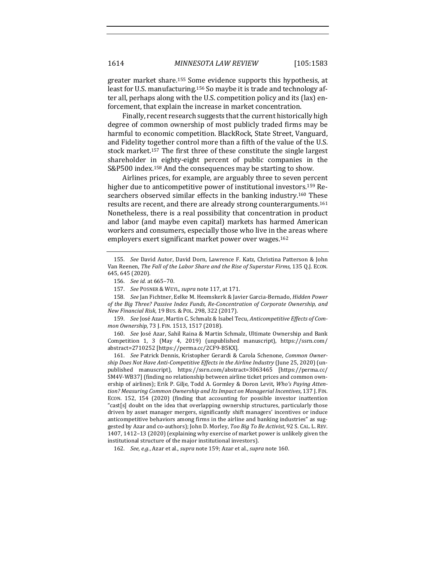greater market share.<sup>155</sup> Some evidence supports this hypothesis, at least for U.S. manufacturing.<sup>156</sup> So maybe it is trade and technology after all, perhaps along with the U.S. competition policy and its (lax) enforcement, that explain the increase in market concentration.

Finally, recent research suggests that the current historically high degree of common ownership of most publicly traded firms may be harmful to economic competition. BlackRock, State Street, Vanguard, and Fidelity together control more than a fifth of the value of the U.S. stock market.<sup>157</sup> The first three of these constitute the single largest shareholder in eighty-eight percent of public companies in the  $S\&P500$  index.<sup>158</sup> And the consequences may be starting to show.

Airlines prices, for example, are arguably three to seven percent higher due to anticompetitive power of institutional investors.<sup>159</sup> Researchers observed similar effects in the banking industry.<sup>160</sup> These results are recent, and there are already strong counterarguments.<sup>161</sup> Nonetheless, there is a real possibility that concentration in product and labor (and maybe even capital) markets has harmed American workers and consumers, especially those who live in the areas where employers exert significant market power over wages.<sup>162</sup>

158. *See Jan Fichtner, Eelke M. Heemskerk & Javier Garcia-Bernado, Hidden Power* of the Big Three? Passive Index Funds, Re-Concentration of Corporate Ownership, and *New Financial Risk*, 19 BUS. & POL. 298, 322 (2017).

159. *See José Azar, Martin C. Schmalz & Isabel Tecu, Anticompetitive Effects of Common Ownership*, 73 J. FIN. 1513, 1517 (2018).

160. *See* José Azar, Sahil Raina & Martin Schmalz, Ultimate Ownership and Bank Competition 1, 3 (May 4, 2019) (unpublished manuscript), https://ssrn.com/ abstract=2710252 [https://perma.cc/2CF9-B5KX].

161. See Patrick Dennis, Kristopher Gerardi & Carola Schenone, *Common Ownership Does Not Have Anti-Competitive Effects in the Airline Industry* (June 25, 2020) (unpublished manuscript), https://ssrn.com/abstract=3063465 [https://perma.cc/ SM4V-WB37] (finding no relationship between airline ticket prices and common ownership of airlines); Erik P. Gilje, Todd A. Gormley & Doron Levit, *Who's Paying Attention? Measuring Common Ownership and Its Impact on Managerial Incentives*, 137 J. FIN. ECON. 152, 154 (2020) (finding that accounting for possible investor inattention "cast[s] doubt on the idea that overlapping ownership structures, particularly those driven by asset manager mergers, significantly shift managers' incentives or induce anticompetitive behaviors among firms in the airline and banking industries" as suggested by Azar and co-authors); John D. Morley, Too Big To Be Activist, 92 S. CAL. L. REV. 1407, 1412-13 (2020) (explaining why exercise of market power is unlikely given the institutional structure of the major institutional investors).

162. *See, e.g.*, Azar et al., *supra* note 159; Azar et al., *supra* note 160.

<sup>155.</sup> *See* David Autor, David Dorn, Lawrence F. Katz, Christina Patterson & John Van Reenen, *The Fall of the Labor Share and the Rise of Superstar Firms*, 135 Q.J. ECON. 645, 645 (2020).

<sup>156.</sup> *See id.* at 665–70.

<sup>157.</sup> *See POSNER & WEYL, supra note* 117, at 171.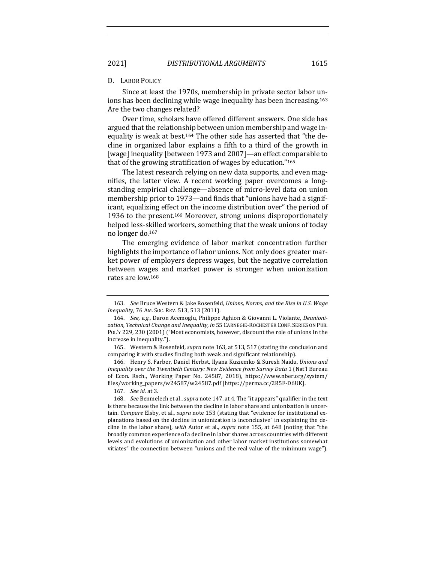#### D. LABOR POLICY

Since at least the 1970s, membership in private sector labor unions has been declining while wage inequality has been increasing.<sup>163</sup> Are the two changes related?

Over time, scholars have offered different answers. One side has argued that the relationship between union membership and wage inequality is weak at best.<sup>164</sup> The other side has asserted that "the decline in organized labor explains a fifth to a third of the growth in [wage] inequality [between 1973 and 2007]—an effect comparable to that of the growing stratification of wages by education." $165$ 

The latest research relying on new data supports, and even magnifies, the latter view. A recent working paper overcomes a longstanding empirical challenge—absence of micro-level data on union membership prior to 1973—and finds that "unions have had a significant, equalizing effect on the income distribution over" the period of 1936 to the present.<sup>166</sup> Moreover, strong unions disproportionately helped less-skilled workers, something that the weak unions of today no longer do.<sup>167</sup>

The emerging evidence of labor market concentration further highlights the importance of labor unions. Not only does greater market power of employers depress wages, but the negative correlation between wages and market power is stronger when unionization rates are low.<sup>168</sup>

166. Henry S. Farber, Daniel Herbst, Ilyana Kuziemko & Suresh Naidu, *Unions and Inequality over the Twentieth Century: New Evidence from Survey Data* 1 (Nat'l Bureau of Econ. Rsch., Working Paper No. 24587, 2018), https://www.nber.org/system/ files/working\_papers/w24587/w24587.pdf [https://perma.cc/2R5F-D6UK].

167. *See id.* at 3.

168. *See* Benmelech et al., *supra* note 147, at 4. The "it appears" qualifier in the text is there because the link between the decline in labor share and unionization is uncertain. *Compare* Elsby, et al., *supra* note 153 (stating that "evidence for institutional explanations based on the decline in unionization is inconclusive" in explaining the decline in the labor share), *with* Autor et al., *supra* note 155, at 648 (noting that "the broadly common experience of a decline in labor shares across countries with different levels and evolutions of unionization and other labor market institutions somewhat vitiates" the connection between "unions and the real value of the minimum wage").

<sup>163.</sup> *See* Bruce Western & Jake Rosenfeld, *Unions, Norms, and the Rise in U.S. Wage Inequalit*y, 76 AM. SOC. REV. 513, 513 (2011).

<sup>164.</sup> See, e.g., Daron Acemoglu, Philippe Aghion & Giovanni L. Violante, *Deunioni*zation, Technical Change and Inequality, in 55 CARNEGIE-ROCHESTER CONF. SERIES ON PUB. POL'Y 229, 230 (2001) ("Most economists, however, discount the role of unions in the increase in inequality.").

<sup>165.</sup> Western & Rosenfeld, *supra* note 163, at 513, 517 (stating the conclusion and comparing it with studies finding both weak and significant relationship).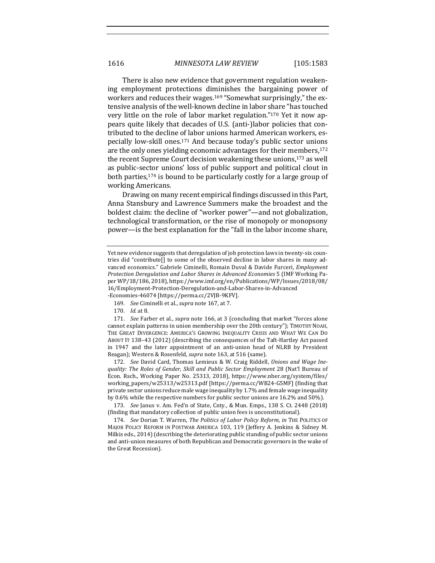There is also new evidence that government regulation weakening employment protections diminishes the bargaining power of workers and reduces their wages.<sup>169</sup> "Somewhat surprisingly," the extensive analysis of the well-known decline in labor share "has touched very little on the role of labor market regulation."<sup>170</sup> Yet it now appears quite likely that decades of U.S. (anti-)labor policies that contributed to the decline of labor unions harmed American workers, especially low-skill ones.<sup>171</sup> And because today's public sector unions are the only ones yielding economic advantages for their members, $172$ the recent Supreme Court decision weakening these unions, $173$  as well as public-sector unions' loss of public support and political clout in both parties, $174$  is bound to be particularly costly for a large group of working Americans.

Drawing on many recent empirical findings discussed in this Part, Anna Stansbury and Lawrence Summers make the broadest and the boldest claim: the decline of "worker power"—and not globalization, technological transformation, or the rise of monopoly or monopsony power—is the best explanation for the "fall in the labor income share,

-Economies-46074 [https://perma.cc/2VJB-9KFV].

170. *Id.* at 8.

171. *See* Farber et al., *supra* note 166, at 3 (concluding that market "forces alone cannot explain patterns in union membership over the 20th century"); TIMOTHY NOAH, THE GREAT DIVERGENCE: AMERICA'S GROWING INEQUALITY CRISIS AND WHAT WE CAN DO ABOUT IT 138-43 (2012) (describing the consequences of the Taft-Hartley Act passed in 1947 and the later appointment of an anti-union head of NLRB by President Reagan); Western & Rosenfeld, *supra* note 163, at 516 (same).

172. See David Card, Thomas Lemieux & W. Craig Riddell, *Unions and Wage Inequality:* The Roles of Gender, Skill and Public Sector Employment 28 (Nat'l Bureau of Econ. Rsch., Working Paper No. 25313, 2018), https://www.nber.org/system/files/ working\_papers/w25313/w25313.pdf [https://perma.cc/WB24-G5MF] (finding that private sector unions reduce male wage inequality by 1.7% and female wage inequality by 0.6% while the respective numbers for public sector unions are 16.2% and 50%).

173. *See* Janus v. Am. Fed'n of State, Cnty., & Mun. Emps., 138 S. Ct. 2448 (2018) (finding that mandatory collection of public union fees is unconstitutional).

174. *See* Dorian T. Warren, *The Politics of Labor Policy Reform*, *in* THE POLITICS OF MAJOR POLICY REFORM IN POSTWAR AMERICA 103, 119 (Jeffery A. Jenkins & Sidney M. Milkis eds., 2014) (describing the deteriorating public standing of public sector unions and anti-union measures of both Republican and Democratic governors in the wake of the Great Recession).

Yet new evidence suggests that deregulation of job protection laws in twenty-six countries did "contribute $[]$  to some of the observed decline in labor shares in many advanced economics." Gabriele Ciminelli, Romain Duval & Davide Furceri, *Employment Protection Deregulation and Labor Shares in Advanced Economies* 5 (IMF Working Paper WP/18/186, 2018), https://www.imf.org/en/Publications/WP/Issues/2018/08/ 16/Employment-Protection-Deregulation-and-Labor-Shares-in-Advanced

<sup>169.</sup> *See* Ciminelli et al., *supra* note 167, at 7.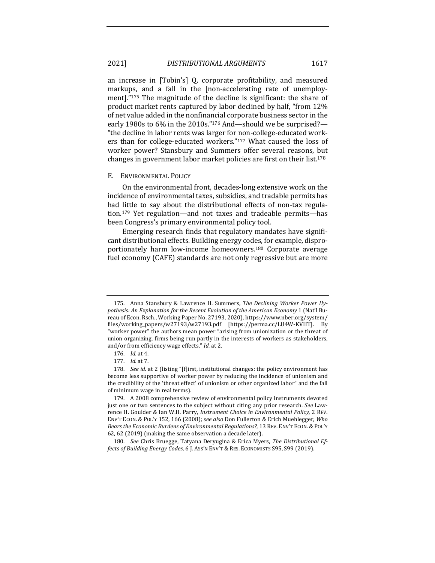an increase in [Tobin's] Q, corporate profitability, and measured markups, and a fall in the [non-accelerating rate of unemployment]."175 The magnitude of the decline is significant: the share of product market rents captured by labor declined by half, "from 12% of net value added in the nonfinancial corporate business sector in the early 1980s to  $6\%$  in the 2010s."<sup>176</sup> And—should we be surprised?— "the decline in labor rents was larger for non-college-educated workers than for college-educated workers."<sup>177</sup> What caused the loss of worker power? Stansbury and Summers offer several reasons, but changes in government labor market policies are first on their list.<sup>178</sup>

#### E. ENVIRONMENTAL POLICY

On the environmental front, decades-long extensive work on the incidence of environmental taxes, subsidies, and tradable permits has had little to say about the distributional effects of non-tax regulation.<sup>179</sup> Yet regulation—and not taxes and tradeable permits—has been Congress's primary environmental policy tool.

Emerging research finds that regulatory mandates have significant distributional effects. Building energy codes, for example, disproportionately harm low-income homeowners.<sup>180</sup> Corporate average fuel economy (CAFE) standards are not only regressive but are more

<sup>175.</sup> Anna Stansbury & Lawrence H. Summers, *The Declining Worker Power Hypothesis: An Explanation for the Recent Evolution of the American Economy* 1 (Nat'l Bureau of Econ. Rsch., Working Paper No. 27193, 2020), https://www.nber.org/system/ files/working\_papers/w27193/w27193.pdf [https://perma.cc/LU4W-KVHT]. By "worker power" the authors mean power "arising from unionization or the threat of union organizing, firms being run partly in the interests of workers as stakeholders, and/or from efficiency wage effects." *Id.* at 2.

<sup>176.</sup> *Id.* at 4.

<sup>177.</sup> *Id.* at 7.

<sup>178.</sup> *See id.* at 2 (listing "[f]irst, institutional changes: the policy environment has become less supportive of worker power by reducing the incidence of unionism and the credibility of the 'threat effect' of unionism or other organized labor" and the fall of minimum wage in real terms).

<sup>179.</sup> A 2008 comprehensive review of environmental policy instruments devoted just one or two sentences to the subject without citing any prior research. *See* Lawrence H. Goulder & Ian W.H. Parry, *Instrument Choice in Environmental Policy*, 2 REV. ENV'T ECON. & POL'Y 152, 166 (2008); *see also* Don Fullerton & Erich Muehlegger, *Who Bears the Economic Burdens of Environmental Regulations?*, 13 REV. ENV'T ECON. & POL'Y 62, 62 (2019) (making the same observation a decade later).

<sup>180.</sup> *See* Chris Bruegge, Tatyana Deryugina & Erica Myers, *The Distributional Effects of Building Energy Codes, 6 J. Ass'n Env't & RES. ECONOMISTS S95, S99 (2019).*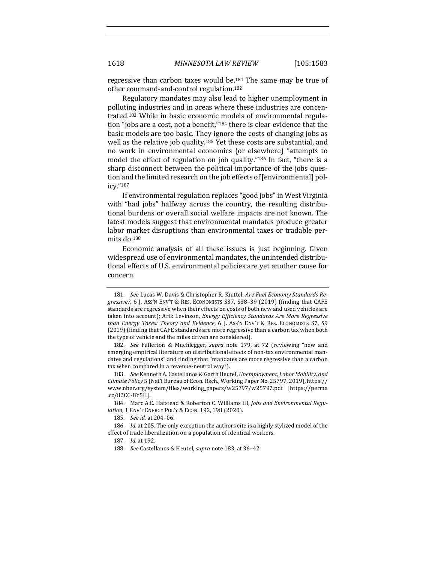regressive than carbon taxes would be.<sup>181</sup> The same may be true of other command-and-control regulation.<sup>182</sup>

Regulatory mandates may also lead to higher unemployment in polluting industries and in areas where these industries are concentrated.<sup>183</sup> While in basic economic models of environmental regulation "jobs are a cost, not a benefit,"<sup>184</sup> there is clear evidence that the basic models are too basic. They ignore the costs of changing jobs as well as the relative job quality.<sup>185</sup> Yet these costs are substantial, and no work in environmental economics (or elsewhere) "attempts to model the effect of regulation on job quality."<sup>186</sup> In fact, "there is a sharp disconnect between the political importance of the jobs question and the limited research on the job effects of [environmental] policy."187

If environmental regulation replaces "good jobs" in West Virginia with "bad jobs" halfway across the country, the resulting distributional burdens or overall social welfare impacts are not known. The latest models suggest that environmental mandates produce greater labor market disruptions than environmental taxes or tradable permits do.<sup>188</sup>

Economic analysis of all these issues is just beginning. Given widespread use of environmental mandates, the unintended distributional effects of U.S. environmental policies are yet another cause for concern.

<sup>181.</sup> *See Lucas W. Davis & Christopher R. Knittel, Are Fuel Economy Standards Regressive?*, 6 J. Ass'n Env't & RES. ECONOMISTS S37, S38-39 (2019) (finding that CAFE standards are regressive when their effects on costs of both new and used vehicles are taken into account); Arik Levinson, *Energy Efficiency Standards Are More Regressive than Energy Taxes: Theory and Evidence*, 6 J. Ass'n ENV'T & RES. ECONOMISTS S7, S9  $(2019)$  (finding that CAFE standards are more regressive than a carbon tax when both the type of vehicle and the miles driven are considered).

<sup>182.</sup> *See* Fullerton & Muehlegger, *supra* note 179, at 72 (reviewing "new and emerging empirical literature on distributional effects of non-tax environmental mandates and regulations" and finding that "mandates are more regressive than a carbon tax when compared in a revenue-neutral way").

<sup>183.</sup> *See* Kenneth A. Castellanos & Garth Heutel, *Unemployment, Labor Mobility, and Climate Policy* 5 (Nat'l Bureau of Econ. Rsch., Working Paper No. 25797, 2019), https:// www.nber.org/system/files/working\_papers/w25797/w25797.pdf [https://perma .cc/82CC-BY5H].

<sup>184.</sup> Marc A.C. Hafstead & Roberton C. Williams III, *Jobs and Environmental Regulation*, 1 ENV'T ENERGY POL'Y & ECON. 192, 198 (2020).

<sup>185.</sup> *See id.* at 204-06.

<sup>186.</sup> *Id.* at 205. The only exception the authors cite is a highly stylized model of the effect of trade liberalization on a population of identical workers.

<sup>187.</sup> *Id.* at 192.

<sup>188.</sup> *See* Castellanos & Heutel, *supra* note 183, at 36-42.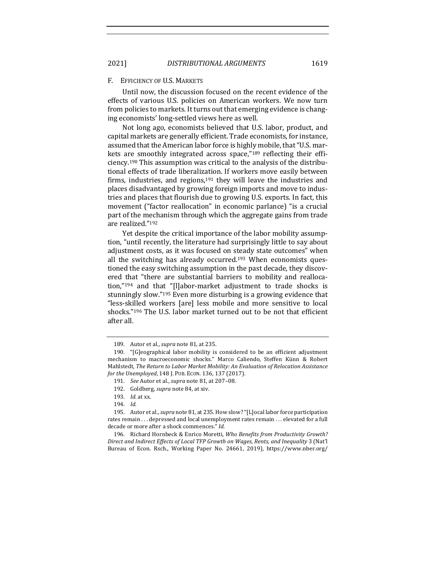### F. EFFICIENCY OF U.S. MARKETS

Until now, the discussion focused on the recent evidence of the effects of various U.S. policies on American workers. We now turn from policies to markets. It turns out that emerging evidence is changing economists' long-settled views here as well.

Not long ago, economists believed that U.S. labor, product, and capital markets are generally efficient. Trade economists, for instance, assumed that the American labor force is highly mobile, that "U.S. markets are smoothly integrated across space," $189$  reflecting their efficiency.<sup>190</sup> This assumption was critical to the analysis of the distributional effects of trade liberalization. If workers move easily between firms, industries, and regions, $191$  they will leave the industries and places disadvantaged by growing foreign imports and move to industries and places that flourish due to growing U.S. exports. In fact, this movement ("factor reallocation" in economic parlance) "is a crucial part of the mechanism through which the aggregate gains from trade are realized."<sup>192</sup>

Yet despite the critical importance of the labor mobility assumption, "until recently, the literature had surprisingly little to say about adjustment costs, as it was focused on steady state outcomes" when all the switching has already occurred.<sup>193</sup> When economists questioned the easy switching assumption in the past decade, they discovered that "there are substantial barriers to mobility and reallocation," $194$  and that "[l]abor-market adjustment to trade shocks is stunningly slow."<sup>195</sup> Even more disturbing is a growing evidence that "less-skilled workers [are] less mobile and more sensitive to local shocks."<sup>196</sup> The U.S. labor market turned out to be not that efficient after all.

<sup>189.</sup> Autor et al., *supra* note 81, at 235.

<sup>190. &</sup>quot;[G]eographical labor mobility is considered to be an efficient adjustment mechanism to macroeconomic shocks." Marco Caliendo, Steffen Künn & Robert Mahlstedt, The Return to Labor Market Mobility: An Evaluation of Relocation Assistance *for the Unemployed*, 148 J. PUB. ECON. 136, 137 (2017).

<sup>191.</sup> *See* Autor et al., *supra* note 81, at 207-08.

<sup>192.</sup> Goldberg, *supra* note 84, at xiv.

<sup>193.</sup> *Id.* at xx.

<sup>194.</sup> *Id.*

<sup>195.</sup> Autor et al., *supra* note 81, at 235. How slow? "[L]ocal labor force participation rates remain . . . depressed and local unemployment rates remain . . . elevated for a full decade or more after a shock commences." Id.

<sup>196.</sup> Richard Hornbeck & Enrico Moretti, *Who Benefits from Productivity Growth?* Direct and Indirect Effects of Local TFP Growth on Wages, Rents, and Inequality 3 (Nat'l Bureau of Econ. Rsch., Working Paper No. 24661, 2019), https://www.nber.org/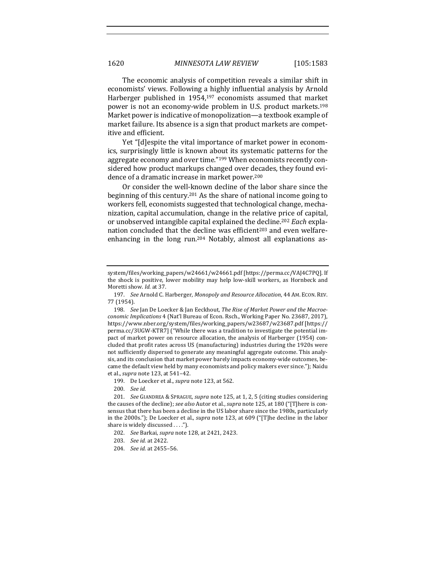The economic analysis of competition reveals a similar shift in economists' views. Following a highly influential analysis by Arnold Harberger published in  $1954,197$  economists assumed that market power is not an economy-wide problem in U.S. product markets.<sup>198</sup> Market power is indicative of monopolization—a textbook example of market failure. Its absence is a sign that product markets are competitive and efficient.

Yet "[d]espite the vital importance of market power in economics, surprisingly little is known about its systematic patterns for the aggregate economy and over time."<sup>199</sup> When economists recently considered how product markups changed over decades, they found evidence of a dramatic increase in market power.<sup>200</sup>

Or consider the well-known decline of the labor share since the beginning of this century.<sup>201</sup> As the share of national income going to workers fell, economists suggested that technological change, mechanization, capital accumulation, change in the relative price of capital, or unobserved intangible capital explained the decline.<sup>202</sup> *Each* explanation concluded that the decline was efficient<sup>203</sup> and even welfareenhancing in the long run.<sup>204</sup> Notably, almost all explanations as-

- 199. De Loecker et al., *supra* note 123, at 562.
- 200. *See id.*

- 202. *See* Barkai, *supra* note 128, at 2421, 2423.
- 203. *See id.* at 2422.
- 204. *See id.* at 2455-56.

system/files/working\_papers/w24661/w24661.pdf [https://perma.cc/VAJ4C7PQ]. If the shock is positive, lower mobility may help low-skill workers, as Hornbeck and Moretti show. *Id.* at 37.

<sup>197.</sup> *See* Arnold C. Harberger, *Monopoly and Resource Allocation*, 44 AM. ECON. REV. 77 (1954).

<sup>198.</sup> See Jan De Loecker & Jan Eeckhout, The Rise of Market Power and the Macroe*conomic Implications* 4 (Nat'l Bureau of Econ. Rsch., Working Paper No. 23687, 2017), https://www.nber.org/system/files/working\_papers/w23687/w23687.pdf [https:// perma.cc/3UGW-KTR7] ("While there was a tradition to investigate the potential impact of market power on resource allocation, the analysis of Harberger (1954) concluded that profit rates across US (manufacturing) industries during the 1920s were not sufficiently dispersed to generate any meaningful aggregate outcome. This analysis, and its conclusion that market power barely impacts economy-wide outcomes, became the default view held by many economists and policy makers ever since."); Naidu et al., *supra* note 123, at 541-42.

<sup>201.</sup> *See* GIANDREA & SPRAGUE, *supra* note 125, at 1, 2, 5 (citing studies considering the causes of the decline); *see also* Autor et al., *supra* note 125, at 180 ("[T]here is consensus that there has been a decline in the US labor share since the 1980s, particularly in the 2000s."); De Loecker et al., *supra* note 123, at 609 ("[T]he decline in the labor share is widely discussed  $\dots$ .").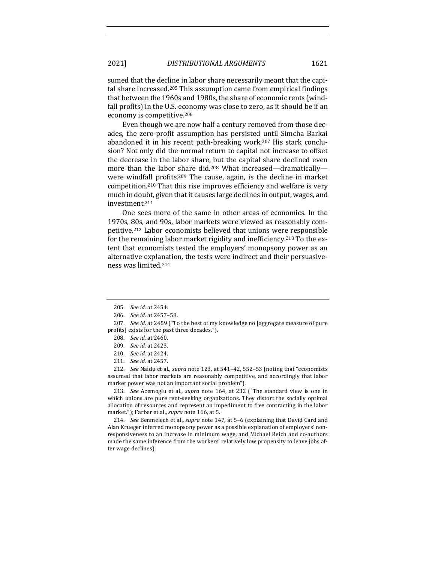sumed that the decline in labor share necessarily meant that the capital share increased.<sup>205</sup> This assumption came from empirical findings that between the 1960s and 1980s, the share of economic rents (windfall profits) in the U.S. economy was close to zero, as it should be if an economy is competitive.<sup>206</sup>

Even though we are now half a century removed from those decades, the zero-profit assumption has persisted until Simcha Barkai abandoned it in his recent path-breaking work.<sup>207</sup> His stark conclusion? Not only did the normal return to capital not increase to offset the decrease in the labor share, but the capital share declined even more than the labor share did.<sup>208</sup> What increased—dramatically were windfall profits.<sup>209</sup> The cause, again, is the decline in market competition.<sup>210</sup> That this rise improves efficiency and welfare is very much in doubt, given that it causes large declines in output, wages, and investment.211

One sees more of the same in other areas of economics. In the 1970s, 80s, and 90s, labor markets were viewed as reasonably competitive.<sup>212</sup> Labor economists believed that unions were responsible for the remaining labor market rigidity and inefficiency.<sup>213</sup> To the extent that economists tested the employers' monopsony power as an alternative explanation, the tests were indirect and their persuasiveness was limited.<sup>214</sup>

212. *See* Naidu et al., *supra* note 123, at 541–42, 552–53 (noting that "economists" assumed that labor markets are reasonably competitive, and accordingly that labor market power was not an important social problem").

213. *See* Acemoglu et al., *supra* note 164, at 232 ("The standard view is one in which unions are pure rent-seeking organizations. They distort the socially optimal allocation of resources and represent an impediment to free contracting in the labor market."); Farber et al., *supra* note 166, at 5.

214. *See* Benmelech et al., *supra* note 147, at 5-6 (explaining that David Card and Alan Krueger inferred monopsony power as a possible explanation of employers' nonresponsiveness to an increase in minimum wage, and Michael Reich and co-authors made the same inference from the workers' relatively low propensity to leave jobs after wage declines).

<sup>205.</sup> *See id.* at 2454.

<sup>206.</sup> *See id.* at 2457–58.

<sup>207.</sup> *See id.* at 2459 ("To the best of my knowledge no [aggregate measure of pure profits] exists for the past three decades.").

<sup>208.</sup> *See id.* at 2460.

<sup>209.</sup> *See id.* at 2423.

<sup>210.</sup> *See id.* at 2424.

<sup>211.</sup> *See id.* at 2457.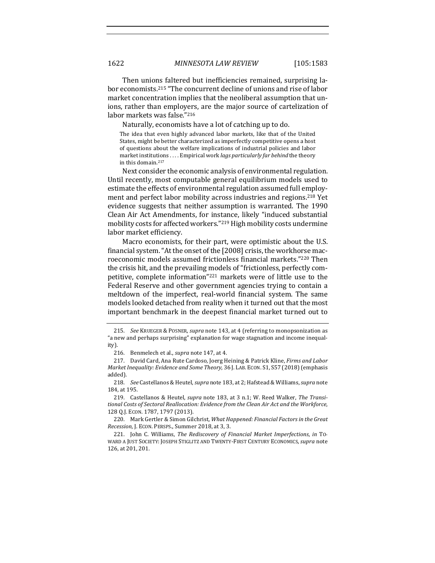Then unions faltered but inefficiencies remained, surprising labor economists.<sup>215</sup> "The concurrent decline of unions and rise of labor market concentration implies that the neoliberal assumption that unions, rather than employers, are the major source of cartelization of labor markets was false."216

Naturally, economists have a lot of catching up to do.

The idea that even highly advanced labor markets, like that of the United States, might be better characterized as imperfectly competitive opens a host of questions about the welfare implications of industrial policies and labor market institutions . . . . Empirical work *lags particularly far behind* the theory in this domain.<sup>217</sup>

Next consider the economic analysis of environmental regulation. Until recently, most computable general equilibrium models used to estimate the effects of environmental regulation assumed full employment and perfect labor mobility across industries and regions.<sup>218</sup> Yet evidence suggests that neither assumption is warranted. The 1990 Clean Air Act Amendments, for instance, likely "induced substantial mobility costs for affected workers."<sup>219</sup> High mobility costs undermine labor market efficiency.

Macro economists, for their part, were optimistic about the U.S. financial system. "At the onset of the [2008] crisis, the workhorse macroeconomic models assumed frictionless financial markets."220 Then the crisis hit, and the prevailing models of "frictionless, perfectly competitive, complete information"<sup>221</sup> markets were of little use to the Federal Reserve and other government agencies trying to contain a meltdown of the imperfect, real-world financial system. The same models looked detached from reality when it turned out that the most important benchmark in the deepest financial market turned out to

<sup>215.</sup> *See* KRUEGER & POSNER, *supra* note 143, at 4 (referring to monopsonization as "a new and perhaps surprising" explanation for wage stagnation and income inequality).

<sup>216.</sup> Benmelech et al., *supra* note 147, at 4.

<sup>217.</sup> David Card, Ana Rute Cardoso, Joerg Heining & Patrick Kline, *Firms and Labor Market Inequality: Evidence and Some Theory*, 36 J. LAB. ECON. S1, S57 (2018) (emphasis added).

<sup>218.</sup> *See* Castellanos & Heutel, *supra* note 183, at 2; Hafstead & Williams, *supra* note 184, at 195.

<sup>219.</sup> Castellanos & Heutel, *supra* note 183, at 3 n.1; W. Reed Walker, The Transitional Costs of Sectoral Reallocation: Evidence from the Clean Air Act and the Workforce, 128 Q.J. Econ. 1787, 1797 (2013).

<sup>220.</sup> Mark Gertler & Simon Gilchrist, What Happened: Financial Factors in the Great *Recession*, J. ECON. PERSPS., Summer 2018, at 3, 3.

<sup>221.</sup> John C. Williams, *The Rediscovery of Financial Market Imperfections*, *in* To-WARD A JUST SOCIETY: JOSEPH STIGLITZ AND TWENTY-FIRST CENTURY ECONOMICS, *supra* note 126, at 201, 201.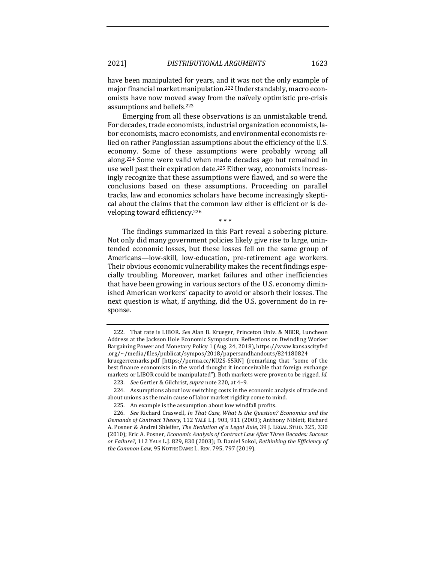have been manipulated for years, and it was not the only example of major financial market manipulation.<sup>222</sup> Understandably, macro economists have now moved away from the naïvely optimistic pre-crisis assumptions and beliefs.<sup>223</sup>

Emerging from all these observations is an unmistakable trend. For decades, trade economists, industrial organization economists, labor economists, macro economists, and environmental economists relied on rather Panglossian assumptions about the efficiency of the U.S. economy. Some of these assumptions were probably wrong all along.<sup>224</sup> Some were valid when made decades ago but remained in use well past their expiration date.<sup>225</sup> Either way, economists increasingly recognize that these assumptions were flawed, and so were the conclusions based on these assumptions. Proceeding on parallel tracks, law and economics scholars have become increasingly skeptical about the claims that the common law either is efficient or is developing toward efficiency.<sup>226</sup>

\* \* \*

The findings summarized in this Part reveal a sobering picture. Not only did many government policies likely give rise to large, unintended economic losses, but these losses fell on the same group of Americans-low-skill, low-education, pre-retirement age workers. Their obvious economic vulnerability makes the recent findings especially troubling. Moreover, market failures and other inefficiencies that have been growing in various sectors of the U.S. economy diminished American workers' capacity to avoid or absorb their losses. The next question is what, if anything, did the U.S. government do in response.

<sup>222.</sup> That rate is LIBOR. *See* Alan B. Krueger, Princeton Univ. & NBER, Luncheon Address at the Jackson Hole Economic Symposium: Reflections on Dwindling Worker Bargaining Power and Monetary Policy 1 (Aug. 24, 2018), https://www.kansascityfed .org/~/media/files/publicat/sympos/2018/papersandhandouts/824180824 kruegerremarks.pdf [https://perma.cc/KU2S-S5RN] (remarking that "some of the best finance economists in the world thought it inconceivable that foreign exchange markets or LIBOR could be manipulated"). Both markets were proven to be rigged. Id.

<sup>223.</sup> *See* Gertler & Gilchrist, *supra* note 220, at 4-9.

<sup>224.</sup> Assumptions about low switching costs in the economic analysis of trade and about unions as the main cause of labor market rigidity come to mind.

<sup>225.</sup> An example is the assumption about low windfall profits.

<sup>226.</sup> *See* Richard Craswell, *In That Case, What Is the Question? Economics and the Demands of Contract Theory*, 112 YALE L.J. 903, 911 (2003); Anthony Niblett, Richard A. Posner & Andrei Shleifer, *The Evolution of a Legal Rule*, 39 J. LEGAL STUD. 325, 330 (2010); Eric A. Posner, *Economic Analysis of Contract Law After Three Decades: Success or Failure?*, 112 YALE L.J. 829, 830 (2003); D. Daniel Sokol, Rethinking the Efficiency of *the Common Law*, 95 NOTRE DAME L. REV. 795, 797 (2019).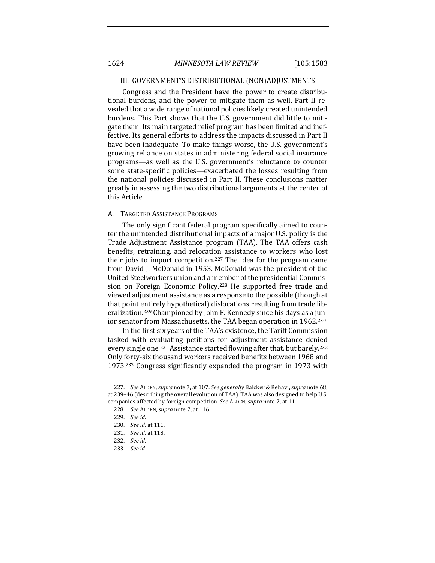### III. GOVERNMENT'S DISTRIBUTIONAL (NON)ADJUSTMENTS

Congress and the President have the power to create distributional burdens, and the power to mitigate them as well. Part II revealed that a wide range of national policies likely created unintended burdens. This Part shows that the U.S. government did little to mitigate them. Its main targeted relief program has been limited and ineffective. Its general efforts to address the impacts discussed in Part II have been inadequate. To make things worse, the U.S. government's growing reliance on states in administering federal social insurance programs—as well as the U.S. government's reluctance to counter some state-specific policies—exacerbated the losses resulting from the national policies discussed in Part II. These conclusions matter greatly in assessing the two distributional arguments at the center of this Article.

#### A. TARGETED ASSISTANCE PROGRAMS

The only significant federal program specifically aimed to counter the unintended distributional impacts of a major U.S. policy is the Trade Adjustment Assistance program (TAA). The TAA offers cash benefits, retraining, and relocation assistance to workers who lost their jobs to import competition.<sup>227</sup> The idea for the program came from David J. McDonald in 1953. McDonald was the president of the United Steelworkers union and a member of the presidential Commission on Foreign Economic Policy.<sup>228</sup> He supported free trade and viewed adjustment assistance as a response to the possible (though at that point entirely hypothetical) dislocations resulting from trade liberalization.<sup>229</sup> Championed by John F. Kennedy since his days as a junior senator from Massachusetts, the TAA began operation in 1962.<sup>230</sup>

In the first six years of the TAA's existence, the Tariff Commission tasked with evaluating petitions for adjustment assistance denied every single one.<sup>231</sup> Assistance started flowing after that, but barely.<sup>232</sup> Only forty-six thousand workers received benefits between 1968 and 1973.<sup>233</sup> Congress significantly expanded the program in 1973 with

<sup>227.</sup> *See ALDEN, supra* note 7, at 107. *See generally Baicker & Rehavi, supra* note 68, at 239-46 (describing the overall evolution of TAA). TAA was also designed to help U.S. companies affected by foreign competition. See ALDEN, supra note 7, at 111.

<sup>228.</sup> *See ALDEN, supra note* 7, at 116.

<sup>229.</sup> *See id.*

<sup>230.</sup> *See id.* at 111.

<sup>231.</sup> *See id.* at 118.

<sup>232.</sup> *See id.*

<sup>233.</sup> *See id.*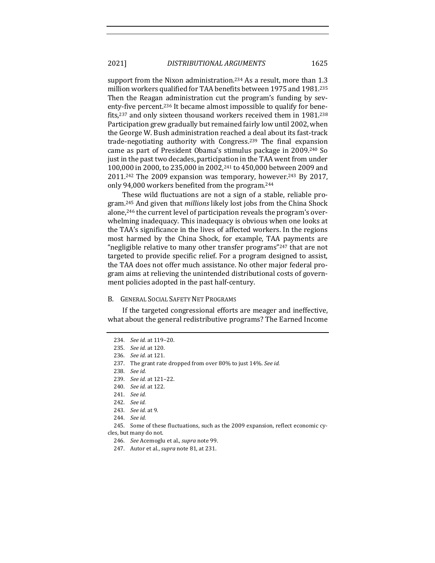support from the Nixon administration.<sup>234</sup> As a result, more than  $1.3$ million workers qualified for TAA benefits between 1975 and 1981.<sup>235</sup> Then the Reagan administration cut the program's funding by seventy-five percent.<sup>236</sup> It became almost impossible to qualify for benefits, $237$  and only sixteen thousand workers received them in 1981. $238$ Participation grew gradually but remained fairly low until 2002, when the George W. Bush administration reached a deal about its fast-track trade-negotiating authority with Congress.<sup>239</sup> The final expansion came as part of President Obama's stimulus package in 2009.<sup>240</sup> So just in the past two decades, participation in the TAA went from under 100,000 in 2000, to 235,000 in 2002,<sup>241</sup> to 450,000 between 2009 and  $2011.^{242}$  The  $2009$  expansion was temporary, however.<sup>243</sup> By 2017, only 94,000 workers benefited from the program.<sup>244</sup>

These wild fluctuations are not a sign of a stable, reliable program.<sup>245</sup> And given that *millions* likely lost jobs from the China Shock alone,<sup>246</sup> the current level of participation reveals the program's overwhelming inadequacy. This inadequacy is obvious when one looks at the TAA's significance in the lives of affected workers. In the regions most harmed by the China Shock, for example, TAA payments are "negligible relative to many other transfer programs" $247$  that are not targeted to provide specific relief. For a program designed to assist, the TAA does not offer much assistance. No other major federal program aims at relieving the unintended distributional costs of government policies adopted in the past half-century.

### B. GENERAL SOCIAL SAFETY NET PROGRAMS

If the targeted congressional efforts are meager and ineffective, what about the general redistributive programs? The Earned Income

<sup>234.</sup> *See id.* at 119-20. 235. *See id.* at 120. 236. *See id.* at 121. 237. The grant rate dropped from over 80% to just 14%. See id. 238. *See id.* 239. *See id.* at 121-22. 240. *See id.* at 122. 241. *See id.* 242. *See id.* 243. *See id.* at 9. 244. *See id.* 245. Some of these fluctuations, such as the 2009 expansion, reflect economic cycles, but many do not. 246. *See* Acemoglu et al., *supra* note 99. 247. Autor et al., *supra* note 81, at 231.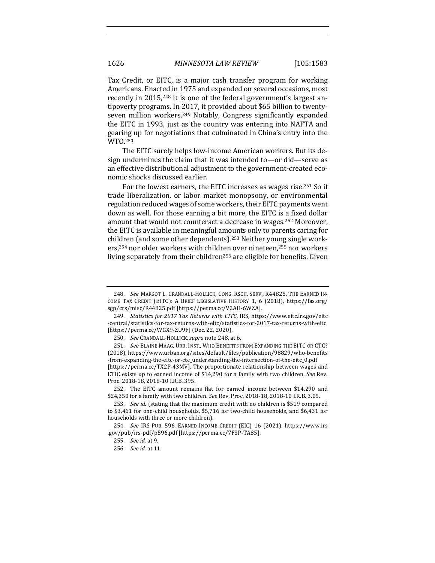Tax Credit, or EITC, is a major cash transfer program for working Americans. Enacted in 1975 and expanded on several occasions, most recently in 2015,<sup>248</sup> it is one of the federal government's largest antipoverty programs. In 2017, it provided about \$65 billion to twentyseven million workers.<sup>249</sup> Notably, Congress significantly expanded the EITC in 1993, just as the country was entering into NAFTA and gearing up for negotiations that culminated in China's entry into the WTO.250

The EITC surely helps low-income American workers. But its design undermines the claim that it was intended to—or did—serve as an effective distributional adjustment to the government-created economic shocks discussed earlier. 

For the lowest earners, the EITC increases as wages rise.<sup>251</sup> So if trade liberalization, or labor market monopsony, or environmental regulation reduced wages of some workers, their EITC payments went down as well. For those earning a bit more, the EITC is a fixed dollar amount that would not counteract a decrease in wages.<sup>252</sup> Moreover, the EITC is available in meaningful amounts only to parents caring for children (and some other dependents).<sup>253</sup> Neither young single workers,<sup>254</sup> nor older workers with children over nineteen,<sup>255</sup> nor workers living separately from their children<sup>256</sup> are eligible for benefits. Given

<sup>248.</sup> See MARGOT L. CRANDALL-HOLLICK, CONG. RSCH. SERV., R44825, THE EARNED IN-COME TAX CREDIT (EITC): A BRIEF LEGISLATIVE HISTORY 1, 6 (2018), https://fas.org/ sgp/crs/misc/R44825.pdf [https://perma.cc/V2AH-6WZA].

<sup>249.</sup> *Statistics for 2017 Tax Returns with EITC*, IRS, https://www.eitc.irs.gov/eitc -central/statistics-for-tax-returns-with-eitc/statistics-for-2017-tax-returns-with-eitc [https://perma.cc/WGX9-ZU9F] (Dec. 22, 2020).

<sup>250.</sup> *See* CRANDALL-HOLLICK, *supra* note 248, at 6.

<sup>251.</sup> *See* ELAINE MAAG, URB. INST., WHO BENEFITS FROM EXPANDING THE EITC OR CTC? (2018), https://www.urban.org/sites/default/files/publication/98829/who-benefits -from-expanding-the-eitc-or-ctc\_understanding-the-intersection-of-the-eitc\_0.pdf [https://perma.cc/TX2P-43MV]. The proportionate relationship between wages and ETIC exists up to earned income of \$14,290 for a family with two children. See Rev. Proc. 2018-18, 2018-10 I.R.B. 395.

<sup>252.</sup> The EITC amount remains flat for earned income between \$14,290 and \$24,350 for a family with two children. *See* Rev. Proc. 2018-18, 2018-10 I.R.B. 3.05.

<sup>253.</sup> *See id.* (stating that the maximum credit with no children is \$519 compared to \$3,461 for one-child households, \$5,716 for two-child households, and \$6,431 for households with three or more children).

<sup>254.</sup> *See* IRS PUB. 596, EARNED INCOME CREDIT (EIC) 16 (2021), https://www.irs .gov/pub/irs-pdf/p596.pdf [https://perma.cc/7F3P-TA85].

<sup>255.</sup> *See id.* at 9.

<sup>256.</sup> *See id.* at 11.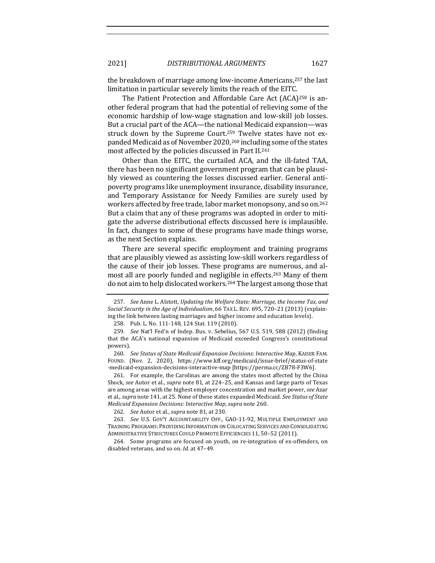the breakdown of marriage among low-income Americans, $257$  the last limitation in particular severely limits the reach of the EITC.

The Patient Protection and Affordable Care Act  $(ACA)^{258}$  is another federal program that had the potential of relieving some of the economic hardship of low-wage stagnation and low-skill job losses. But a crucial part of the ACA—the national Medicaid expansion—was struck down by the Supreme Court.<sup>259</sup> Twelve states have not expanded Medicaid as of November 2020,<sup>260</sup> including some of the states most affected by the policies discussed in Part II.<sup>261</sup>

Other than the EITC, the curtailed ACA, and the ill-fated TAA, there has been no significant government program that can be plausibly viewed as countering the losses discussed earlier. General antipoverty programs like unemployment insurance, disability insurance, and Temporary Assistance for Needy Families are surely used by workers affected by free trade, labor market monopsony, and so on.<sup>262</sup> But a claim that any of these programs was adopted in order to mitigate the adverse distributional effects discussed here is implausible. In fact, changes to some of these programs have made things worse, as the next Section explains.

There are several specific employment and training programs that are plausibly viewed as assisting low-skill workers regardless of the cause of their job losses. These programs are numerous, and almost all are poorly funded and negligible in effects.<sup>263</sup> Many of them do not aim to help dislocated workers.<sup>264</sup> The largest among those that

<sup>257.</sup> *See* Anne L. Alstott, *Updating the Welfare State: Marriage, the Income Tax, and* Social Security in the Age of Individualism, 66 TAX L. REV. 695, 720-21 (2013) (explaining the link between lasting marriages and higher income and education levels).

<sup>258.</sup> Pub. L. No. 111-148, 124 Stat. 119 (2010).

<sup>259.</sup> *See* Nat'l Fed'n of Indep. Bus. v. Sebelius, 567 U.S. 519, 588 (2012) (finding that the ACA's national expansion of Medicaid exceeded Congress's constitutional powers).

<sup>260.</sup> *See Status of State Medicaid Expansion Decisions: Interactive Map*, KAISER FAM. FOUND. (Nov. 2, 2020), https://www.kff.org/medicaid/issue-brief/status-of-state -medicaid-expansion-decisions-interactive-map [https://perma.cc/ZB78-F3W6].

<sup>261.</sup> For example, the Carolinas are among the states most affected by the China Shock, see Autor et al., *supra* note 81, at 224-25, and Kansas and large parts of Texas are among areas with the highest employer concentration and market power, see Azar et al., *supra* note 141, at 25. None of these states expanded Medicaid. *See Status of State Medicaid Expansion Decisions: Interactive Map, supra* note 260.

<sup>262.</sup> *See* Autor et al., *supra* note 81, at 230.

<sup>263.</sup> See U.S. GOV'T ACCOUNTABILITY OFF., GAO-11-92, MULTIPLE EMPLOYMENT AND TRAINING PROGRAMS: PROVIDING INFORMATION ON COLOCATING SERVICES AND CONSOLIDATING ADMINISTRATIVE STRUCTURES COULD PROMOTE EFFICIENCIES 11, 50-52 (2011).

<sup>264.</sup> Some programs are focused on youth, on re-integration of ex-offenders, on disabled veterans, and so on. *Id.* at 47-49.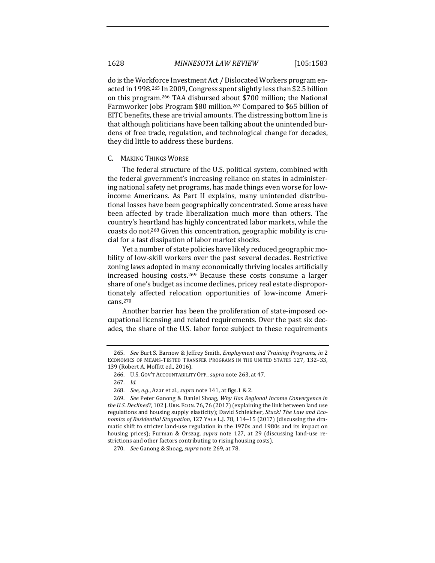do is the Workforce Investment Act / Dislocated Workers program enacted in 1998.<sup>265</sup> In 2009, Congress spent slightly less than \$2.5 billion on this program.<sup>266</sup> TAA disbursed about \$700 million; the National Farmworker Jobs Program \$80 million.<sup>267</sup> Compared to \$65 billion of EITC benefits, these are trivial amounts. The distressing bottom line is that although politicians have been talking about the unintended burdens of free trade, regulation, and technological change for decades, they did little to address these burdens.

## C. MAKING THINGS WORSE

The federal structure of the U.S. political system, combined with the federal government's increasing reliance on states in administering national safety net programs, has made things even worse for lowincome Americans. As Part II explains, many unintended distributional losses have been geographically concentrated. Some areas have been affected by trade liberalization much more than others. The country's heartland has highly concentrated labor markets, while the coasts do not.<sup>268</sup> Given this concentration, geographic mobility is crucial for a fast dissipation of labor market shocks.

Yet a number of state policies have likely reduced geographic mobility of low-skill workers over the past several decades. Restrictive zoning laws adopted in many economically thriving locales artificially increased housing costs.<sup>269</sup> Because these costs consume a larger share of one's budget as income declines, pricey real estate disproportionately affected relocation opportunities of low-income Americans.270

Another barrier has been the proliferation of state-imposed occupational licensing and related requirements. Over the past six decades, the share of the U.S. labor force subject to these requirements

<sup>265.</sup> *See* Burt S. Barnow & Jeffrey Smith, *Employment and Training Programs*, in 2 ECONOMICS OF MEANS-TESTED TRANSFER PROGRAMS IN THE UNITED STATES 127, 132-33, 139 (Robert A. Moffitt ed., 2016).

<sup>266.</sup> U.S. GOV'T ACCOUNTABILITY OFF., supra note 263, at 47.

<sup>267.</sup> *Id.*

<sup>268.</sup> *See, e.g.*, Azar et al., *supra* note 141, at figs.1 & 2.

<sup>269.</sup> *See* Peter Ganong & Daniel Shoag, Why Has Regional Income Convergence in the U.S. Declined?, 102 J. URB. ECON. 76, 76 (2017) (explaining the link between land use regulations and housing supply elasticity); David Schleicher, *Stuck! The Law and Economics of Residential Stagnation,* 127 YALE L.J. 78, 114–15 (2017) (discussing the dramatic shift to stricter land-use regulation in the 1970s and 1980s and its impact on housing prices); Furman & Orszag, *supra* note 127, at 29 (discussing land-use restrictions and other factors contributing to rising housing costs).

<sup>270.</sup> *See* Ganong & Shoag, *supra* note 269, at 78.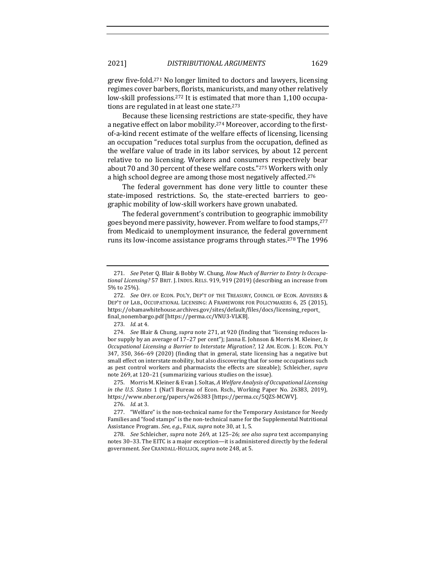grew five-fold.<sup>271</sup> No longer limited to doctors and lawyers, licensing regimes cover barbers, florists, manicurists, and many other relatively low-skill professions.<sup>272</sup> It is estimated that more than 1,100 occupations are regulated in at least one state.<sup>273</sup>

Because these licensing restrictions are state-specific, they have a negative effect on labor mobility.<sup>274</sup> Moreover, according to the firstof-a-kind recent estimate of the welfare effects of licensing, licensing an occupation "reduces total surplus from the occupation, defined as the welfare value of trade in its labor services, by about 12 percent relative to no licensing. Workers and consumers respectively bear about 70 and 30 percent of these welfare costs."<sup>275</sup> Workers with only a high school degree are among those most negatively affected.<sup>276</sup>

The federal government has done very little to counter these state-imposed restrictions. So, the state-erected barriers to geographic mobility of low-skill workers have grown unabated.

The federal government's contribution to geographic immobility goes beyond mere passivity, however. From welfare to food stamps, 277 from Medicaid to unemployment insurance, the federal government runs its low-income assistance programs through states.<sup>278</sup> The 1996

275. Morris M. Kleiner & Evan J. Soltas, A Welfare Analysis of Occupational Licensing *in* the U.S. States 1 (Nat'l Bureau of Econ. Rsch., Working Paper No. 26383, 2019), https://www.nber.org/papers/w26383 [https://perma.cc/5QZS-MCWV].

<sup>271.</sup> See Peter Q. Blair & Bobby W. Chung, *How Much of Barrier to Entry Is Occupa*tional Licensing? 57 BRIT. J. INDUS. RELS. 919, 919 (2019) (describing an increase from 5% to 25%).

<sup>272.</sup> *See* OFF. OF ECON. POL'Y, DEP'T OF THE TREASURY, COUNCIL OF ECON. ADVISERS & DEP'T OF LAB., OCCUPATIONAL LICENSING: A FRAMEWORK FOR POLICYMAKERS 6, 25 (2015), https://obamawhitehouse.archives.gov/sites/default/files/docs/licensing\_report\_ final\_nonembargo.pdf [https://perma.cc/VNU3-VLKB].

<sup>273.</sup> *Id.* at 4.

<sup>274.</sup> *See* Blair & Chung, *supra* note 271, at 920 (finding that "licensing reduces labor supply by an average of 17-27 per cent"); Janna E. Johnson & Morris M. Kleiner, *Is Occupational Licensing a Barrier to Interstate Migration?*, 12 AM. ECON. J.: ECON. POL'Y 347, 350, 366-69 (2020) (finding that in general, state licensing has a negative but small effect on interstate mobility, but also discovering that for some occupations such as pest control workers and pharmacists the effects are sizeable); Schleicher, *supra* note 269, at 120-21 (summarizing various studies on the issue).

<sup>276.</sup> *Id.* at 3.

<sup>277. &</sup>quot;Welfare" is the non-technical name for the Temporary Assistance for Needy Families and "food stamps" is the non-technical name for the Supplemental Nutritional Assistance Program. See, e.g., FALK, *supra* note 30, at 1, 5.

<sup>278.</sup> *See* Schleicher, *supra* note 269, at 125-26; see also supra text accompanying notes 30-33. The EITC is a major exception—it is administered directly by the federal government. See CRANDALL-HOLLICK, *supra* note 248, at 5.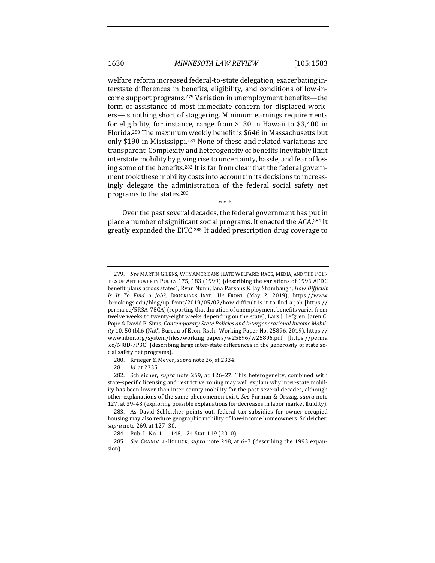welfare reform increased federal-to-state delegation, exacerbating interstate differences in benefits, eligibility, and conditions of low-income support programs.<sup>279</sup> Variation in unemployment benefits—the form of assistance of most immediate concern for displaced workers—is nothing short of staggering. Minimum earnings requirements for eligibility, for instance, range from \$130 in Hawaii to \$3,400 in Florida.<sup>280</sup> The maximum weekly benefit is \$646 in Massachusetts but only \$190 in Mississippi.<sup>281</sup> None of these and related variations are transparent. Complexity and heterogeneity of benefits inevitably limit interstate mobility by giving rise to uncertainty, hassle, and fear of losing some of the benefits.<sup>282</sup> It is far from clear that the federal government took these mobility costs into account in its decisions to increasingly delegate the administration of the federal social safety net programs to the states.<sup>283</sup>

Over the past several decades, the federal government has put in place a number of significant social programs. It enacted the ACA.<sup>284</sup> It greatly expanded the EITC.<sup>285</sup> It added prescription drug coverage to

\* \* \*

281. *Id.* at 2335.

<sup>279.</sup> *See* MARTIN GILENS, WHY AMERICANS HATE WELFARE: RACE, MEDIA, AND THE POLI-TICS OF ANTIPOVERTY POLICY 175, 183 (1999) (describing the variations of 1996 AFDC benefit plans across states); Ryan Nunn, Jana Parsons & Jay Shambaugh, *How Difficult Is It To Find a Job?*, BROOKINGS INST.: UP FRONT (May 2, 2019), https://www .brookings.edu/blog/up-front/2019/05/02/how-difficult-is-it-to-find-a-job [https:// perma.cc/5R3A-78CA] (reporting that duration of unemployment benefits varies from twelve weeks to twenty-eight weeks depending on the state); Lars J. Lefgren, Jaren C. Pope & David P. Sims, *Contemporary State Policies and Intergenerational Income Mobility* 10, 50 tbl.6 (Nat'l Bureau of Econ. Rsch., Working Paper No. 25896, 2019), https:// www.nber.org/system/files/working\_papers/w25896/w25896.pdf [https://perma .cc/NJ8D-7P3C] (describing large inter-state differences in the generosity of state social safety net programs).

<sup>280.</sup> Krueger & Meyer, *supra* note 26, at 2334.

<sup>282.</sup> Schleicher, *supra* note 269, at 126-27. This heterogeneity, combined with state-specific licensing and restrictive zoning may well explain why inter-state mobility has been lower than inter-county mobility for the past several decades, although other explanations of the same phenomenon exist. See Furman & Orszag, *supra* note 127, at 39-43 (exploring possible explanations for decreases in labor market fluidity).

<sup>283.</sup> As David Schleicher points out, federal tax subsidies for owner-occupied housing may also reduce geographic mobility of low-income homeowners. Schleicher, *supra* note 269, at 127-30.

<sup>284.</sup> Pub. L. No. 111-148, 124 Stat. 119 (2010).

<sup>285.</sup> *See* CRANDALL-HOLLICK, *supra* note 248, at 6-7 (describing the 1993 expansion).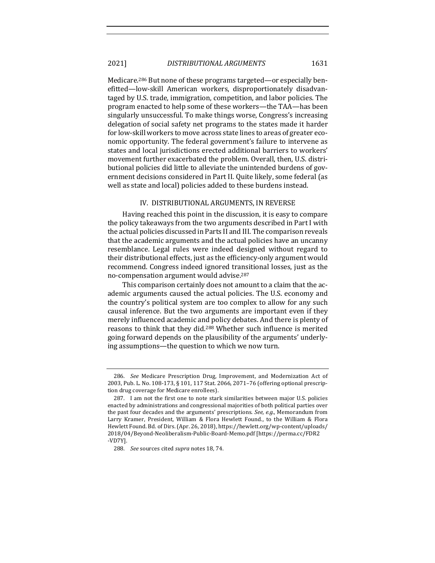Medicare.<sup>286</sup> But none of these programs targeted—or especially benefitted—low-skill American workers, disproportionately disadvantaged by U.S. trade, immigration, competition, and labor policies. The program enacted to help some of these workers—the TAA—has been singularly unsuccessful. To make things worse, Congress's increasing delegation of social safety net programs to the states made it harder for low-skill workers to move across state lines to areas of greater economic opportunity. The federal government's failure to intervene as states and local jurisdictions erected additional barriers to workers' movement further exacerbated the problem. Overall, then, U.S. distributional policies did little to alleviate the unintended burdens of government decisions considered in Part II. Quite likely, some federal (as well as state and local) policies added to these burdens instead.

## IV. DISTRIBUTIONAL ARGUMENTS, IN REVERSE

Having reached this point in the discussion, it is easy to compare the policy takeaways from the two arguments described in Part I with the actual policies discussed in Parts II and III. The comparison reveals that the academic arguments and the actual policies have an uncanny resemblance. Legal rules were indeed designed without regard to their distributional effects, just as the efficiency-only argument would recommend. Congress indeed ignored transitional losses, just as the no-compensation argument would advise.<sup>287</sup>

This comparison certainly does not amount to a claim that the academic arguments caused the actual policies. The U.S. economy and the country's political system are too complex to allow for any such causal inference. But the two arguments are important even if they merely influenced academic and policy debates. And there is plenty of reasons to think that they did.<sup>288</sup> Whether such influence is merited going forward depends on the plausibility of the arguments' underlying assumptions—the question to which we now turn.

<sup>286.</sup> *See* Medicare Prescription Drug, Improvement, and Modernization Act of 2003, Pub. L. No. 108-173, § 101, 117 Stat. 2066, 2071-76 (offering optional prescription drug coverage for Medicare enrollees).

<sup>287.</sup> I am not the first one to note stark similarities between major U.S. policies enacted by administrations and congressional majorities of both political parties over the past four decades and the arguments' prescriptions. *See, e.g.*, Memorandum from Larry Kramer, President, William & Flora Hewlett Found., to the William & Flora Hewlett Found. Bd. of Dirs. (Apr. 26, 2018), https://hewlett.org/wp-content/uploads/ 2018/04/Beyond-Neoliberalism-Public-Board-Memo.pdf [https://perma.cc/FDR2 -VD7Y].

<sup>288.</sup> *See* sources cited *supra* notes 18, 74.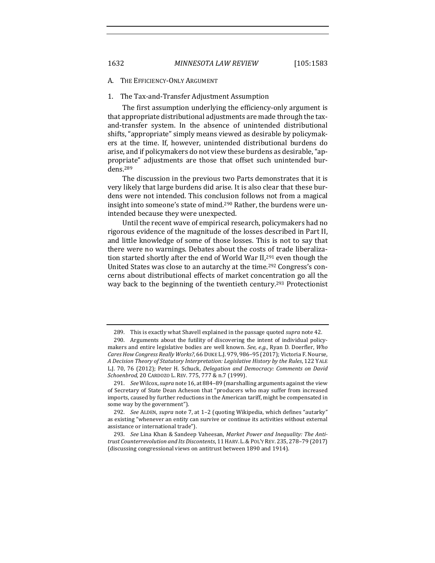A. THE EFFICIENCY-ONLY ARGUMENT

# 1. The Tax-and-Transfer Adjustment Assumption

The first assumption underlying the efficiency-only argument is that appropriate distributional adjustments are made through the taxand-transfer system. In the absence of unintended distributional shifts, "appropriate" simply means viewed as desirable by policymakers at the time. If, however, unintended distributional burdens do arise, and if policymakers do not view these burdens as desirable, "appropriate" adjustments are those that offset such unintended burdens.289

The discussion in the previous two Parts demonstrates that it is very likely that large burdens did arise. It is also clear that these burdens were not intended. This conclusion follows not from a magical insight into someone's state of mind.<sup>290</sup> Rather, the burdens were unintended because they were unexpected.

Until the recent wave of empirical research, policymakers had no rigorous evidence of the magnitude of the losses described in Part II, and little knowledge of some of those losses. This is not to say that there were no warnings. Debates about the costs of trade liberalization started shortly after the end of World War II,<sup>291</sup> even though the United States was close to an autarchy at the time.<sup>292</sup> Congress's concerns about distributional effects of market concentration go all the way back to the beginning of the twentieth century.<sup>293</sup> Protectionist

<sup>289.</sup> This is exactly what Shavell explained in the passage quoted *supra* note 42.

<sup>290.</sup> Arguments about the futility of discovering the intent of individual policymakers and entire legislative bodies are well known. *See, e.g.*, Ryan D. Doerfler, *Who Cares How Congress Really Works?*, 66 DUKE L.J. 979, 986-95 (2017); Victoria F. Nourse, *A Decision Theory of Statutory Interpretation: Legislative History by the Rules*, 122 YALE L.J. 70, 76 (2012); Peter H. Schuck, *Delegation and Democracy: Comments on David* Schoenbrod, 20 CARDOZO L. REV. 775, 777 & n.7 (1999).

<sup>291.</sup> *See* Wilcox, *supra* note 16, at 884-89 (marshalling arguments against the view of Secretary of State Dean Acheson that "producers who may suffer from increased imports, caused by further reductions in the American tariff, might be compensated in some way by the government").

<sup>292.</sup> *See* ALDEN, *supra* note 7, at 1-2 (quoting Wikipedia, which defines "autarky" as existing "whenever an entity can survive or continue its activities without external assistance or international trade").

<sup>293.</sup> See Lina Khan & Sandeep Vaheesan, Market Power and Inequality: The Anti*trust Counterrevolution and Its Discontents*, 11 HARV. L.&POL'Y REV. 235, 278–79 (2017) (discussing congressional views on antitrust between 1890 and 1914).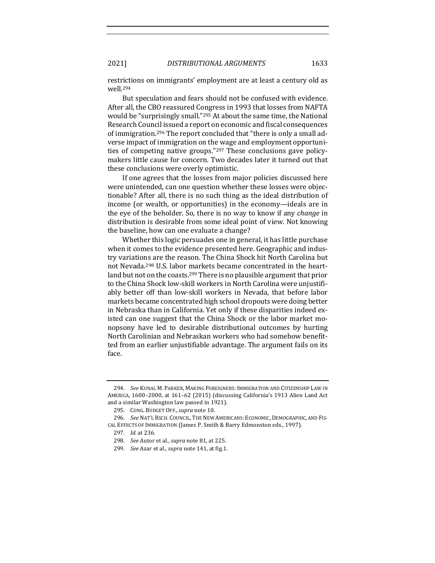restrictions on immigrants' employment are at least a century old as well.294

But speculation and fears should not be confused with evidence. After all, the CBO reassured Congress in 1993 that losses from NAFTA would be "surprisingly small."<sup>295</sup> At about the same time, the National Research Council issued a report on economic and fiscal consequences of immigration.<sup>296</sup> The report concluded that "there is only a small adverse impact of immigration on the wage and employment opportunities of competing native groups." $297$  These conclusions gave policymakers little cause for concern. Two decades later it turned out that these conclusions were overly optimistic.

If one agrees that the losses from major policies discussed here were unintended, can one question whether these losses were objectionable? After all, there is no such thing as the ideal distribution of income (or wealth, or opportunities) in the economy—ideals are in the eye of the beholder. So, there is no way to know if any *change* in distribution is desirable from some ideal point of view. Not knowing the baseline, how can one evaluate a change?

Whether this logic persuades one in general, it has little purchase when it comes to the evidence presented here. Geographic and industry variations are the reason. The China Shock hit North Carolina but not Nevada.<sup>298</sup> U.S. labor markets became concentrated in the heartland but not on the coasts.<sup>299</sup> There is no plausible argument that prior to the China Shock low-skill workers in North Carolina were unjustifiably better off than low-skill workers in Nevada, that before labor markets became concentrated high school dropouts were doing better in Nebraska than in California. Yet only if these disparities indeed existed can one suggest that the China Shock or the labor market monopsony have led to desirable distributional outcomes by hurting North Carolinian and Nebraskan workers who had somehow benefitted from an earlier unjustifiable advantage. The argument fails on its face.

<sup>294.</sup> *See KUNAL M. PARKER, MAKING FOREIGNERS: IMMIGRATION AND CITIZENSHIP LAW IN* AMERICA, 1600-2000, at 161-62 (2015) (discussing California's 1913 Alien Land Act and a similar Washington law passed in 1921).

<sup>295.</sup> CONG. BUDGET OFF., supra note 10.

<sup>296.</sup> *See NAT'L RSCH. COUNCIL, THE NEW AMERICANS: ECONOMIC, DEMOGRAPHIC, AND FIS-*CAL EFFECTS OF IMMIGRATION (James P. Smith & Barry Edmonston eds., 1997).

<sup>297.</sup> *Id.* at 236.

<sup>298.</sup> *See* Autor et al., *supra* note 81, at 225.

<sup>299.</sup> *See* Azar et al., *supra* note 141, at fig.1.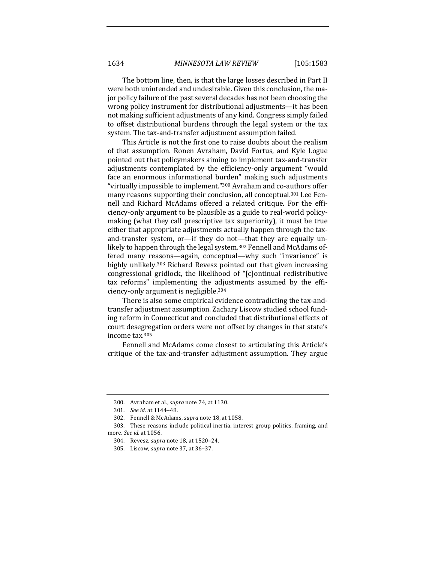The bottom line, then, is that the large losses described in Part II were both unintended and undesirable. Given this conclusion, the major policy failure of the past several decades has not been choosing the wrong policy instrument for distributional adjustments—it has been not making sufficient adjustments of any kind. Congress simply failed to offset distributional burdens through the legal system or the tax system. The tax-and-transfer adjustment assumption failed.

This Article is not the first one to raise doubts about the realism of that assumption. Ronen Avraham, David Fortus, and Kyle Logue pointed out that policymakers aiming to implement tax-and-transfer adjustments contemplated by the efficiency-only argument "would face an enormous informational burden" making such adjustments "virtually impossible to implement."<sup>300</sup> Avraham and co-authors offer many reasons supporting their conclusion, all conceptual.<sup>301</sup> Lee Fennell and Richard McAdams offered a related critique. For the efficiency-only argument to be plausible as a guide to real-world policymaking (what they call prescriptive tax superiority), it must be true either that appropriate adjustments actually happen through the taxand-transfer system, or-if they do not-that they are equally unlikely to happen through the legal system.<sup>302</sup> Fennell and McAdams offered many reasons—again, conceptual—why such "invariance" is highly unlikely.<sup>303</sup> Richard Revesz pointed out that given increasing congressional gridlock, the likelihood of "[c]ontinual redistributive tax reforms" implementing the adjustments assumed by the efficiency-only argument is negligible.<sup>304</sup>

There is also some empirical evidence contradicting the tax-andtransfer adjustment assumption. Zachary Liscow studied school funding reform in Connecticut and concluded that distributional effects of court desegregation orders were not offset by changes in that state's income tax.<sup>305</sup>

Fennell and McAdams come closest to articulating this Article's critique of the tax-and-transfer adjustment assumption. They argue

<sup>300.</sup> Avraham et al., *supra* note 74, at 1130.

<sup>301.</sup> *See id.* at 1144-48.

<sup>302.</sup> Fennell & McAdams, *supra* note 18, at 1058.

<sup>303.</sup> These reasons include political inertia, interest group politics, framing, and more. *See id.* at 1056.

<sup>304.</sup> Revesz, *supra* note 18, at 1520-24.

<sup>305.</sup> Liscow, *supra* note 37, at 36-37.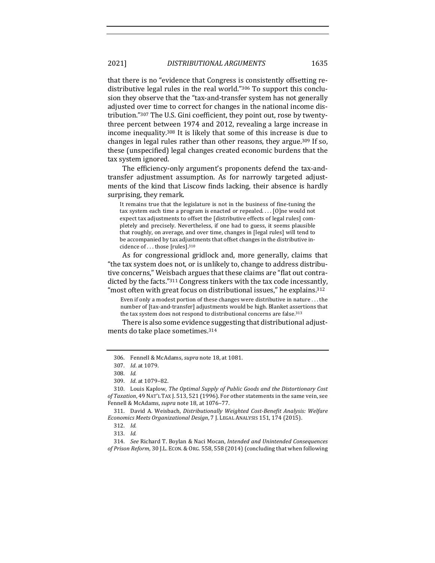that there is no "evidence that Congress is consistently offsetting redistributive legal rules in the real world."<sup>306</sup> To support this conclusion they observe that the "tax-and-transfer system has not generally adjusted over time to correct for changes in the national income distribution."307 The U.S. Gini coefficient, they point out, rose by twentythree percent between 1974 and 2012, revealing a large increase in income inequality.<sup>308</sup> It is likely that some of this increase is due to changes in legal rules rather than other reasons, they argue.<sup>309</sup> If so, these (unspecified) legal changes created economic burdens that the tax system ignored.

The efficiency-only argument's proponents defend the tax-andtransfer adjustment assumption. As for narrowly targeted adjustments of the kind that Liscow finds lacking, their absence is hardly surprising, they remark.

It remains true that the legislature is not in the business of fine-tuning the tax system each time a program is enacted or repealed....  $[0]$ ne would not expect tax adjustments to offset the [distributive effects of legal rules] completely and precisely. Nevertheless, if one had to guess, it seems plausible that roughly, on average, and over time, changes in [legal rules] will tend to be accompanied by tax adjustments that offset changes in the distributive incidence of  $\dots$  those [rules].<sup>310</sup>

As for congressional gridlock and, more generally, claims that "the tax system does not, or is unlikely to, change to address distributive concerns," Weisbach argues that these claims are "flat out contradicted by the facts."311 Congress tinkers with the tax code incessantly, "most often with great focus on distributional issues," he explains. $312$ 

Even if only a modest portion of these changes were distributive in nature  $\dots$  the number of [tax-and-transfer] adjustments would be high. Blanket assertions that the tax system does not respond to distributional concerns are false. $313$ 

There is also some evidence suggesting that distributional adjustments do take place sometimes.<sup>314</sup>

<sup>306.</sup> Fennell & McAdams, *supra* note 18, at 1081.

<sup>307.</sup> *Id.* at 1079.

<sup>308.</sup> *Id.*

<sup>309.</sup> *Id.* at 1079-82.

<sup>310.</sup> Louis Kaplow, *The Optimal Supply of Public Goods and the Distortionary Cost of Taxation*, 49 NAT'L TAX J. 513, 521 (1996). For other statements in the same vein, see Fennell & McAdams, *supra* note 18, at 1076-77.

<sup>311.</sup> David A. Weisbach, *Distributionally Weighted Cost-Benefit Analysis: Welfare Economics Meets Organizational Design*, 7 J. LEGAL ANALYSIS 151, 174 (2015).

<sup>312.</sup> *Id.*

<sup>313.</sup> *Id.*

<sup>314.</sup> *See* Richard T. Boylan & Naci Mocan, *Intended and Unintended Consequences*  of Prison Reform, 30 J.L. ECON. & ORG. 558, 558 (2014) (concluding that when following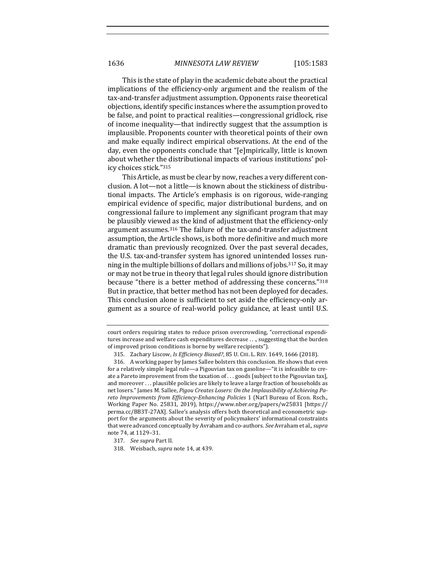This is the state of play in the academic debate about the practical implications of the efficiency-only argument and the realism of the tax-and-transfer adjustment assumption. Opponents raise theoretical objections, identify specific instances where the assumption proved to be false, and point to practical realities—congressional gridlock, rise of income inequality—that indirectly suggest that the assumption is implausible. Proponents counter with theoretical points of their own and make equally indirect empirical observations. At the end of the day, even the opponents conclude that "[e]mpirically, little is known about whether the distributional impacts of various institutions' policy choices stick."315

This Article, as must be clear by now, reaches a very different conclusion. A lot-not a little-is known about the stickiness of distributional impacts. The Article's emphasis is on rigorous, wide-ranging empirical evidence of specific, major distributional burdens, and on congressional failure to implement any significant program that may be plausibly viewed as the kind of adjustment that the efficiency-only argument assumes.<sup>316</sup> The failure of the tax-and-transfer adjustment assumption, the Article shows, is both more definitive and much more dramatic than previously recognized. Over the past several decades, the U.S. tax-and-transfer system has ignored unintended losses running in the multiple billions of dollars and millions of jobs.<sup>317</sup> So, it may or may not be true in theory that legal rules should ignore distribution because "there is a better method of addressing these concerns."<sup>318</sup> But in practice, that better method has not been deployed for decades. This conclusion alone is sufficient to set aside the efficiency-only argument as a source of real-world policy guidance, at least until U.S.

court orders requiring states to reduce prison overcrowding, "correctional expenditures increase and welfare cash expenditures decrease . . ., suggesting that the burden of improved prison conditions is borne by welfare recipients").

<sup>315.</sup> Zachary Liscow, *Is Efficiency Biased?*, 85 U. CHI. L. REV. 1649, 1666 (2018).

<sup>316.</sup> A working paper by James Sallee bolsters this conclusion. He shows that even for a relatively simple legal rule—a Pigouvian tax on gasoline—"it is infeasible to create a Pareto improvement from the taxation of  $\dots$  goods [subject to the Pigouvian tax], and moreover  $\dots$  plausible policies are likely to leave a large fraction of households as net losers." James M. Sallee, *Pigou Creates Losers: On the Implausibility of Achieving Pa*reto Improvements from Efficiency-Enhancing Policies 1 (Nat'l Bureau of Econ. Rsch., Working Paper No. 25831, 2019), https://www.nber.org/papers/w25831 [https:// perma.cc/BB3T-27AX]. Sallee's analysis offers both theoretical and econometric support for the arguments about the severity of policymakers' informational constraints that were advanced conceptually by Avraham and co-authors. See Avraham et al., *supra* note 74, at 1129-31.

<sup>317.</sup> *See supra* Part II.

<sup>318.</sup> Weisbach, *supra* note 14, at 439.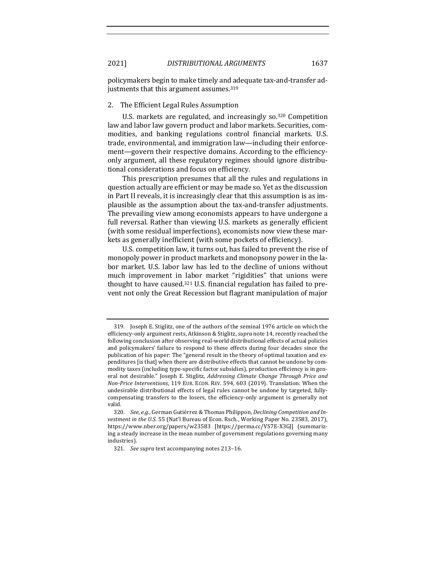policymakers begin to make timely and adequate tax-and-transfer adjustments that this argument assumes.<sup>319</sup>

## 2. The Efficient Legal Rules Assumption

U.S. markets are regulated, and increasingly so.<sup>320</sup> Competition law and labor law govern product and labor markets. Securities, commodities, and banking regulations control financial markets. U.S. trade, environmental, and immigration law—including their enforcement—govern their respective domains. According to the efficiencyonly argument, all these regulatory regimes should ignore distributional considerations and focus on efficiency.

This prescription presumes that all the rules and regulations in question actually are efficient or may be made so. Yet as the discussion in Part II reveals, it is increasingly clear that this assumption is as implausible as the assumption about the tax-and-transfer adjustments. The prevailing view among economists appears to have undergone a full reversal. Rather than viewing U.S. markets as generally efficient (with some residual imperfections), economists now view these markets as generally inefficient (with some pockets of efficiency).

U.S. competition law, it turns out, has failed to prevent the rise of monopoly power in product markets and monopsony power in the labor market. U.S. labor law has led to the decline of unions without much improvement in labor market "rigidities" that unions were thought to have caused.<sup>321</sup> U.S. financial regulation has failed to prevent not only the Great Recession but flagrant manipulation of major

<sup>319.</sup> Joseph E. Stiglitz, one of the authors of the seminal 1976 article on which the efficiency-only argument rests, Atkinson & Stiglitz, *supra* note 14, recently reached the following conclusion after observing real-world distributional effects of actual policies and policymakers' failure to respond to these effects during four decades since the publication of his paper: The "general result in the theory of optimal taxation and expenditures [is that] when there are distributive effects that cannot be undone by commodity taxes (including type-specific factor subsidies), production efficiency is in general not desirable." Joseph E. Stiglitz, *Addressing Climate Change Through Price and Non-Price Interventions,* 119 EUR. ECON. REV. 594, 603 (2019). Translation: When the undesirable distributional effects of legal rules cannot be undone by targeted, fullycompensating transfers to the losers, the efficiency-only argument is generally not valid.

<sup>320.</sup> See, e.g., German Gutiérrez & Thomas Philippon, *Declining Competition and Investment in the U.S.* 55 (Nat'l Bureau of Econ. Rsch., Working Paper No. 23583, 2017), https://www.nber.org/papers/w23583 [https://perma.cc/VS7E-X3GJ] (summarizing a steady increase in the mean number of government regulations governing many industries).

<sup>321.</sup> *See supra* text accompanying notes 213-16.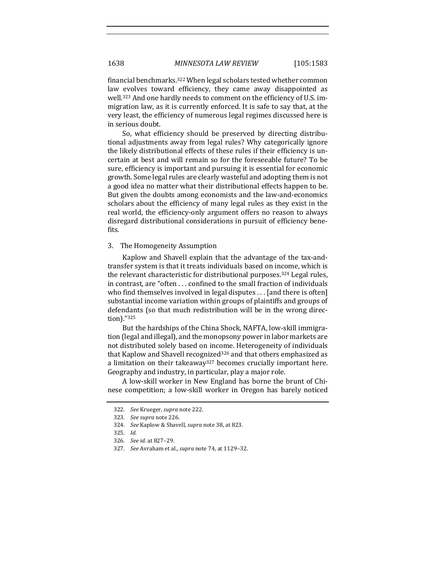financial benchmarks.<sup>322</sup> When legal scholars tested whether common law evolves toward efficiency, they came away disappointed as well.<sup>323</sup> And one hardly needs to comment on the efficiency of U.S. immigration law, as it is currently enforced. It is safe to say that, at the very least, the efficiency of numerous legal regimes discussed here is in serious doubt.

So, what efficiency should be preserved by directing distributional adjustments away from legal rules? Why categorically ignore the likely distributional effects of these rules if their efficiency is uncertain at best and will remain so for the foreseeable future? To be sure, efficiency is important and pursuing it is essential for economic growth. Some legal rules are clearly wasteful and adopting them is not a good idea no matter what their distributional effects happen to be. But given the doubts among economists and the law-and-economics scholars about the efficiency of many legal rules as they exist in the real world, the efficiency-only argument offers no reason to always disregard distributional considerations in pursuit of efficiency benefits.

# 3. The Homogeneity Assumption

Kaplow and Shavell explain that the advantage of the tax-andtransfer system is that it treats individuals based on income, which is the relevant characteristic for distributional purposes.<sup>324</sup> Legal rules, in contrast, are "often ... confined to the small fraction of individuals who find themselves involved in legal disputes  $\dots$  [and there is often] substantial income variation within groups of plaintiffs and groups of defendants (so that much redistribution will be in the wrong direction)."325

But the hardships of the China Shock, NAFTA, low-skill immigration (legal and illegal), and the monopsony power in labor markets are not distributed solely based on income. Heterogeneity of individuals that Kaplow and Shavell recognized<sup>326</sup> and that others emphasized as a limitation on their takeaway<sup>327</sup> becomes crucially important here. Geography and industry, in particular, play a major role.

A low-skill worker in New England has borne the brunt of Chinese competition; a low-skill worker in Oregon has barely noticed

<sup>322.</sup> *See Krueger, supra note 222.* 

<sup>323.</sup> *See supra* note 226. 

<sup>324.</sup> *See* Kaplow & Shavell, *supra* note 38, at 823.

<sup>325.</sup> *Id.* 

<sup>326.</sup> *See id.* at 827–29.

<sup>327.</sup> *See* Avraham et al., *supra* note 74, at 1129-32.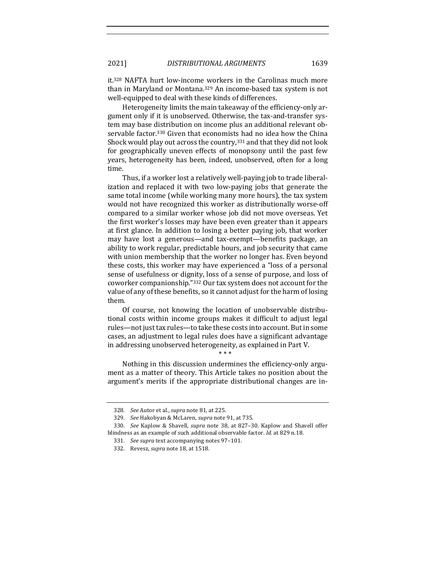it.<sup>328</sup> NAFTA hurt low-income workers in the Carolinas much more than in Maryland or Montana.<sup>329</sup> An income-based tax system is not well-equipped to deal with these kinds of differences.

Heterogeneity limits the main takeaway of the efficiency-only argument only if it is unobserved. Otherwise, the tax-and-transfer system may base distribution on income plus an additional relevant observable factor.<sup>330</sup> Given that economists had no idea how the China Shock would play out across the country,  $331$  and that they did not look for geographically uneven effects of monopsony until the past few years, heterogeneity has been, indeed, unobserved, often for a long time. 

Thus, if a worker lost a relatively well-paying job to trade liberalization and replaced it with two low-paying jobs that generate the same total income (while working many more hours), the tax system would not have recognized this worker as distributionally worse-off compared to a similar worker whose job did not move overseas. Yet the first worker's losses may have been even greater than it appears at first glance. In addition to losing a better paying job, that worker may have lost a generous—and tax-exempt—benefits package, an ability to work regular, predictable hours, and job security that came with union membership that the worker no longer has. Even beyond these costs, this worker may have experienced a "loss of a personal sense of usefulness or dignity, loss of a sense of purpose, and loss of coworker companionship."332 Our tax system does not account for the value of any of these benefits, so it cannot adjust for the harm of losing them.

Of course, not knowing the location of unobservable distributional costs within income groups makes it difficult to adjust legal rules—not just tax rules—to take these costs into account. But in some cases, an adjustment to legal rules does have a significant advantage in addressing unobserved heterogeneity, as explained in Part V.

Nothing in this discussion undermines the efficiency-only argument as a matter of theory. This Article takes no position about the argument's merits if the appropriate distributional changes are in-

\* \* \*

<sup>328.</sup> *See* Autor et al., *supra* note 81, at 225.

<sup>329.</sup> *See* Hakobyan & McLaren, *supra* note 91, at 735.

<sup>330.</sup> *See* Kaplow & Shavell, *supra* note 38, at 827-30. Kaplow and Shavell offer blindness as an example of such additional observable factor. *Id.* at 829 n.18.

<sup>331.</sup> See supra text accompanying notes 97-101.

<sup>332.</sup> Revesz, *supra* note 18, at 1518.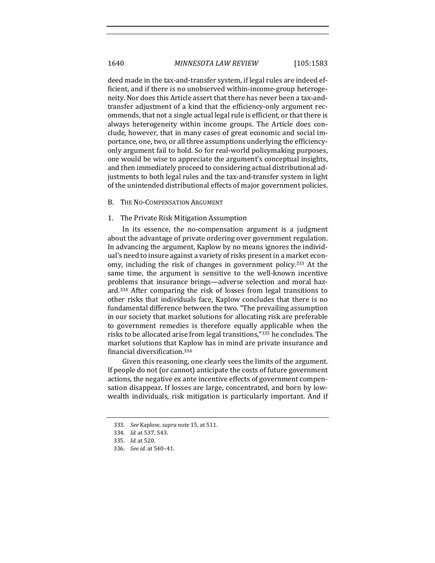deed made in the tax-and-transfer system, if legal rules are indeed efficient, and if there is no unobserved within-income-group heterogeneity. Nor does this Article assert that there has never been a tax-andtransfer adjustment of a kind that the efficiency-only argument recommends, that not a single actual legal rule is efficient, or that there is always heterogeneity within income groups. The Article does conclude, however, that in many cases of great economic and social importance, one, two, or all three assumptions underlying the efficiencyonly argument fail to hold. So for real-world policymaking purposes, one would be wise to appreciate the argument's conceptual insights, and then immediately proceed to considering actual distributional adjustments to both legal rules and the tax-and-transfer system in light of the unintended distributional effects of major government policies.

#### B. THE NO-COMPENSATION ARGUMENT

### 1. The Private Risk Mitigation Assumption

In its essence, the no-compensation argument is a judgment about the advantage of private ordering over government regulation. In advancing the argument, Kaplow by no means ignores the individual's need to insure against a variety of risks present in a market economy, including the risk of changes in government policy.<sup>333</sup> At the same time, the argument is sensitive to the well-known incentive problems that insurance brings—adverse selection and moral hazard.<sup>334</sup> After comparing the risk of losses from legal transitions to other risks that individuals face, Kaplow concludes that there is no fundamental difference between the two. "The prevailing assumption in our society that market solutions for allocating risk are preferable to government remedies is therefore equally applicable when the risks to be allocated arise from legal transitions,"335 he concludes. The market solutions that Kaplow has in mind are private insurance and financial diversification.336

Given this reasoning, one clearly sees the limits of the argument. If people do not (or cannot) anticipate the costs of future government actions, the negative ex ante incentive effects of government compensation disappear. If losses are large, concentrated, and born by lowwealth individuals, risk mitigation is particularly important. And if

<sup>333.</sup> *See* Kaplow, *supra* note 15, at 511.

<sup>334.</sup> *Id.* at 537, 543.

<sup>335.</sup> *Id.* at 520.

<sup>336.</sup> *See id.* at 540–41.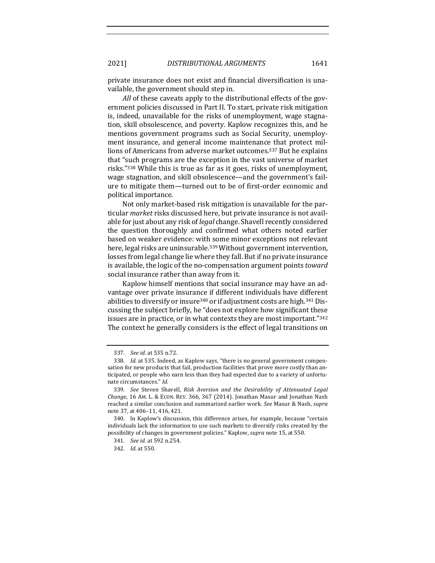private insurance does not exist and financial diversification is unavailable, the government should step in.

*All* of these caveats apply to the distributional effects of the government policies discussed in Part II. To start, private risk mitigation is, indeed, unavailable for the risks of unemployment, wage stagnation, skill obsolescence, and poverty. Kaplow recognizes this, and he mentions government programs such as Social Security, unemployment insurance, and general income maintenance that protect millions of Americans from adverse market outcomes.<sup>337</sup> But he explains that "such programs are the exception in the vast universe of market risks."<sup>338</sup> While this is true as far as it goes, risks of unemployment, wage stagnation, and skill obsolescence—and the government's failure to mitigate them—turned out to be of first-order economic and political importance.

Not only market-based risk mitigation is unavailable for the particular *market* risks discussed here, but private insurance is not available for just about any risk of *legal* change. Shavell recently considered the question thoroughly and confirmed what others noted earlier based on weaker evidence: with some minor exceptions not relevant here, legal risks are uninsurable.<sup>339</sup> Without government intervention, losses from legal change lie where they fall. But if no private insurance is available, the logic of the no-compensation argument points *toward* social insurance rather than away from it.

Kaplow himself mentions that social insurance may have an advantage over private insurance if different individuals have different abilities to diversify or insure<sup>340</sup> or if adjustment costs are high.<sup>341</sup> Discussing the subject briefly, he "does not explore how significant these issues are in practice, or in what contexts they are most important." $342$ The context he generally considers is the effect of legal transitions on

<sup>337.</sup> *See id.* at 535 n.72.

<sup>338.</sup> *Id.* at 535. Indeed, as Kaplow says, "there is no general government compensation for new products that fail, production facilities that prove more costly than anticipated, or people who earn less than they had expected due to a variety of unfortunate circumstances." *Id.*

<sup>339.</sup> See Steven Shavell, Risk Aversion and the Desirability of Attenuated Legal *Change*, 16 AM. L. & ECON. REV. 366, 367 (2014). Jonathan Masur and Jonathan Nash reached a similar conclusion and summarized earlier work. *See* Masur & Nash, *supra* note 37, at 406-11, 416, 421.

<sup>340.</sup> In Kaplow's discussion, this difference arises, for example, because "certain individuals lack the information to use such markets to diversify risks created by the possibility of changes in government policies." Kaplow, *supra* note 15, at 550.

<sup>341.</sup> *See id.* at 592 n.254.

<sup>342.</sup> *Id.* at 550.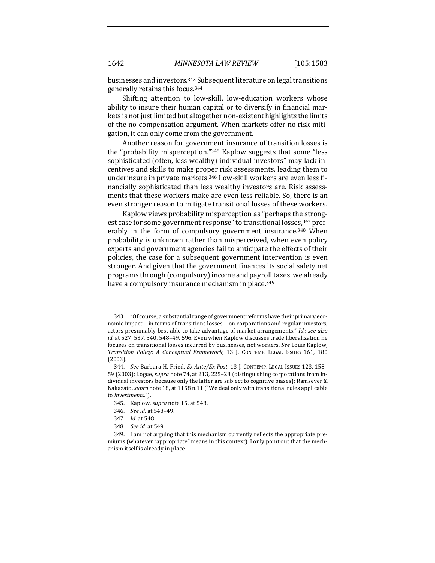1642 *MINNESOTA LAW REVIEW* [105:1583

businesses and investors.<sup>343</sup> Subsequent literature on legal transitions generally retains this focus.<sup>344</sup>

Shifting attention to low-skill, low-education workers whose ability to insure their human capital or to diversify in financial markets is not just limited but altogether non-existent highlights the limits of the no-compensation argument. When markets offer no risk mitigation, it can only come from the government.

Another reason for government insurance of transition losses is the "probability misperception." $345$  Kaplow suggests that some "less" sophisticated (often, less wealthy) individual investors" may lack incentives and skills to make proper risk assessments, leading them to underinsure in private markets.<sup>346</sup> Low-skill workers are even less financially sophisticated than less wealthy investors are. Risk assessments that these workers make are even less reliable. So, there is an even stronger reason to mitigate transitional losses of these workers.

Kaplow views probability misperception as "perhaps the strongest case for some government response" to transitional losses, 347 preferably in the form of compulsory government insurance.<sup>348</sup> When probability is unknown rather than misperceived, when even policy experts and government agencies fail to anticipate the effects of their policies, the case for a subsequent government intervention is even stronger. And given that the government finances its social safety net programs through (compulsory) income and payroll taxes, we already have a compulsory insurance mechanism in place.<sup>349</sup>

<sup>343. &</sup>quot;Of course, a substantial range of government reforms have their primary economic impact—in terms of transitions losses—on corporations and regular investors, actors presumably best able to take advantage of market arrangements." *Id.*; see also *id.* at 527, 537, 540, 548–49, 596. Even when Kaplow discusses trade liberalization he focuses on transitional losses incurred by businesses, not workers. See Louis Kaplow, *Transition Policy: A Conceptual Framework*, 13 J. CONTEMP. LEGAL ISSUES 161, 180 (2003).

<sup>344.</sup> *See* Barbara H. Fried, *Ex Ante/Ex Post*, 13 J. CONTEMP. LEGAL ISSUES 123, 158-59 (2003); Logue, *supra* note 74, at 213, 225-28 (distinguishing corporations from individual investors because only the latter are subject to cognitive biases); Ramseyer  $\&$ Nakazato, *supra* note 18, at 1158 n.11 ("We deal only with transitional rules applicable to *investments*.").

<sup>345.</sup> Kaplow, *supra* note 15, at 548.

<sup>346.</sup> *See id.* at 548-49.

<sup>347.</sup> *Id.* at 548.

<sup>348.</sup> *See id.* at 549.

<sup>349.</sup> I am not arguing that this mechanism currently reflects the appropriate premiums (whatever "appropriate" means in this context). I only point out that the mechanism itself is already in place.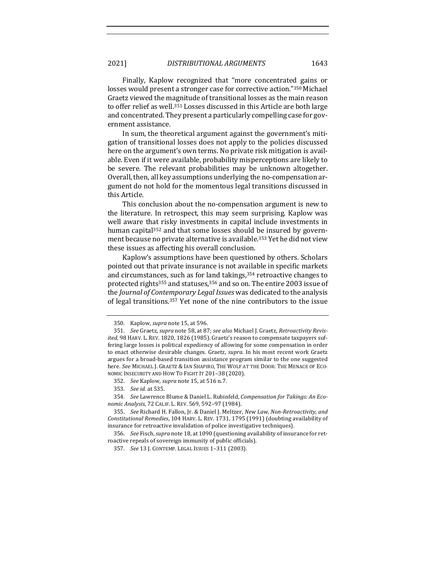Finally, Kaplow recognized that "more concentrated gains or losses would present a stronger case for corrective action."350 Michael Graetz viewed the magnitude of transitional losses as the main reason to offer relief as well.<sup>351</sup> Losses discussed in this Article are both large and concentrated. They present a particularly compelling case for government assistance.

In sum, the theoretical argument against the government's mitigation of transitional losses does not apply to the policies discussed here on the argument's own terms. No private risk mitigation is available. Even if it were available, probability misperceptions are likely to be severe. The relevant probabilities may be unknown altogether. Overall, then, all key assumptions underlying the no-compensation argument do not hold for the momentous legal transitions discussed in this Article.

This conclusion about the no-compensation argument is new to the literature. In retrospect, this may seem surprising. Kaplow was well aware that risky investments in capital include investments in human capital<sup>352</sup> and that some losses should be insured by government because no private alternative is available.<sup>353</sup> Yet he did not view these issues as affecting his overall conclusion.

Kaplow's assumptions have been questioned by others. Scholars pointed out that private insurance is not available in specific markets and circumstances, such as for land takings,<sup>354</sup> retroactive changes to protected rights<sup>355</sup> and statuses,  $356$  and so on. The entire 2003 issue of the *Journal of Contemporary Legal Issues* was dedicated to the analysis of legal transitions.<sup>357</sup> Yet none of the nine contributors to the issue

<sup>350.</sup> Kaplow, *supra* note 15, at 596.

<sup>351.</sup> *See* Graetz, *supra* note 58, at 87; *see also* Michael J. Graetz, Retroactivity Revis*ited*, 98 HARV. L. REV. 1820, 1826 (1985). Graetz's reason to compensate taxpayers suffering large losses is political expediency of allowing for some compensation in order to enact otherwise desirable changes. Graetz, *supra*. In his most recent work Graetz argues for a broad-based transition assistance program similar to the one suggested here. See MICHAEL J. GRAETZ & IAN SHAPIRO, THE WOLF AT THE DOOR: THE MENACE OF ECO-NOMIC INSECURITY AND HOW TO FIGHT IT 201-38 (2020).

<sup>352.</sup> *See* Kaplow, *supra* note 15, at 516 n.7.

<sup>353.</sup> *See id.* at 535.

<sup>354.</sup> See Lawrence Blume & Daniel L. Rubinfeld, Compensation for Takings: An Eco*nomic Analysis*, 72 CALIF. L. REV. 569, 592–97 (1984).

<sup>355.</sup> *See* Richard H. Fallon, Jr. & Daniel J. Meltzer, *New Law, Non-Retroactivity, and Constitutional Remedies*, 104 HARV. L. REV. 1731, 1795 (1991) (doubting availability of insurance for retroactive invalidation of police investigative techniques).

<sup>356.</sup> *See* Fisch, *supra* note 18, at 1090 (questioning availability of insurance for retroactive repeals of sovereign immunity of public officials).

<sup>357.</sup> *See* 13 J. CONTEMP. LEGAL ISSUES 1-311 (2003).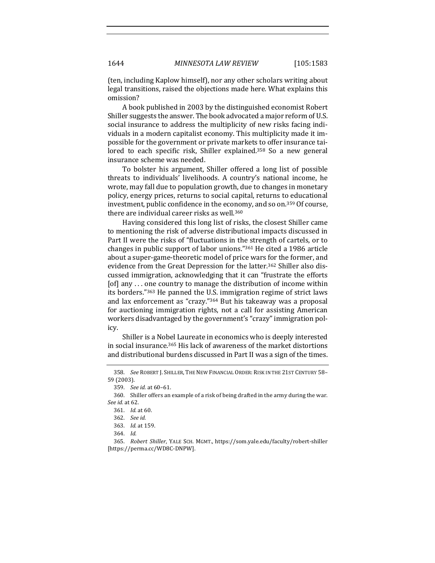(ten, including Kaplow himself), nor any other scholars writing about legal transitions, raised the objections made here. What explains this omission?

A book published in 2003 by the distinguished economist Robert Shiller suggests the answer. The book advocated a major reform of U.S. social insurance to address the multiplicity of new risks facing individuals in a modern capitalist economy. This multiplicity made it impossible for the government or private markets to offer insurance tailored to each specific risk, Shiller explained.<sup>358</sup> So a new general insurance scheme was needed.

To bolster his argument, Shiller offered a long list of possible threats to individuals' livelihoods. A country's national income, he wrote, may fall due to population growth, due to changes in monetary policy, energy prices, returns to social capital, returns to educational investment, public confidence in the economy, and so on.<sup>359</sup> Of course, there are individual career risks as well.<sup>360</sup>

Having considered this long list of risks, the closest Shiller came to mentioning the risk of adverse distributional impacts discussed in Part II were the risks of "fluctuations in the strength of cartels, or to changes in public support of labor unions."<sup>361</sup> He cited a 1986 article about a super-game-theoretic model of price wars for the former, and evidence from the Great Depression for the latter.<sup>362</sup> Shiller also discussed immigration, acknowledging that it can "frustrate the efforts [of] any  $\ldots$  one country to manage the distribution of income within its borders."<sup>363</sup> He panned the U.S. immigration regime of strict laws and lax enforcement as "crazy."<sup>364</sup> But his takeaway was a proposal for auctioning immigration rights, not a call for assisting American workers disadvantaged by the government's "crazy" immigration policy.

Shiller is a Nobel Laureate in economics who is deeply interested in social insurance.<sup>365</sup> His lack of awareness of the market distortions and distributional burdens discussed in Part II was a sign of the times.

<sup>358.</sup> *See* ROBERT J. SHILLER, THE NEW FINANCIAL ORDER: RISK IN THE 21ST CENTURY 58-59 (2003).

<sup>359.</sup> *See id.* at 60-61.

<sup>360.</sup> Shiller offers an example of a risk of being drafted in the army during the war. *See id.* at 62.

<sup>361.</sup> *Id.* at 60.

<sup>362.</sup> *See id.*

<sup>363.</sup> *Id.* at 159.

<sup>364.</sup> *Id.*

<sup>365.</sup> *Robert Shiller*, YALE SCH. MGMT., https://som.yale.edu/faculty/robert-shiller [https://perma.cc/WD8C-DNPW].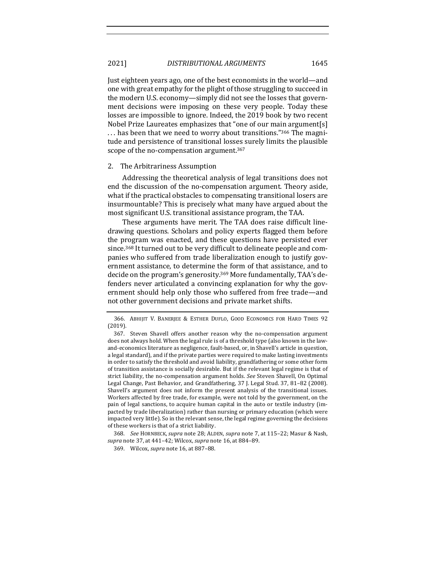2021] *DISTRIBUTIONAL ARGUMENTS* 1645

Just eighteen years ago, one of the best economists in the world—and one with great empathy for the plight of those struggling to succeed in the modern U.S. economy-simply did not see the losses that government decisions were imposing on these very people. Today these losses are impossible to ignore. Indeed, the 2019 book by two recent Nobel Prize Laureates emphasizes that "one of our main argument[s] ... has been that we need to worry about transitions."<sup>366</sup> The magnitude and persistence of transitional losses surely limits the plausible scope of the no-compensation argument.<sup>367</sup>

### 2. The Arbitrariness Assumption

Addressing the theoretical analysis of legal transitions does not end the discussion of the no-compensation argument. Theory aside, what if the practical obstacles to compensating transitional losers are insurmountable? This is precisely what many have argued about the most significant U.S. transitional assistance program, the TAA.

These arguments have merit. The TAA does raise difficult linedrawing questions. Scholars and policy experts flagged them before the program was enacted, and these questions have persisted ever since.<sup>368</sup> It turned out to be very difficult to delineate people and companies who suffered from trade liberalization enough to justify government assistance, to determine the form of that assistance, and to decide on the program's generosity.<sup>369</sup> More fundamentally, TAA's defenders never articulated a convincing explanation for why the government should help only those who suffered from free trade—and not other government decisions and private market shifts.

<sup>366.</sup> ABHIJIT V. BANERJEE & ESTHER DUFLO, GOOD ECONOMICS FOR HARD TIMES 92 (2019).

<sup>367.</sup> Steven Shavell offers another reason why the no-compensation argument does not always hold. When the legal rule is of a threshold type (also known in the lawand-economics literature as negligence, fault-based, or, in Shavell's article in question, a legal standard), and if the private parties were required to make lasting investments in order to satisfy the threshold and avoid liability, grandfathering or some other form of transition assistance is socially desirable. But if the relevant legal regime is that of strict liability, the no-compensation argument holds. See Steven Shavell, On Optimal Legal Change, Past Behavior, and Grandfathering, 37 J. Legal Stud. 37, 81-82 (2008). Shavell's argument does not inform the present analysis of the transitional issues. Workers affected by free trade, for example, were not told by the government, on the pain of legal sanctions, to acquire human capital in the auto or textile industry (impacted by trade liberalization) rather than nursing or primary education (which were impacted very little). So in the relevant sense, the legal regime governing the decisions of these workers is that of a strict liability.

<sup>368.</sup> *See* HORNBECK, *supra* note 28; ALDEN, *supra* note 7, at 115-22; Masur & Nash, *supra* note 37, at 441–42; Wilcox, *supra* note 16, at 884–89.

<sup>369.</sup> Wilcox, *supra* note 16, at 887-88.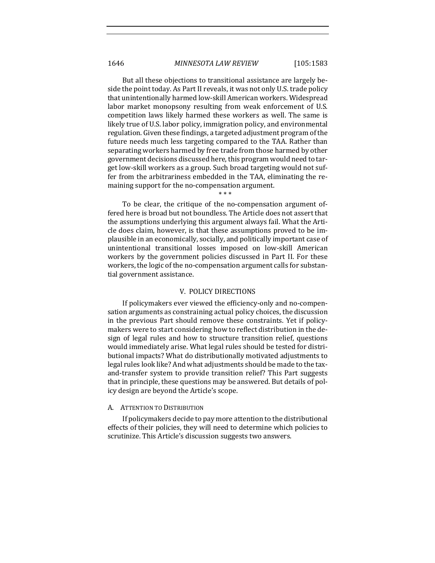But all these objections to transitional assistance are largely beside the point today. As Part II reveals, it was not only U.S. trade policy that unintentionally harmed low-skill American workers. Widespread labor market monopsony resulting from weak enforcement of U.S. competition laws likely harmed these workers as well. The same is likely true of U.S. labor policy, immigration policy, and environmental regulation. Given these findings, a targeted adjustment program of the future needs much less targeting compared to the TAA. Rather than separating workers harmed by free trade from those harmed by other government decisions discussed here, this program would need to target low-skill workers as a group. Such broad targeting would not suffer from the arbitrariness embedded in the TAA, eliminating the remaining support for the no-compensation argument.

To be clear, the critique of the no-compensation argument offered here is broad but not boundless. The Article does not assert that the assumptions underlying this argument always fail. What the Article does claim, however, is that these assumptions proved to be implausible in an economically, socially, and politically important case of unintentional transitional losses imposed on low-skill American workers by the government policies discussed in Part II. For these workers, the logic of the no-compensation argument calls for substantial government assistance.

\* \* \*

## V. POLICY DIRECTIONS

If policymakers ever viewed the efficiency-only and no-compensation arguments as constraining actual policy choices, the discussion in the previous Part should remove these constraints. Yet if policymakers were to start considering how to reflect distribution in the design of legal rules and how to structure transition relief, questions would immediately arise. What legal rules should be tested for distributional impacts? What do distributionally motivated adjustments to legal rules look like? And what adjustments should be made to the taxand-transfer system to provide transition relief? This Part suggests that in principle, these questions may be answered. But details of policy design are beyond the Article's scope.

# A. ATTENTION TO DISTRIBUTION

If policymakers decide to pay more attention to the distributional effects of their policies, they will need to determine which policies to scrutinize. This Article's discussion suggests two answers.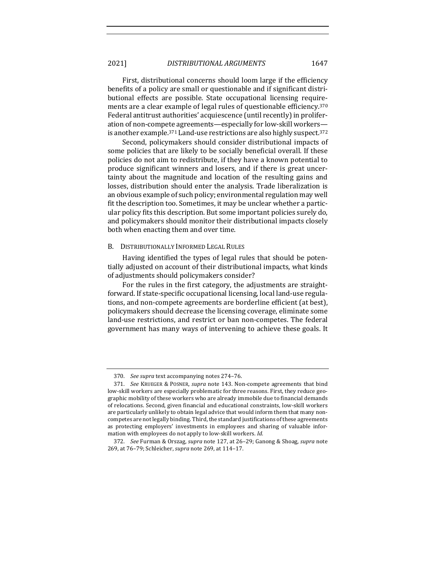First, distributional concerns should loom large if the efficiency benefits of a policy are small or questionable and if significant distributional effects are possible. State occupational licensing requirements are a clear example of legal rules of questionable efficiency.<sup>370</sup> Federal antitrust authorities' acquiescence (until recently) in proliferation of non-compete agreements—especially for low-skill workers is another example.<sup>371</sup> Land-use restrictions are also highly suspect.<sup>372</sup>

Second, policymakers should consider distributional impacts of some policies that are likely to be socially beneficial overall. If these policies do not aim to redistribute, if they have a known potential to produce significant winners and losers, and if there is great uncertainty about the magnitude and location of the resulting gains and losses, distribution should enter the analysis. Trade liberalization is an obvious example of such policy; environmental regulation may well fit the description too. Sometimes, it may be unclear whether a particular policy fits this description. But some important policies surely do, and policymakers should monitor their distributional impacts closely both when enacting them and over time.

# B. DISTRIBUTIONALLY INFORMED LEGAL RULES

Having identified the types of legal rules that should be potentially adjusted on account of their distributional impacts, what kinds of adjustments should policymakers consider?

For the rules in the first category, the adjustments are straightforward. If state-specific occupational licensing, local land-use regulations, and non-compete agreements are borderline efficient (at best), policymakers should decrease the licensing coverage, eliminate some land-use restrictions, and restrict or ban non-competes. The federal government has many ways of intervening to achieve these goals. It

<sup>370.</sup> See *supra* text accompanying notes 274-76.

<sup>371.</sup> *See* KRUEGER & POSNER, *supra* note 143. Non-compete agreements that bind low-skill workers are especially problematic for three reasons. First, they reduce geographic mobility of these workers who are already immobile due to financial demands of relocations. Second, given financial and educational constraints, low-skill workers are particularly unlikely to obtain legal advice that would inform them that many noncompetes are not legally binding. Third, the standard justifications of these agreements as protecting employers' investments in employees and sharing of valuable information with employees do not apply to low-skill workers. *Id.* 

<sup>372.</sup> *See* Furman & Orszag, *supra* note 127, at 26–29; Ganong & Shoag, *supra* note 269, at 76-79; Schleicher, *supra* note 269, at 114-17.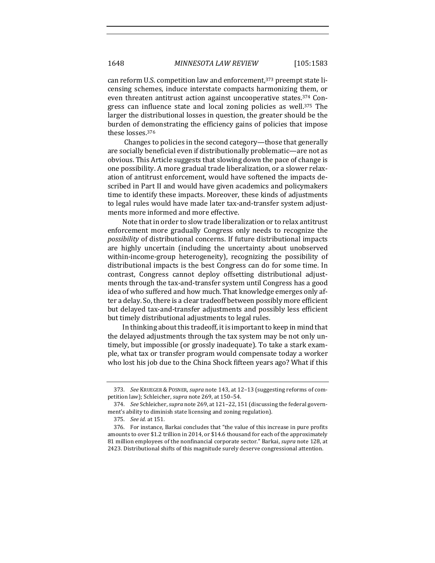can reform U.S. competition law and enforcement,<sup>373</sup> preempt state licensing schemes, induce interstate compacts harmonizing them, or even threaten antitrust action against uncooperative states.<sup>374</sup> Congress can influence state and local zoning policies as well.<sup>375</sup> The larger the distributional losses in question, the greater should be the burden of demonstrating the efficiency gains of policies that impose these losses.<sup>376</sup>

Changes to policies in the second category—those that generally are socially beneficial even if distributionally problematic—are not as obvious. This Article suggests that slowing down the pace of change is one possibility. A more gradual trade liberalization, or a slower relaxation of antitrust enforcement, would have softened the impacts described in Part II and would have given academics and policymakers time to identify these impacts. Moreover, these kinds of adjustments to legal rules would have made later tax-and-transfer system adjustments more informed and more effective.

Note that in order to slow trade liberalization or to relax antitrust enforcement more gradually Congress only needs to recognize the *possibility* of distributional concerns. If future distributional impacts are highly uncertain (including the uncertainty about unobserved within-income-group heterogeneity), recognizing the possibility of distributional impacts is the best Congress can do for some time. In contrast, Congress cannot deploy offsetting distributional adjustments through the tax-and-transfer system until Congress has a good idea of who suffered and how much. That knowledge emerges only after a delay. So, there is a clear tradeoff between possibly more efficient but delayed tax-and-transfer adjustments and possibly less efficient but timely distributional adjustments to legal rules.

In thinking about this tradeoff, it is important to keep in mind that the delayed adjustments through the tax system may be not only untimely, but impossible (or grossly inadequate). To take a stark example, what tax or transfer program would compensate today a worker who lost his job due to the China Shock fifteen years ago? What if this

<sup>373.</sup> See KRUEGER & POSNER, *supra* note 143, at 12-13 (suggesting reforms of competition law); Schleicher, *supra* note 269, at 150-54.

<sup>374.</sup> *See* Schleicher, *supra* note 269, at 121-22, 151 (discussing the federal government's ability to diminish state licensing and zoning regulation).

<sup>375.</sup> *See id.* at 151.

<sup>376.</sup> For instance, Barkai concludes that "the value of this increase in pure profits amounts to over \$1.2 trillion in 2014, or \$14.6 thousand for each of the approximately 81 million employees of the nonfinancial corporate sector." Barkai, *supra* note 128, at 2423. Distributional shifts of this magnitude surely deserve congressional attention.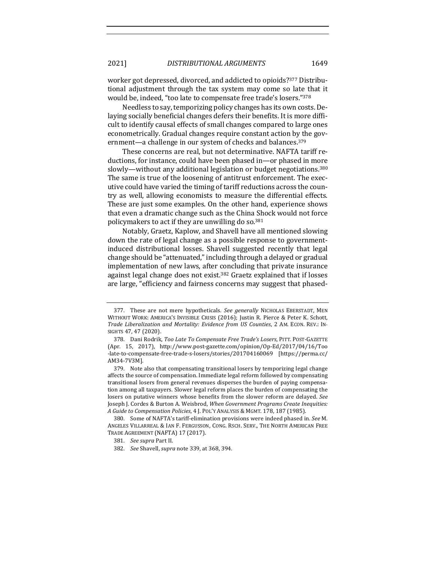2021] *DISTRIBUTIONAL ARGUMENTS* 1649

worker got depressed, divorced, and addicted to opioids?<sup>377</sup> Distributional adjustment through the tax system may come so late that it would be, indeed, "too late to compensate free trade's losers."378

Needless to say, temporizing policy changes has its own costs. Delaying socially beneficial changes defers their benefits. It is more difficult to identify causal effects of small changes compared to large ones econometrically. Gradual changes require constant action by the government—a challenge in our system of checks and balances.<sup>379</sup>

These concerns are real, but not determinative. NAFTA tariff reductions, for instance, could have been phased in—or phased in more slowly—without any additional legislation or budget negotiations.<sup>380</sup> The same is true of the loosening of antitrust enforcement. The executive could have varied the timing of tariff reductions across the country as well, allowing economists to measure the differential effects. These are just some examples. On the other hand, experience shows that even a dramatic change such as the China Shock would not force policymakers to act if they are unwilling do so.<sup>381</sup>

Notably, Graetz, Kaplow, and Shavell have all mentioned slowing down the rate of legal change as a possible response to governmentinduced distributional losses. Shavell suggested recently that legal change should be "attenuated," including through a delayed or gradual implementation of new laws, after concluding that private insurance against legal change does not exist.<sup>382</sup> Graetz explained that if losses are large, "efficiency and fairness concerns may suggest that phased-

<sup>377.</sup> These are not mere hypotheticals. See generally NICHOLAS EBERSTADT, MEN WITHOUT WORK: AMERICA'S INVISIBLE CRISIS (2016); Justin R. Pierce & Peter K. Schott, *Trade Liberalization and Mortality: Evidence from US Counties*, 2 AM. ECON. REV.: IN-SIGHTS 47, 47 (2020).

<sup>378.</sup> Dani Rodrik, Too Late To Compensate Free Trade's Losers, PITT. POST-GAZETTE (Apr. 15, 2017), http://www.post-gazette.com/opinion/Op-Ed/2017/04/16/Too -late-to-compensate-free-trade-s-losers/stories/201704160069 [https://perma.cc/ AM34-7V3M].

<sup>379.</sup> Note also that compensating transitional losers by temporizing legal change affects the source of compensation. Immediate legal reform followed by compensating transitional losers from general revenues disperses the burden of paying compensation among all taxpayers. Slower legal reform places the burden of compensating the losers on putative winners whose benefits from the slower reform are delayed. See Joseph J. Cordes & Burton A. Weisbrod, When Government Programs Create Inequities: *A Guide to Compensation Policies*, 4 J. POL'Y ANALYSIS & MGMT. 178, 187 (1985).

<sup>380.</sup> Some of NAFTA's tariff-elimination provisions were indeed phased in. See M. ANGELES VILLARREAL & IAN F. FERGUSSON, CONG. RSCH. SERV., THE NORTH AMERICAN FREE TRADE AGREEMENT (NAFTA) 17 (2017).

<sup>381.</sup> *See supra* Part II.

<sup>382.</sup> *See* Shavell, *supra* note 339, at 368, 394.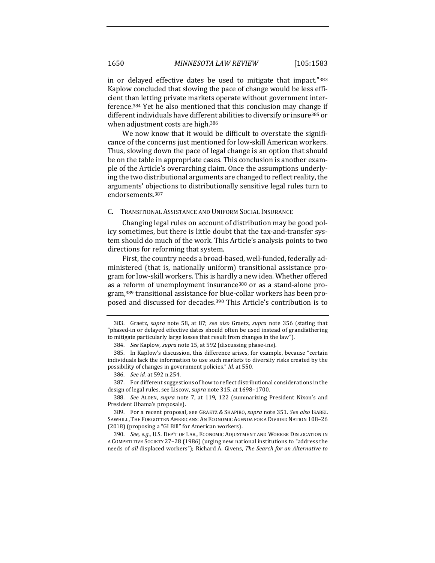in or delayed effective dates be used to mitigate that impact." $383$ Kaplow concluded that slowing the pace of change would be less efficient than letting private markets operate without government interference.<sup>384</sup> Yet he also mentioned that this conclusion may change if different individuals have different abilities to diversify or insure<sup>385</sup> or when adjustment costs are high.<sup>386</sup>

We now know that it would be difficult to overstate the significance of the concerns just mentioned for low-skill American workers. Thus, slowing down the pace of legal change is an option that should be on the table in appropriate cases. This conclusion is another example of the Article's overarching claim. Once the assumptions underlying the two distributional arguments are changed to reflect reality, the arguments' objections to distributionally sensitive legal rules turn to endorsements.387

## C. TRANSITIONAL ASSISTANCE AND UNIFORM SOCIAL INSURANCE

Changing legal rules on account of distribution may be good policy sometimes, but there is little doubt that the tax-and-transfer system should do much of the work. This Article's analysis points to two directions for reforming that system.

First, the country needs a broad-based, well-funded, federally administered (that is, nationally uniform) transitional assistance program for low-skill workers. This is hardly a new idea. Whether offered as a reform of unemployment insurance<sup>388</sup> or as a stand-alone program,<sup>389</sup> transitional assistance for blue-collar workers has been proposed and discussed for decades.<sup>390</sup> This Article's contribution is to

<sup>383.</sup> Graetz, *supra* note 58, at 87; see also Graetz, *supra* note 356 (stating that "phased-in or delayed effective dates should often be used instead of grandfathering to mitigate particularly large losses that result from changes in the law").

<sup>384.</sup> *See* Kaplow, *supra* note 15, at 592 (discussing phase-ins).

<sup>385.</sup> In Kaplow's discussion, this difference arises, for example, because "certain individuals lack the information to use such markets to diversify risks created by the possibility of changes in government policies." *Id.* at 550.

<sup>386.</sup> *See id.* at 592 n.254.

<sup>387.</sup> For different suggestions of how to reflect distributional considerations in the design of legal rules, see Liscow, *supra* note 315, at 1698-1700.

<sup>388.</sup> *See* ALDEN, *supra* note 7, at 119, 122 (summarizing President Nixon's and President Obama's proposals).

<sup>389.</sup> For a recent proposal, see GRAETZ & SHAPIRO, *supra* note 351. *See also* ISABEL SAWHILL, THE FORGOTTEN AMERICANS: AN ECONOMIC AGENDA FOR A DIVIDED NATION 108-26 (2018) (proposing a "GI Bill" for American workers).

<sup>390.</sup> See, e.g., U.S. DEP'T OF LAB., ECONOMIC ADJUSTMENT AND WORKER DISLOCATION IN A COMPETITIVE SOCIETY 27-28 (1986) (urging new national institutions to "address the needs of all displaced workers"); Richard A. Givens, *The Search for an Alternative to*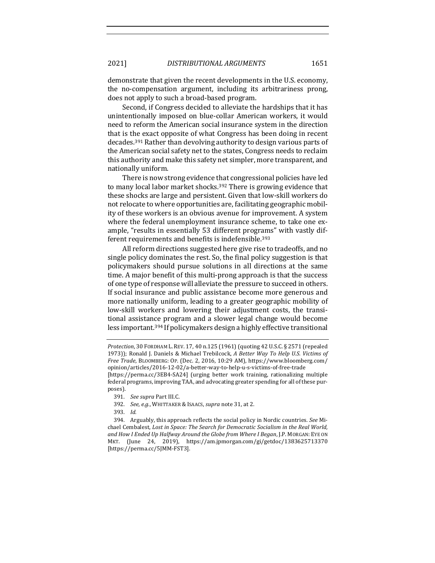demonstrate that given the recent developments in the U.S. economy, the no-compensation argument, including its arbitrariness prong, does not apply to such a broad-based program.

Second, if Congress decided to alleviate the hardships that it has unintentionally imposed on blue-collar American workers, it would need to reform the American social insurance system in the direction that is the exact opposite of what Congress has been doing in recent decades.<sup>391</sup> Rather than devolving authority to design various parts of the American social safety net to the states, Congress needs to reclaim this authority and make this safety net simpler, more transparent, and nationally uniform.

There is now strong evidence that congressional policies have led to many local labor market shocks.<sup>392</sup> There is growing evidence that these shocks are large and persistent. Given that low-skill workers do not relocate to where opportunities are, facilitating geographic mobility of these workers is an obvious avenue for improvement. A system where the federal unemployment insurance scheme, to take one example, "results in essentially 53 different programs" with vastly different requirements and benefits is indefensible.<sup>393</sup>

All reform directions suggested here give rise to tradeoffs, and no single policy dominates the rest. So, the final policy suggestion is that policymakers should pursue solutions in all directions at the same time. A major benefit of this multi-prong approach is that the success of one type of response will alleviate the pressure to succeed in others. If social insurance and public assistance become more generous and more nationally uniform, leading to a greater geographic mobility of low-skill workers and lowering their adjustment costs, the transitional assistance program and a slower legal change would become less important.<sup>394</sup> If policymakers design a highly effective transitional

- 391. *See supra Part III.C.*
- 392. *See, e.g.*, WHITTAKER & ISAACS, *supra* note 31, at 2.
- 393. *Id.*

394. Arguably, this approach reflects the social policy in Nordic countries. *See* Michael Cembalest, *Lost in Space: The Search for Democratic Socialism in the Real World,* and How I Ended Up Halfway Around the Globe from Where I Began, J.P. MORGAN: EYE ON MKT. (June 24, 2019), https://am.jpmorgan.com/gi/getdoc/1383625713370 [https://perma.cc/5JMM-FST3].

*Protection*, 30 FORDHAM L. REV. 17, 40 n.125 (1961) (quoting 42 U.S.C. § 2571 (repealed 1973)); Ronald J. Daniels & Michael Trebilcock, *A Better Way To Help U.S. Victims of Free Trade*, BLOOMBERG: OP. (Dec. 2, 2016, 10:29 AM), https://www.bloomberg.com/ opinion/articles/2016-12-02/a-better-way-to-help-u-s-victims-of-free-trade [https://perma.cc/3EB4-SA24] (urging better work training, rationalizing multiple federal programs, improving TAA, and advocating greater spending for all of these purposes).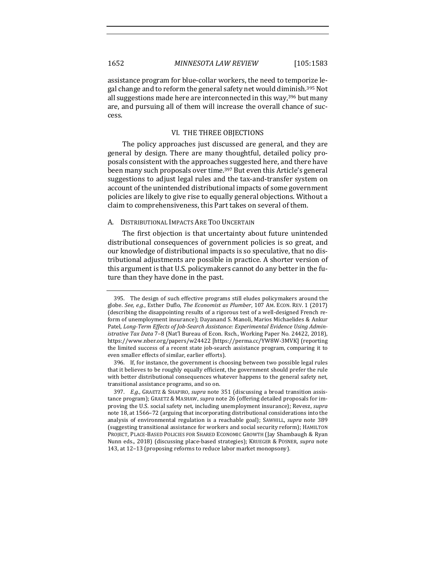assistance program for blue-collar workers, the need to temporize legal change and to reform the general safety net would diminish.<sup>395</sup> Not all suggestions made here are interconnected in this way, $396$  but many are, and pursuing all of them will increase the overall chance of success.

# VI. THE THREE OBJECTIONS

The policy approaches just discussed are general, and they are general by design. There are many thoughtful, detailed policy proposals consistent with the approaches suggested here, and there have been many such proposals over time.<sup>397</sup> But even this Article's general suggestions to adjust legal rules and the tax-and-transfer system on account of the unintended distributional impacts of some government policies are likely to give rise to equally general objections. Without a claim to comprehensiveness, this Part takes on several of them.

# A. DISTRIBUTIONAL IMPACTS ARE TOO UNCERTAIN

The first objection is that uncertainty about future unintended distributional consequences of government policies is so great, and our knowledge of distributional impacts is so speculative, that no distributional adjustments are possible in practice. A shorter version of this argument is that U.S. policymakers cannot do any better in the future than they have done in the past.

<sup>395.</sup> The design of such effective programs still eludes policymakers around the globe. See, e.g., Esther Duflo, *The Economist as Plumber*, 107 AM. ECON. REV. 1 (2017) (describing the disappointing results of a rigorous test of a well-designed French reform of unemployment insurance); Dayanand S. Manoli, Marios Michaelides & Ankur Patel, *Long-Term Effects of Job-Search Assistance: Experimental Evidence Using Administrative Tax Data* 7-8 (Nat'l Bureau of Econ. Rsch., Working Paper No. 24422, 2018), https://www.nber.org/papers/w24422 [https://perma.cc/YW8W-3MVK] (reporting the limited success of a recent state job-search assistance program, comparing it to even smaller effects of similar, earlier efforts).

<sup>396.</sup> If, for instance, the government is choosing between two possible legal rules that it believes to be roughly equally efficient, the government should prefer the rule with better distributional consequences whatever happens to the general safety net, transitional assistance programs, and so on.

<sup>397.</sup> *E.g.*, GRAETZ & SHAPIRO, *supra* note 351 (discussing a broad transition assistance program); GRAETZ & MASHAW, *supra* note 26 (offering detailed proposals for improving the U.S. social safety net, including unemployment insurance); Revesz, *supra* note 18, at 1566–72 (arguing that incorporating distributional considerations into the analysis of environmental regulation is a reachable goal); SAWHILL, *supra* note 389 (suggesting transitional assistance for workers and social security reform); HAMILTON PROJECT, PLACE-BASED POLICIES FOR SHARED ECONOMIC GROWTH (Jay Shambaugh & Ryan Nunn eds., 2018) (discussing place-based strategies); KRUEGER & POSNER, *supra* note 143, at 12-13 (proposing reforms to reduce labor market monopsony).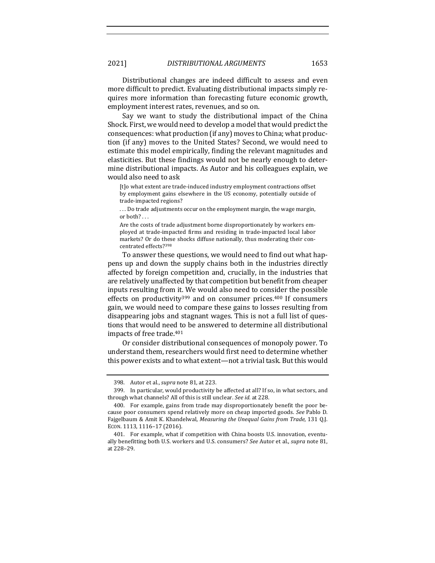Distributional changes are indeed difficult to assess and even more difficult to predict. Evaluating distributional impacts simply requires more information than forecasting future economic growth, employment interest rates, revenues, and so on.

Say we want to study the distributional impact of the China Shock. First, we would need to develop a model that would predict the consequences: what production (if any) moves to China; what production (if any) moves to the United States? Second, we would need to estimate this model empirically, finding the relevant magnitudes and elasticities. But these findings would not be nearly enough to determine distributional impacts. As Autor and his colleagues explain, we would also need to ask

[t]o what extent are trade-induced industry employment contractions offset by employment gains elsewhere in the US economy, potentially outside of trade-impacted regions?

... Do trade adjustments occur on the employment margin, the wage margin, or both?...

Are the costs of trade adjustment borne disproportionately by workers employed at trade-impacted firms and residing in trade-impacted local labor markets? Or do these shocks diffuse nationally, thus moderating their concentrated effects?398

To answer these questions, we would need to find out what happens up and down the supply chains both in the industries directly affected by foreign competition and, crucially, in the industries that are relatively unaffected by that competition but benefit from cheaper inputs resulting from it. We would also need to consider the possible effects on productivity<sup>399</sup> and on consumer prices.<sup>400</sup> If consumers gain, we would need to compare these gains to losses resulting from disappearing jobs and stagnant wages. This is not a full list of questions that would need to be answered to determine all distributional impacts of free trade.<sup>401</sup>

Or consider distributional consequences of monopoly power. To understand them, researchers would first need to determine whether this power exists and to what extent—not a trivial task. But this would

<sup>398.</sup> Autor et al., *supra* note 81, at 223.

<sup>399.</sup> In particular, would productivity be affected at all? If so, in what sectors, and through what channels? All of this is still unclear. See id. at 228.

<sup>400.</sup> For example, gains from trade may disproportionately benefit the poor because poor consumers spend relatively more on cheap imported goods. See Pablo D. Fajgelbaum & Amit K. Khandelwal, *Measuring the Unequal Gains from Trade*, 131 Q.J. ECON. 1113, 1116-17 (2016).

<sup>401.</sup> For example, what if competition with China boosts U.S. innovation, eventually benefitting both U.S. workers and U.S. consumers? See Autor et al., *supra* note 81, at 228–29.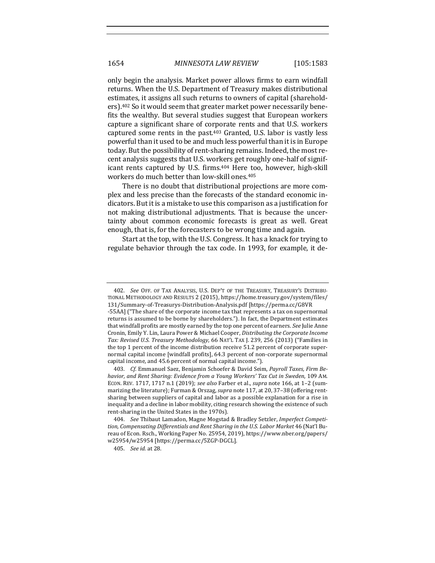only begin the analysis. Market power allows firms to earn windfall returns. When the U.S. Department of Treasury makes distributional estimates, it assigns all such returns to owners of capital (shareholders).<sup>402</sup> So it would seem that greater market power necessarily benefits the wealthy. But several studies suggest that European workers capture a significant share of corporate rents and that U.S. workers captured some rents in the past. $403$  Granted, U.S. labor is vastly less powerful than it used to be and much less powerful than it is in Europe today. But the possibility of rent-sharing remains. Indeed, the most recent analysis suggests that U.S. workers get roughly one-half of significant rents captured by U.S. firms.<sup>404</sup> Here too, however, high-skill workers do much better than low-skill ones.<sup>405</sup>

There is no doubt that distributional projections are more complex and less precise than the forecasts of the standard economic indicators. But it is a mistake to use this comparison as a justification for not making distributional adjustments. That is because the uncertainty about common economic forecasts is great as well. Great enough, that is, for the forecasters to be wrong time and again.

Start at the top, with the U.S. Congress. It has a knack for trying to regulate behavior through the tax code. In 1993, for example, it de-

<sup>402.</sup> See OFF. OF TAX ANALYSIS, U.S. DEP'T OF THE TREASURY, TREASURY'S DISTRIBU-TIONAL METHODOLOGY AND RESULTS 2 (2015), https://home.treasury.gov/system/files/ 131/Summary-of-Treasurys-Distribution-Analysis.pdf [https://perma.cc/G8VR

<sup>-55</sup>AA] ("The share of the corporate income tax that represents a tax on supernormal returns is assumed to be borne by shareholders."). In fact, the Department estimates that windfall profits are mostly earned by the top one percent of earners. *See* Julie Anne Cronin, Emily Y. Lin, Laura Power & Michael Cooper, *Distributing the Corporate Income* Tax: Revised U.S. Treasury Methodology, 66 NAT'L TAX J. 239, 256 (2013) ("Families in the top 1 percent of the income distribution receive  $51.2$  percent of corporate supernormal capital income [windfall profits], 64.3 percent of non-corporate supernormal capital income, and 45.6 percent of normal capital income.").

<sup>403.</sup> *Cf.* Emmanuel Saez, Benjamin Schoefer & David Seim, *Payroll Taxes, Firm Behavior, and Rent Sharing: Evidence from a Young Workers' Tax Cut in Sweden*, 109 AM. ECON. REV. 1717, 1717 n.1 (2019); see also Farber et al., supra note 166, at 1-2 (summarizing the literature); Furman & Orszag, *supra* note 117, at 20, 37-38 (offering rentsharing between suppliers of capital and labor as a possible explanation for a rise in inequality and a decline in labor mobility, citing research showing the existence of such rent-sharing in the United States in the 1970s).

<sup>404.</sup> See Thibaut Lamadon, Magne Mogstad & Bradley Setzler, *Imperfect Competi*tion, Compensating Differentials and Rent Sharing in the U.S. Labor Market 46 (Nat'l Bureau of Econ. Rsch., Working Paper No. 25954, 2019), https://www.nber.org/papers/ w25954/w25954 [https://perma.cc/5ZGP-DGCL].

<sup>405.</sup> *See id.* at 28.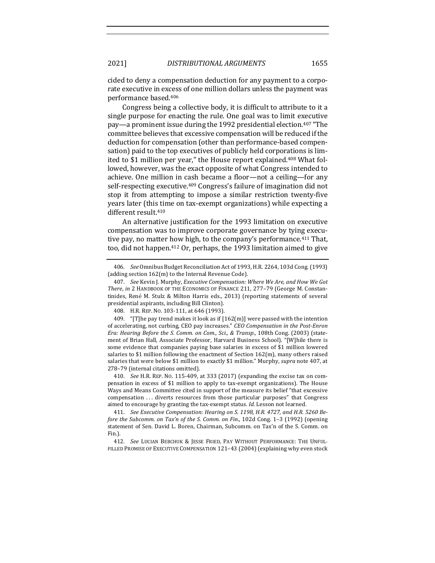cided to deny a compensation deduction for any payment to a corporate executive in excess of one million dollars unless the payment was performance based.406

Congress being a collective body, it is difficult to attribute to it a single purpose for enacting the rule. One goal was to limit executive pay—a prominent issue during the 1992 presidential election.<sup>407</sup> "The committee believes that excessive compensation will be reduced if the deduction for compensation (other than performance-based compensation) paid to the top executives of publicly held corporations is limited to \$1 million per year," the House report explained.<sup>408</sup> What followed, however, was the exact opposite of what Congress intended to achieve. One million in cash became a floor—not a ceiling—for any self-respecting executive.<sup>409</sup> Congress's failure of imagination did not stop it from attempting to impose a similar restriction twenty-five years later (this time on tax-exempt organizations) while expecting a different result.<sup>410</sup>

An alternative justification for the 1993 limitation on executive compensation was to improve corporate governance by tying executive pay, no matter how high, to the company's performance.<sup>411</sup> That, too, did not happen.<sup>412</sup> Or, perhaps, the 1993 limitation aimed to give

408. H.R. REP. No. 103-111, at 646 (1993).

409. "[T]he pay trend makes it look as if  $[162(m)]$  were passed with the intention of accelerating, not curbing, CEO pay increases." *CEO Compensation* in the Post-Enron *Era: Hearing Before the S. Comm. on Com., Sci., & Transp., 108th Cong.* (2003) (statement of Brian Hall, Associate Professor, Harvard Business School). "[W]hile there is some evidence that companies paying base salaries in excess of \$1 million lowered salaries to \$1 million following the enactment of Section  $162(m)$ , many others raised salaries that were below \$1 million to exactly \$1 million." Murphy, *supra* note 407, at 278-79 (internal citations omitted).

410. *See* H.R. REP. No. 115-409, at 333 (2017) (expanding the excise tax on compensation in excess of \$1 million to apply to tax-exempt organizations). The House Ways and Means Committee cited in support of the measure its belief "that excessive compensation ... diverts resources from those particular purposes" that Congress aimed to encourage by granting the tax-exempt status. *Id.* Lesson not learned.

411. See Executive Compensation: Hearing on S. 1198, H.R. 4727, and H.R. 5260 Be*fore the Subcomm. on Tax'n of the S. Comm. on Fin.*, 102d Cong. 1–3 (1992) (opening statement of Sen. David L. Boren, Chairman, Subcomm. on Tax'n of the S. Comm. on Fin.).

412. *See* LUCIAN BEBCHUK & JESSE FRIED, PAY WITHOUT PERFORMANCE: THE UNFUL-FILLED PROMISE OF EXECUTIVE COMPENSATION 121-43 (2004) (explaining why even stock

<sup>406.</sup> *See* Omnibus Budget Reconciliation Act of 1993, H.R. 2264, 103d Cong. (1993) (adding section  $162(m)$  to the Internal Revenue Code).

<sup>407.</sup> *See* Kevin J. Murphy, *Executive Compensation: Where We Are, and How We Got* There, in 2 HANDBOOK OF THE ECONOMICS OF FINANCE 211, 277-79 (George M. Constantinides, René M. Stulz & Milton Harris eds., 2013) (reporting statements of several presidential aspirants, including Bill Clinton).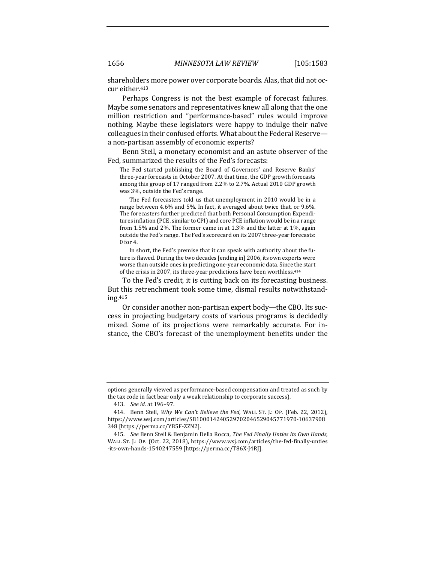shareholders more power over corporate boards. Alas, that did not occur either.<sup>413</sup>

Perhaps Congress is not the best example of forecast failures. Maybe some senators and representatives knew all along that the one million restriction and "performance-based" rules would improve nothing. Maybe these legislators were happy to indulge their naïve colleagues in their confused efforts. What about the Federal Reservea non-partisan assembly of economic experts?

Benn Steil, a monetary economist and an astute observer of the Fed, summarized the results of the Fed's forecasts:

The Fed started publishing the Board of Governors' and Reserve Banks' three-year forecasts in October 2007. At that time, the GDP growth forecasts among this group of 17 ranged from 2.2% to 2.7%. Actual 2010 GDP growth was 3%, outside the Fed's range.

The Fed forecasters told us that unemployment in 2010 would be in a range between 4.6% and 5%. In fact, it averaged about twice that, or 9.6%. The forecasters further predicted that both Personal Consumption Expenditures inflation (PCE, similar to CPI) and core PCE inflation would be in a range from 1.5% and 2%. The former came in at 1.3% and the latter at 1%, again outside the Fed's range. The Fed's scorecard on its 2007 three-year forecasts: 0 for 4.

In short, the Fed's premise that it can speak with authority about the future is flawed. During the two decades [ending in] 2006, its own experts were worse than outside ones in predicting one-year economic data. Since the start of the crisis in 2007, its three-year predictions have been worthless.<sup>414</sup>

To the Fed's credit, it is cutting back on its forecasting business. But this retrenchment took some time, dismal results notwithstanding.415

Or consider another non-partisan expert body—the CBO. Its success in projecting budgetary costs of various programs is decidedly mixed. Some of its projections were remarkably accurate. For instance, the CBO's forecast of the unemployment benefits under the

options generally viewed as performance-based compensation and treated as such by the tax code in fact bear only a weak relationship to corporate success).

<sup>413.</sup> *See id.* at 196–97.

<sup>414.</sup> Benn Steil, *Why We Can't Believe the Fed*, WALL ST. J.: OP. (Feb. 22, 2012), https://www.wsj.com/articles/SB100014240529702046529045771970-10637908 348 [https://perma.cc/YB5F-ZZN2].

<sup>415.</sup> *See* Benn Steil & Benjamin Della Rocca, *The Fed Finally Unties Its Own Hands*, WALL ST. J.: OP. (Oct. 22, 2018), https://www.wsj.com/articles/the-fed-finally-unties -its-own-hands-1540247559 [https://perma.cc/T86X-J4RJ].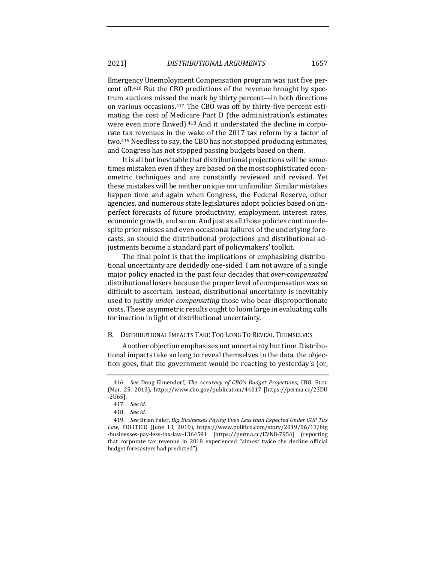Emergency Unemployment Compensation program was just five percent off.<sup>416</sup> But the CBO predictions of the revenue brought by spectrum auctions missed the mark by thirty percent—in both directions on various occasions.<sup>417</sup> The CBO was off by thirty-five percent estimating the cost of Medicare Part D (the administration's estimates were even more flawed).<sup>418</sup> And it understated the decline in corporate tax revenues in the wake of the 2017 tax reform by a factor of two.<sup>419</sup> Needless to say, the CBO has not stopped producing estimates, and Congress has not stopped passing budgets based on them.

It is all but inevitable that distributional projections will be sometimes mistaken even if they are based on the most sophisticated econometric techniques and are constantly reviewed and revised. Yet these mistakes will be neither unique nor unfamiliar. Similar mistakes happen time and again when Congress, the Federal Reserve, other agencies, and numerous state legislatures adopt policies based on imperfect forecasts of future productivity, employment, interest rates, economic growth, and so on. And just as all those policies continue despite prior misses and even occasional failures of the underlying forecasts, so should the distributional projections and distributional adjustments become a standard part of policymakers' toolkit.

The final point is that the implications of emphasizing distributional uncertainty are decidedly one-sided. I am not aware of a single major policy enacted in the past four decades that *over-compensated* distributional losers because the proper level of compensation was so difficult to ascertain. Instead, distributional uncertainty is inevitably used to justify *under-compensating* those who bear disproportionate costs. These asymmetric results ought to loom large in evaluating calls for inaction in light of distributional uncertainty.

## B. DISTRIBUTIONAL IMPACTS TAKE TOO LONG TO REVEAL THEMSELVES

Another objection emphasizes not uncertainty but time. Distributional impacts take so long to reveal themselves in the data, the objection goes, that the government would be reacting to yesterday's (or,

<sup>416.</sup> *See* Doug Elmendorf, *The Accuracy of CBO's Budget Projections*, CBO: BLOG (Mar. 25, 2013), https://www.cbo.gov/publication/44017 [https://perma.cc/23DU -2U65]. 

<sup>417.</sup> *See id.*

<sup>418.</sup> *See id.*

<sup>419.</sup> *See* Brian Faler, *Big Businesses Paying Even Less than Expected Under GOP Tax*  Law, POLITICO (June 13, 2019), https://www.politico.com/story/2019/06/13/big -businesses-pay-less-tax-law-1364591 [https://perma.cc/EVN8-7956] (reporting that corporate tax revenue in 2018 experienced "almost twice the decline official budget forecasters had predicted").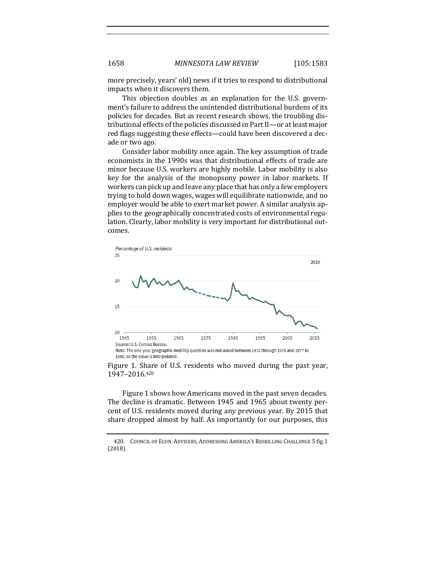more precisely, years' old) news if it tries to respond to distributional impacts when it discovers them.

This objection doubles as an explanation for the U.S. government's failure to address the unintended distributional burdens of its policies for decades. But as recent research shows, the troubling distributional effects of the policies discussed in Part II—or at least major red flags suggesting these effects—could have been discovered a decade or two ago.

Consider labor mobility once again. The key assumption of trade economists in the 1990s was that distributional effects of trade are minor because U.S. workers are highly mobile. Labor mobility is also key for the analysis of the monopsony power in labor markets. If workers can pick up and leave any place that has only a few employers trying to hold down wages, wages will equilibrate nationwide, and no employer would be able to exert market power. A similar analysis applies to the geographically concentrated costs of environmental regulation. Clearly, labor mobility is very important for distributional outcomes.



1980, so the value is interpolated.

Figure 1. Share of U.S. residents who moved during the past year, 1947–2016.420

Figure 1 shows how Americans moved in the past seven decades. The decline is dramatic. Between 1945 and 1965 about twenty percent of U.S. residents moved during any previous year. By 2015 that share dropped almost by half. As importantly for our purposes, this

<sup>420.</sup> COUNCIL OF ECON. ADVISERS, ADDRESSING AMERICA'S RESKILLING CHALLENGE 5 fig.1 (2018).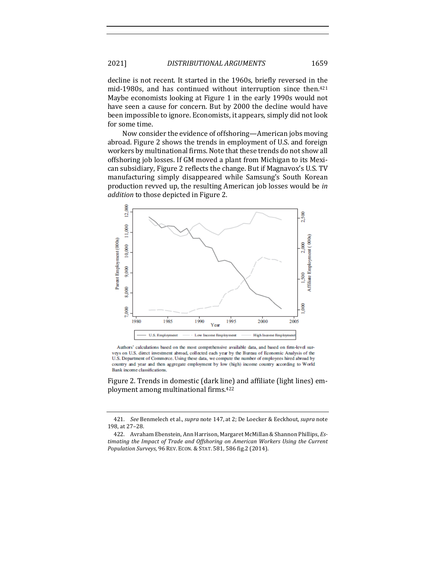decline is not recent. It started in the 1960s, briefly reversed in the mid-1980s, and has continued without interruption since then.<sup>421</sup> Maybe economists looking at Figure 1 in the early 1990s would not have seen a cause for concern. But by 2000 the decline would have been impossible to ignore. Economists, it appears, simply did not look for some time.

Now consider the evidence of offshoring—American jobs moving abroad. Figure 2 shows the trends in employment of U.S. and foreign workers by multinational firms. Note that these trends do not show all offshoring job losses. If GM moved a plant from Michigan to its Mexican subsidiary, Figure 2 reflects the change. But if Magnavox's U.S. TV manufacturing simply disappeared while Samsung's South Korean production revved up, the resulting American job losses would be in *addition* to those depicted in Figure 2.



Authors' calculations based on the most comprehensive available data, and based on firm-level surveys on U.S. direct investment abroad, collected each year by the Bureau of Economic Analysis of the U.S. Department of Commerce. Using these data, we compute the number of employees hired abroad by country and year and then aggregate employment by low (high) income country according to World Bank income classifications.

Figure 2. Trends in domestic (dark line) and affiliate (light lines) employment among multinational firms.<sup>422</sup>

<sup>421.</sup> *See* Benmelech et al., *supra* note 147, at 2; De Loecker & Eeckhout, *supra* note 198, at 27-28.

<sup>422.</sup> Avraham Ebenstein, Ann Harrison, Margaret McMillan & Shannon Phillips, *Es*timating the Impact of Trade and Offshoring on American Workers Using the Current *Population Surveys*, 96 REV. ECON. & STAT. 581, 586 fig.2 (2014).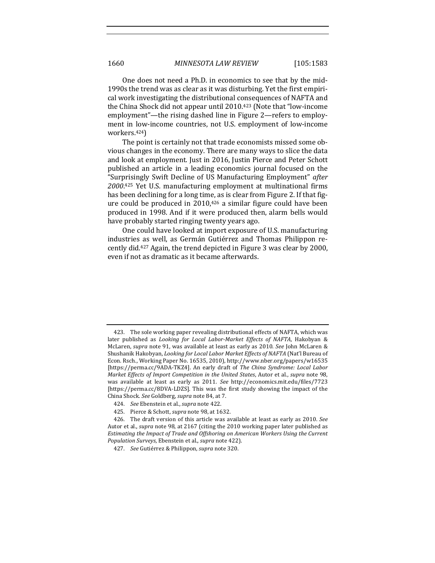One does not need a Ph.D. in economics to see that by the mid-1990s the trend was as clear as it was disturbing. Yet the first empirical work investigating the distributional consequences of NAFTA and the China Shock did not appear until 2010.<sup>423</sup> (Note that "low-income" employment"—the rising dashed line in Figure 2—refers to employment in low-income countries, not U.S. employment of low-income workers.424)

The point is certainly not that trade economists missed some obvious changes in the economy. There are many ways to slice the data and look at employment. Just in 2016, Justin Pierce and Peter Schott published an article in a leading economics journal focused on the "Surprisingly Swift Decline of US Manufacturing Employment" *after*  2000.<sup>425</sup> Yet U.S. manufacturing employment at multinational firms has been declining for a long time, as is clear from Figure 2. If that figure could be produced in  $2010,426$  a similar figure could have been produced in 1998. And if it were produced then, alarm bells would have probably started ringing twenty years ago.

One could have looked at import exposure of U.S. manufacturing industries as well, as Germán Gutiérrez and Thomas Philippon recently did.<sup>427</sup> Again, the trend depicted in Figure 3 was clear by 2000, even if not as dramatic as it became afterwards.

<sup>423.</sup> The sole working paper revealing distributional effects of NAFTA, which was later published as *Looking for Local Labor-Market Effects of NAFTA*, Hakobyan & McLaren, *supra* note 91, was available at least as early as 2010. See John McLaren & Shushanik Hakobyan, *Looking for Local Labor Market Effects of NAFTA* (Nat'l Bureau of Econ. Rsch., Working Paper No. 16535, 2010), http://www.nber.org/papers/w16535 [https://perma.cc/9ADA-TKZ4]. An early draft of *The China Syndrome: Local Labor Market Effects of Import Competition in the United States, Autor et al., supra note 98,* was available at least as early as 2011. See http://economics.mit.edu/files/7723 [https://perma.cc/8DVA-LDZS]. This was the first study showing the impact of the China Shock. See Goldberg, *supra* note 84, at 7.

<sup>424.</sup> *See* Ebenstein et al., *supra* note 422.

<sup>425.</sup> Pierce & Schott, *supra* note 98, at 1632.

<sup>426.</sup> The draft version of this article was available at least as early as 2010. See Autor et al., *supra* note 98, at 2167 (citing the 2010 working paper later published as *Estimating the Impact of Trade and Offshoring on American Workers Using the Current Population Surveys*, Ebenstein et al., *supra* note 422).

<sup>427.</sup> *See* Gutiérrez & Philippon, *supra* note 320.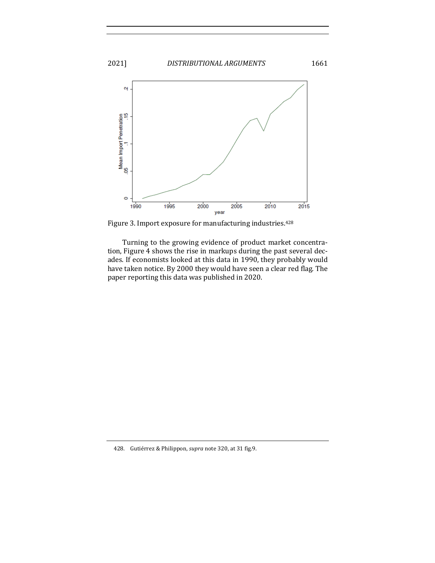

Figure 3. Import exposure for manufacturing industries.<sup>428</sup>

Turning to the growing evidence of product market concentration, Figure 4 shows the rise in markups during the past several decades. If economists looked at this data in 1990, they probably would have taken notice. By 2000 they would have seen a clear red flag. The paper reporting this data was published in 2020.

428. Gutiérrez & Philippon, *supra* note 320, at 31 fig.9.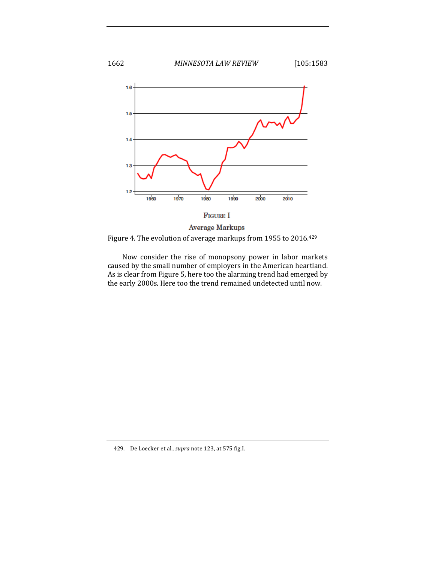

**Average Markups** 

Figure 4. The evolution of average markups from 1955 to 2016.<sup>429</sup>

Now consider the rise of monopsony power in labor markets caused by the small number of employers in the American heartland. As is clear from Figure 5, here too the alarming trend had emerged by the early 2000s. Here too the trend remained undetected until now.

<sup>429.</sup> De Loecker et al., *supra* note 123, at 575 fig.I.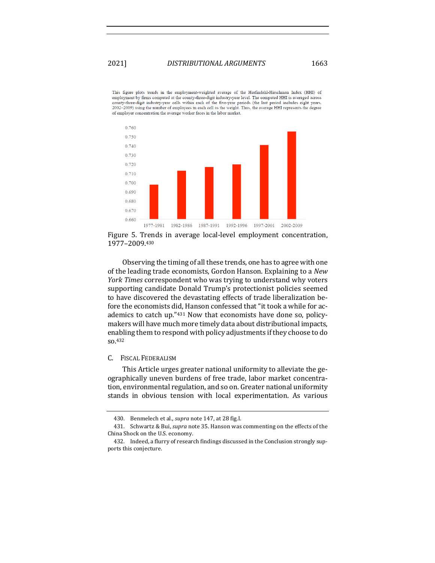This figure plots trends in the employment-weighted average of the Herfindahl-Hirschman Index (HHI) of employment by firms computed at the county-three-digit industry-year level. The computed HHI is averaged across county-three-digit industry-year cells within each of the five-year periods (the last period includes eight years, 2002-2009) using the number of employees in each cell as the weight. Thus, the average HHI represents the d of employer concentration the average worker faces in the labor market.



Figure 5. Trends in average local-level employment concentration, 1977–2009.430

Observing the timing of all these trends, one has to agree with one of the leading trade economists, Gordon Hanson. Explaining to a *New York Times* correspondent who was trying to understand why voters supporting candidate Donald Trump's protectionist policies seemed to have discovered the devastating effects of trade liberalization before the economists did, Hanson confessed that "it took a while for academics to catch up." $431$  Now that economists have done so, policymakers will have much more timely data about distributional impacts, enabling them to respond with policy adjustments if they choose to do so.432

## C. FISCAL FEDERALISM

This Article urges greater national uniformity to alleviate the geographically uneven burdens of free trade, labor market concentration, environmental regulation, and so on. Greater national uniformity stands in obvious tension with local experimentation. As various

<sup>430.</sup> Benmelech et al., *supra* note 147, at 28 fig.I.

<sup>431.</sup> Schwartz & Bui, *supra* note 35. Hanson was commenting on the effects of the China Shock on the U.S. economy.

<sup>432.</sup> Indeed, a flurry of research findings discussed in the Conclusion strongly supports this conjecture.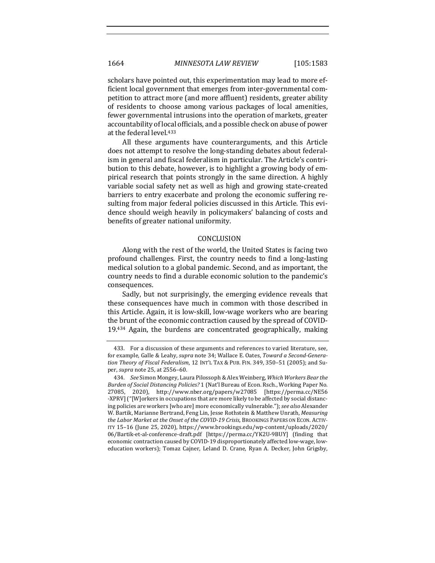scholars have pointed out, this experimentation may lead to more efficient local government that emerges from inter-governmental competition to attract more (and more affluent) residents, greater ability of residents to choose among various packages of local amenities, fewer governmental intrusions into the operation of markets, greater accountability of local officials, and a possible check on abuse of power at the federal level.<sup>433</sup>

All these arguments have counterarguments, and this Article does not attempt to resolve the long-standing debates about federalism in general and fiscal federalism in particular. The Article's contribution to this debate, however, is to highlight a growing body of empirical research that points strongly in the same direction. A highly variable social safety net as well as high and growing state-created barriers to entry exacerbate and prolong the economic suffering resulting from major federal policies discussed in this Article. This evidence should weigh heavily in policymakers' balancing of costs and benefits of greater national uniformity.

## CONCLUSION

Along with the rest of the world, the United States is facing two profound challenges. First, the country needs to find a long-lasting medical solution to a global pandemic. Second, and as important, the country needs to find a durable economic solution to the pandemic's consequences.

Sadly, but not surprisingly, the emerging evidence reveals that these consequences have much in common with those described in this Article. Again, it is low-skill, low-wage workers who are bearing the brunt of the economic contraction caused by the spread of COVID- $19.434$  Again, the burdens are concentrated geographically, making

<sup>433.</sup> For a discussion of these arguments and references to varied literature, see, for example, Galle & Leahy, *supra* note 34; Wallace E. Oates, Toward a Second-Generation Theory of Fiscal Federalism, 12 INT'L TAX & PUB. FIN. 349, 350-51 (2005); and Super, *supra* note 25, at 2556-60.

<sup>434.</sup> *See* Simon Mongey, Laura Pilossoph & Alex Weinberg, *Which Workers Bear the Burden of Social Distancing Policies?* 1 (Nat'l Bureau of Econ. Rsch., Working Paper No. 27085, 2020), http://www.nber.org/papers/w27085 [https://perma.cc/NE56 -XPRV] ("[W]orkers in occupations that are more likely to be affected by social distancing policies are workers [who are] more economically vulnerable."); *see also* Alexander W. Bartik, Marianne Bertrand, Feng Lin, Jesse Rothstein & Matthew Unrath, *Measuring the Labor Market at the Onset of the COVID-19 Crisis*, BROOKINGS PAPERS ON ECON. ACTIV-ITY 15–16 (June 25, 2020), https://www.brookings.edu/wp-content/uploads/2020/ 06/Bartik-et-al-conference-draft.pdf [https://perma.cc/YK2U-9BUY] (finding that economic contraction caused by COVID-19 disproportionately affected low-wage, loweducation workers); Tomaz Cajner, Leland D. Crane, Ryan A. Decker, John Grigsby,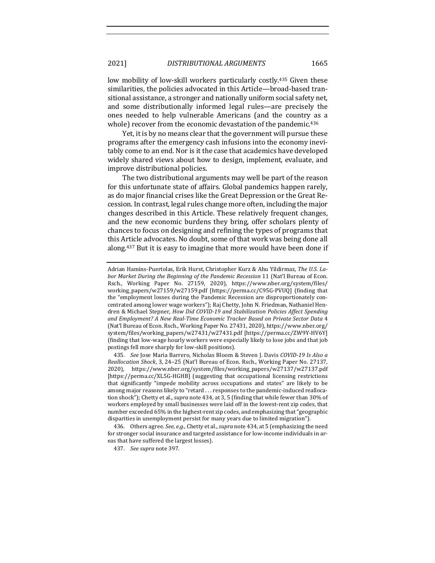2021] *DISTRIBUTIONAL ARGUMENTS* 1665

low mobility of low-skill workers particularly costly.<sup>435</sup> Given these similarities, the policies advocated in this Article—broad-based transitional assistance, a stronger and nationally uniform social safety net, and some distributionally informed legal rules—are precisely the ones needed to help vulnerable Americans (and the country as a whole) recover from the economic devastation of the pandemic.<sup>436</sup>

Yet, it is by no means clear that the government will pursue these programs after the emergency cash infusions into the economy inevitably come to an end. Nor is it the case that academics have developed widely shared views about how to design, implement, evaluate, and improve distributional policies.

The two distributional arguments may well be part of the reason for this unfortunate state of affairs. Global pandemics happen rarely, as do major financial crises like the Great Depression or the Great Recession. In contrast, legal rules change more often, including the major changes described in this Article. These relatively frequent changes, and the new economic burdens they bring, offer scholars plenty of chances to focus on designing and refining the types of programs that this Article advocates. No doubt, some of that work was being done all along. $437$  But it is easy to imagine that more would have been done if

435. *See* Jose Maria Barrero, Nicholas Bloom & Steven J. Davis *COVID-19 Is Also a Reallocation Shock*, 3, 24–25 (Nat'l Bureau of Econ. Rsch., Working Paper No. 27137, 2020), https://www.nber.org/system/files/working\_papers/w27137/w27137.pdf [https://perma.cc/XL5G-HGHB] (suggesting that occupational licensing restrictions that significantly "impede mobility across occupations and states" are likely to be among major reasons likely to "retard . . . responses to the pandemic-induced reallocation shock"); Chetty et al., *supra* note 434, at 3, 5 (finding that while fewer than 30% of workers employed by small businesses were laid off in the lowest-rent zip codes, that number exceeded 65% in the highest-rent zip codes, and emphasizing that "geographic disparities in unemployment persist for many years due to limited migration").

436. Others agree. See, e.g., Chetty et al., *supra* note 434, at 5 (emphasizing the need for stronger social insurance and targeted assistance for low-income individuals in areas that have suffered the largest losses).

437. *See supra* note 397.

Adrian Hamins-Puertolas, Erik Hurst, Christopher Kurz & Ahu Yildirmaz, The U.S. Labor Market During the Beginning of the Pandemic Recession 11 (Nat'l Bureau of Econ. Rsch., Working Paper No. 27159, 2020), https://www.nber.org/system/files/ working\_papers/w27159/w27159.pdf [https://perma.cc/C95G-PVUQ] (finding that the "employment losses during the Pandemic Recession are disproportionately concentrated among lower wage workers"); Raj Chetty, John N. Friedman, Nathaniel Hendren & Michael Stepner, *How Did COVID-19 and Stabilization Policies Affect Spending* and Employment? A New Real-Time Economic Tracker Based on Private Sector Data 4 (Nat'l Bureau of Econ. Rsch., Working Paper No. 27431, 2020), https://www.nber.org/ system/files/working\_papers/w27431/w27431.pdf [https://perma.cc/ZW9Y-HV6Y] (finding that low-wage hourly workers were especially likely to lose jobs and that job postings fell more sharply for low-skill positions).